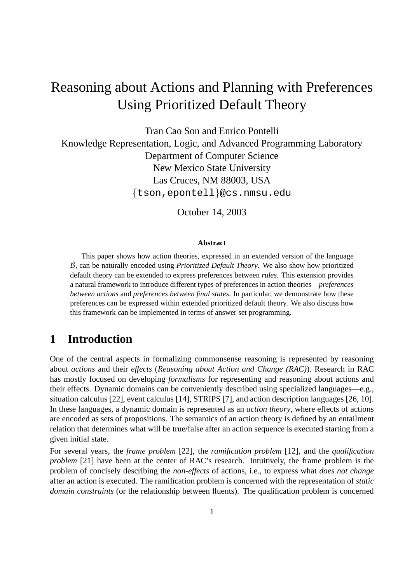# Reasoning about Actions and Planning with Preferences Using Prioritized Default Theory

Tran Cao Son and Enrico Pontelli Knowledge Representation, Logic, and Advanced Programming Laboratory Department of Computer Science New Mexico State University Las Cruces, NM 88003, USA {tson,epontell}@cs.nmsu.edu

October 14, 2003

#### **Abstract**

This paper shows how action theories, expressed in an extended version of the language B, can be naturally encoded using *Prioritized Default Theory*. We also show how prioritized default theory can be extended to express preferences between *rules*. This extension provides a natural framework to introduce different types of preferences in action theories—*preferences between actions* and *preferences between final states*. In particular, we demonstrate how these preferences can be expressed within extended prioritized default theory. We also discuss how this framework can be implemented in terms of answer set programming.

## **1 Introduction**

One of the central aspects in formalizing commonsense reasoning is represented by reasoning about *actions* and their *effects* (*Reasoning about Action and Change (RAC)*). Research in RAC has mostly focused on developing *formalisms* for representing and reasoning about actions and their effects. Dynamic domains can be conveniently described using specialized languages—e.g., situation calculus [22], event calculus [14], STRIPS [7], and action description languages [26, 10]. In these languages, a dynamic domain is represented as an *action theory*, where effects of actions are encoded as sets of propositions. The semantics of an action theory is defined by an entailment relation that determines what will be true/false after an action sequence is executed starting from a given initial state.

For several years, the *frame problem* [22], the *ramification problem* [12], and the *qualification problem* [21] have been at the center of RAC's research. Intuitively, the frame problem is the problem of concisely describing the *non-effects* of actions, i.e., to express what *does not change* after an action is executed. The ramification problem is concerned with the representation of *static domain constraints* (or the relationship between fluents). The qualification problem is concerned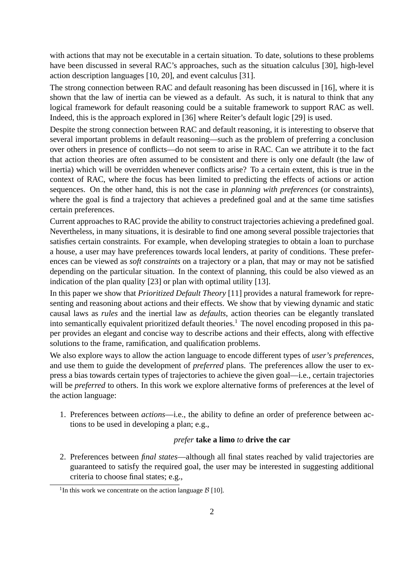with actions that may not be executable in a certain situation. To date, solutions to these problems have been discussed in several RAC's approaches, such as the situation calculus [30], high-level action description languages [10, 20], and event calculus [31].

The strong connection between RAC and default reasoning has been discussed in [16], where it is shown that the law of inertia can be viewed as a default. As such, it is natural to think that any logical framework for default reasoning could be a suitable framework to support RAC as well. Indeed, this is the approach explored in [36] where Reiter's default logic [29] is used.

Despite the strong connection between RAC and default reasoning, it is interesting to observe that several important problems in default reasoning—such as the problem of preferring a conclusion over others in presence of conflicts—do not seem to arise in RAC. Can we attribute it to the fact that action theories are often assumed to be consistent and there is only one default (the law of inertia) which will be overridden whenever conflicts arise? To a certain extent, this is true in the context of RAC, where the focus has been limited to predicting the effects of actions or action sequences. On the other hand, this is not the case in *planning with preferences* (or constraints), where the goal is find a trajectory that achieves a predefined goal and at the same time satisfies certain preferences.

Current approaches to RAC provide the ability to construct trajectories achieving a predefined goal. Nevertheless, in many situations, it is desirable to find one among several possible trajectories that satisfies certain constraints. For example, when developing strategies to obtain a loan to purchase a house, a user may have preferences towards local lenders, at parity of conditions. These preferences can be viewed as *soft constraints* on a trajectory or a plan, that may or may not be satisfied depending on the particular situation. In the context of planning, this could be also viewed as an indication of the plan quality [23] or plan with optimal utility [13].

In this paper we show that *Prioritized Default Theory* [11] provides a natural framework for representing and reasoning about actions and their effects. We show that by viewing dynamic and static causal laws as *rules* and the inertial law as *defaults*, action theories can be elegantly translated into semantically equivalent prioritized default theories.<sup>1</sup> The novel encoding proposed in this paper provides an elegant and concise way to describe actions and their effects, along with effective solutions to the frame, ramification, and qualification problems.

We also explore ways to allow the action language to encode different types of *user's preferences*, and use them to guide the development of *preferred* plans. The preferences allow the user to express a bias towards certain types of trajectories to achieve the given goal—i.e., certain trajectories will be *preferred* to others. In this work we explore alternative forms of preferences at the level of the action language:

1. Preferences between *actions*—i.e., the ability to define an order of preference between actions to be used in developing a plan; e.g.,

### *prefer* **take a limo** *to* **drive the car**

2. Preferences between *final states*—although all final states reached by valid trajectories are guaranteed to satisfy the required goal, the user may be interested in suggesting additional criteria to choose final states; e.g.,

<sup>&</sup>lt;sup>1</sup>In this work we concentrate on the action language  $\beta$  [10].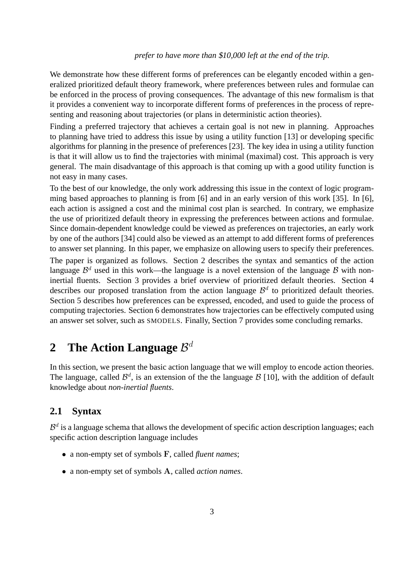#### *prefer to have more than* \$*10,000 left at the end of the trip.*

We demonstrate how these different forms of preferences can be elegantly encoded within a generalized prioritized default theory framework, where preferences between rules and formulae can be enforced in the process of proving consequences. The advantage of this new formalism is that it provides a convenient way to incorporate different forms of preferences in the process of representing and reasoning about trajectories (or plans in deterministic action theories).

Finding a preferred trajectory that achieves a certain goal is not new in planning. Approaches to planning have tried to address this issue by using a utility function [13] or developing specific algorithms for planning in the presence of preferences [23]. The key idea in using a utility function is that it will allow us to find the trajectories with minimal (maximal) cost. This approach is very general. The main disadvantage of this approach is that coming up with a good utility function is not easy in many cases.

To the best of our knowledge, the only work addressing this issue in the context of logic programming based approaches to planning is from [6] and in an early version of this work [35]. In [6], each action is assigned a cost and the minimal cost plan is searched. In contrary, we emphasize the use of prioritized default theory in expressing the preferences between actions and formulae. Since domain-dependent knowledge could be viewed as preferences on trajectories, an early work by one of the authors [34] could also be viewed as an attempt to add different forms of preferences to answer set planning. In this paper, we emphasize on allowing users to specify their preferences.

The paper is organized as follows. Section 2 describes the syntax and semantics of the action language  $\mathcal{B}^d$  used in this work—the language is a novel extension of the language  $\mathcal B$  with noninertial fluents. Section 3 provides a brief overview of prioritized default theories. Section 4 describes our proposed translation from the action language  $\mathcal{B}^d$  to prioritized default theories. Section 5 describes how preferences can be expressed, encoded, and used to guide the process of computing trajectories. Section 6 demonstrates how trajectories can be effectively computed using an answer set solver, such as SMODELS. Finally, Section 7 provides some concluding remarks.

## **2** The Action Language  $\mathcal{B}^d$

In this section, we present the basic action language that we will employ to encode action theories. The language, called  $\mathcal{B}^d$ , is an extension of the the language  $\mathcal{B}$  [10], with the addition of default knowledge about *non-inertial fluents*.

## **2.1 Syntax**

 $\mathcal{B}^d$  is a language schema that allows the development of specific action description languages; each specific action description language includes

- a non-empty set of symbols F, called *fluent names*;
- a non-empty set of symbols A, called *action names*.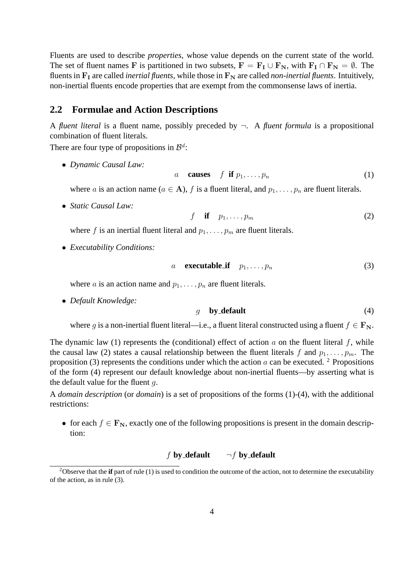Fluents are used to describe *properties*, whose value depends on the current state of the world. The set of fluent names F is partitioned in two subsets,  $F = F_I \cup F_N$ , with  $F_I \cap F_N = \emptyset$ . The fluents in  $F_I$  are called *inertial fluents*, while those in  $F_N$  are called *non-inertial fluents*. Intuitively, non-inertial fluents encode properties that are exempt from the commonsense laws of inertia.

## **2.2 Formulae and Action Descriptions**

A *fluent literal* is a fluent name, possibly preceded by  $\neg$ . A *fluent formula* is a propositional combination of fluent literals.

There are four type of propositions in  $\mathcal{B}^d$ :

• *Dynamic Causal Law:*

$$
a \quad \textbf{causes} \quad f \quad \textbf{if} \quad p_1, \dots, p_n \tag{1}
$$

where a is an action name ( $a \in A$ ), f is a fluent literal, and  $p_1, \ldots, p_n$  are fluent literals.

• *Static Causal Law:*

$$
f \quad \text{if} \quad p_1, \dots, p_m \tag{2}
$$

where f is an inertial fluent literal and  $p_1, \ldots, p_m$  are fluent literals.

• *Executability Conditions:*

$$
a \quad \textbf{executable}.\textbf{if} \quad p_1, \dots, p_n \tag{3}
$$

where a is an action name and  $p_1, \ldots, p_n$  are fluent literals.

• *Default Knowledge:*

$$
g \quad \mathbf{by}\mathbf{.default} \tag{4}
$$

where g is a non-inertial fluent literal—i.e., a fluent literal constructed using a fluent  $f \in \mathbf{F_N}$ .

The dynamic law (1) represents the (conditional) effect of action  $a$  on the fluent literal  $f$ , while the causal law (2) states a causal relationship between the fluent literals f and  $p_1, \ldots, p_m$ . The proposition (3) represents the conditions under which the action  $a$  can be executed. <sup>2</sup> Propositions of the form (4) represent our default knowledge about non-inertial fluents—by asserting what is the default value for the fluent  $q$ .

A *domain description* (or *domain*) is a set of propositions of the forms (1)-(4), with the additional restrictions:

• for each  $f \in \mathbf{F_N}$ , exactly one of the following propositions is present in the domain description:

### f **by default**  $\neg f$  **by default**

<sup>&</sup>lt;sup>2</sup>Observe that the **if** part of rule (1) is used to condition the outcome of the action, not to determine the executability of the action, as in rule (3).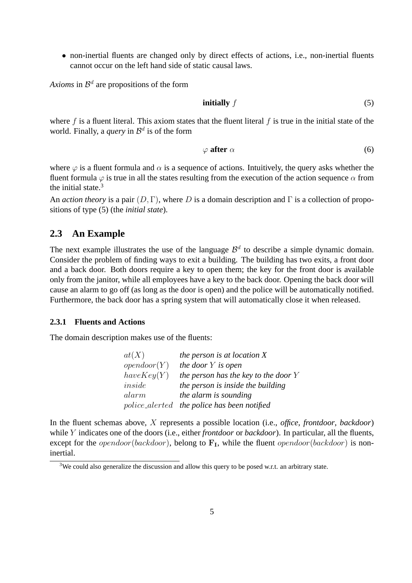• non-inertial fluents are changed only by direct effects of actions, i.e., non-inertial fluents cannot occur on the left hand side of static causal laws.

*Axioms* in  $\mathcal{B}^d$  are propositions of the form

$$
initially f
$$
 (5)

where  $f$  is a fluent literal. This axiom states that the fluent literal  $f$  is true in the initial state of the world. Finally, a *query* in  $\mathcal{B}^d$  is of the form

$$
\varphi \text{ after } \alpha \tag{6}
$$

where  $\varphi$  is a fluent formula and  $\alpha$  is a sequence of actions. Intuitively, the query asks whether the fluent formula  $\varphi$  is true in all the states resulting from the execution of the action sequence  $\alpha$  from the initial state.<sup>3</sup>

An *action theory* is a pair  $(D, \Gamma)$ , where D is a domain description and  $\Gamma$  is a collection of propositions of type (5) (the *initial state*).

## **2.3 An Example**

The next example illustrates the use of the language  $\mathcal{B}^d$  to describe a simple dynamic domain. Consider the problem of finding ways to exit a building. The building has two exits, a front door and a back door. Both doors require a key to open them; the key for the front door is available only from the janitor, while all employees have a key to the back door. Opening the back door will cause an alarm to go off (as long as the door is open) and the police will be automatically notified. Furthermore, the back door has a spring system that will automatically close it when released.

### **2.3.1 Fluents and Actions**

The domain description makes use of the fluents:

| at(X)       | the person is at location X                 |
|-------------|---------------------------------------------|
| opendoor(Y) | the door $Y$ is open                        |
| haveKey(Y)  | the person has the key to the door $Y$      |
| inside      | the person is inside the building           |
| alarm       | the alarm is sounding                       |
|             | police_alerted the police has been notified |

In the fluent schemas above, X represents a possible location (i.e., *office*, *frontdoor*, *backdoor*) while Y indicates one of the doors (i.e., either *frontdoor* or *backdoor*). In particular, all the fluents, except for the *opendoor*(backdoor), belong to  $\mathbf{F}_{I}$ , while the fluent *opendoor*(backdoor) is noninertial.

<sup>&</sup>lt;sup>3</sup>We could also generalize the discussion and allow this query to be posed w.r.t. an arbitrary state.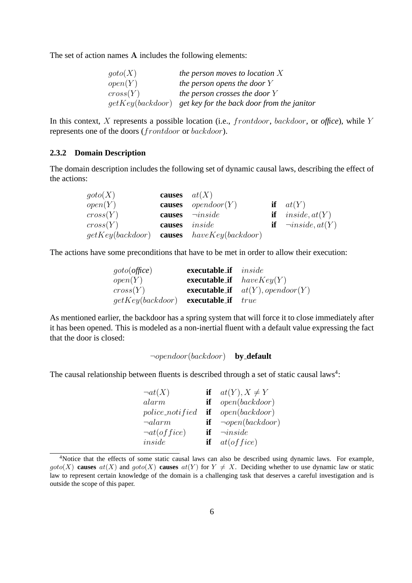The set of action names A includes the following elements:

| qoto(X)  | the person moves to location $X$                              |
|----------|---------------------------------------------------------------|
| open(Y)  | the person opens the door $Y$                                 |
| cross(Y) | the person crosses the door $Y$                               |
|          | $getKey(backdoor)$ get key for the back door from the janitor |

In this context, X represents a possible location (i.e., frontdoor, backdoor, or *office*), while Y represents one of the doors (frontdoor or backdoor).

#### **2.3.2 Domain Description**

The domain description includes the following set of dynamic causal laws, describing the effect of the actions:

| $\mathfrak{goto}(X)$ | causes $at(X)$       |                                     |                                |
|----------------------|----------------------|-------------------------------------|--------------------------------|
| open(Y)              |                      | <b>causes</b> <i>opendoor</i> $(Y)$ | if $at(Y)$                     |
| cross(Y)             |                      | <b>causes</b> $\neg inside$         | <b>if</b> inside, $at(Y)$      |
| cross(Y)             | causes <i>inside</i> |                                     | <b>if</b> $\neg inside, at(Y)$ |
| getKey(backdoor)     |                      | <b>causes</b> $have Key (backdoor)$ |                                |

The actions have some preconditions that have to be met in order to allow their execution:

| qoto(office)                                   | executable if <i>inside</i> |                                                    |
|------------------------------------------------|-----------------------------|----------------------------------------------------|
| open(Y)                                        |                             | <b>executable if</b> $haveKey(Y)$                  |
| cross(Y)                                       |                             | <b>executable if</b> $at(Y)$ , <i>opendoor</i> (Y) |
| $getKey(backdoor)$ <b>executable if</b> $true$ |                             |                                                    |

As mentioned earlier, the backdoor has a spring system that will force it to close immediately after it has been opened. This is modeled as a non-inertial fluent with a default value expressing the fact that the door is closed:

#### ¬opendoor(backdoor) **by default**

The causal relationship between fluents is described through a set of static causal laws<sup>4</sup>:

|      | if $at(Y), X \neq Y$                          |
|------|-----------------------------------------------|
|      | $if \quad open (backdoor)$                    |
|      | $police\_notified$ <b>if</b> $open(backdoor)$ |
|      | <b>if</b> $\neg open(backdoor)$               |
| if - | $\neg inside$                                 |
|      | <b>if</b> $at( of\text{ }fic\text{ }e)$       |
|      |                                               |

<sup>&</sup>lt;sup>4</sup>Notice that the effects of some static causal laws can also be described using dynamic laws. For example, goto(X) **causes**  $at(X)$  and  $qoto(x)$  **causes**  $at(Y)$  for  $Y \neq X$ . Deciding whether to use dynamic law or static law to represent certain knowledge of the domain is a challenging task that deserves a careful investigation and is outside the scope of this paper.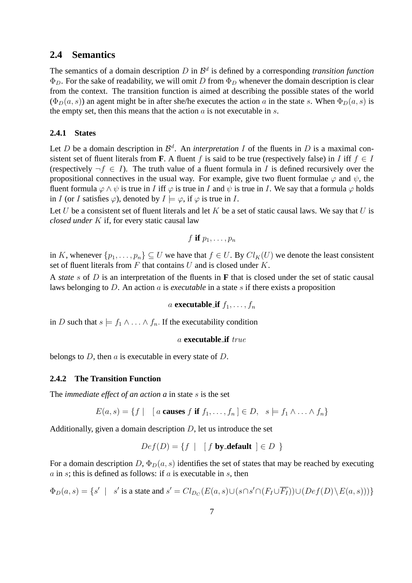### **2.4 Semantics**

The semantics of a domain description  $D$  in  $\mathcal{B}^d$  is defined by a corresponding *transition function*  $\Phi_D$ . For the sake of readability, we will omit D from  $\Phi_D$  whenever the domain description is clear from the context. The transition function is aimed at describing the possible states of the world  $(\Phi_D(a, s))$  an agent might be in after she/he executes the action a in the state s. When  $\Phi_D(a, s)$  is the empty set, then this means that the action  $a$  is not executable in  $s$ .

#### **2.4.1 States**

Let D be a domain description in  $\mathcal{B}^d$ . An *interpretation* I of the fluents in D is a maximal consistent set of fluent literals from **F**. A fluent f is said to be true (respectively false) in I iff  $f \in I$ (respectively  $\neg f \in I$ ). The truth value of a fluent formula in I is defined recursively over the propositional connectives in the usual way. For example, give two fluent formulae  $\varphi$  and  $\psi$ , the fluent formula  $\varphi \wedge \psi$  is true in I iff  $\varphi$  is true in I and  $\psi$  is true in I. We say that a formula  $\varphi$  holds in I (or I satisfies  $\varphi$ ), denoted by  $I \models \varphi$ , if  $\varphi$  is true in I.

Let U be a consistent set of fluent literals and let K be a set of static causal laws. We say that U is *closed under* K if, for every static causal law

$$
f \text{ if } p_1, \ldots, p_n
$$

in K, whenever  $\{p_1, \ldots, p_n\} \subseteq U$  we have that  $f \in U$ . By  $Cl_K(U)$  we denote the least consistent set of fluent literals from  $F$  that contains  $U$  and is closed under  $K$ .

A *state* s of D is an interpretation of the fluents in **F** that is closed under the set of static causal laws belonging to D. An action a is *executable* in a state s if there exists a proposition

a **executable\_if** 
$$
f_1, \ldots, f_n
$$

in D such that  $s = f_1 \wedge \ldots \wedge f_n$ . If the executability condition

#### a **executable if** true

belongs to  $D$ , then  $\alpha$  is executable in every state of  $D$ .

#### **2.4.2 The Transition Function**

The *immediate effect of an action a* in state *s* is the set

$$
E(a, s) = \{ f \mid [a \text{ causes } f \text{ if } f_1, \dots, f_n] \in D, s \models f_1 \land \dots \land f_n \}
$$

Additionally, given a domain description  $D$ , let us introduce the set

$$
Def(D) = \{f \mid [f by \text{default}] \in D \}
$$

For a domain description D,  $\Phi_D(a, s)$  identifies the set of states that may be reached by executing  $\alpha$  in  $\alpha$ ; this is defined as follows: if  $\alpha$  is executable in  $\alpha$ , then

$$
\Phi_D(a,s) = \{ s' \mid s' \text{ is a state and } s' = Cl_{D_C}(E(a,s) \cup (s \cap s' \cap (F_I \cup \overline{F_I})) \cup (Def(D) \setminus E(a,s))) \}
$$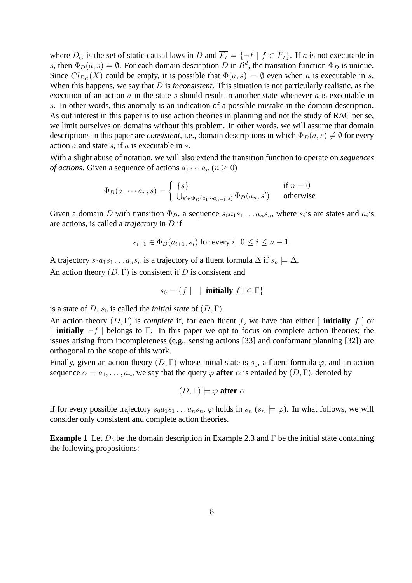where  $D_C$  is the set of static causal laws in D and  $\overline{F_I} = \{\neg f \mid f \in F_I\}$ . If a is not executable in s, then  $\Phi_D(a,s) = \emptyset$ . For each domain description D in  $\mathcal{B}^d$ , the transition function  $\Phi_D$  is unique. Since  $Cl_{D_C}(X)$  could be empty, it is possible that  $\Phi(a, s) = \emptyset$  even when a is executable in s. When this happens, we say that D is *inconsistent*. This situation is not particularly realistic, as the execution of an action a in the state s should result in another state whenever a is executable in s. In other words, this anomaly is an indication of a possible mistake in the domain description. As out interest in this paper is to use action theories in planning and not the study of RAC per se, we limit ourselves on domains without this problem. In other words, we will assume that domain descriptions in this paper are *consistent*, i.e., domain descriptions in which  $\Phi_D(a, s) \neq \emptyset$  for every action  $a$  and state  $s$ , if  $a$  is executable in  $s$ .

With a slight abuse of notation, we will also extend the transition function to operate on *sequences of actions*. Given a sequence of actions  $a_1 \cdots a_n$  ( $n \ge 0$ )

$$
\Phi_D(a_1 \cdots a_n, s) = \begin{cases} \{s\} & \text{if } n = 0\\ \bigcup_{s' \in \Phi_D(a_1 \cdots a_{n-1}, s)} \Phi_D(a_n, s') & \text{otherwise} \end{cases}
$$

Given a domain D with transition  $\Phi_D$ , a sequence  $s_0a_1s_1 \ldots a_ns_n$ , where  $s_i$ 's are states and  $a_i$ 's are actions, is called a *trajectory* in D if

$$
s_{i+1} \in \Phi_D(a_{i+1}, s_i) \text{ for every } i, 0 \le i \le n-1.
$$

A trajectory  $s_0a_1s_1 \ldots a_ns_n$  is a trajectory of a fluent formula  $\Delta$  if  $s_n \models \Delta$ . An action theory  $(D, \Gamma)$  is consistent if D is consistent and

$$
s_0 = \{ f \mid \text{ [initially } f \text{]} \in \Gamma \}
$$

is a state of D.  $s_0$  is called the *initial state* of  $(D, \Gamma)$ .

An action theory  $(D, \Gamma)$  is *complete* if, for each fluent f, we have that either  $\lceil$  **initially** f  $\rceil$  or  $\lceil$  **initially**  $\neg f$   $\rceil$  belongs to  $\Gamma$ . In this paper we opt to focus on complete action theories; the issues arising from incompleteness (e.g., sensing actions [33] and conformant planning [32]) are orthogonal to the scope of this work.

Finally, given an action theory  $(D, \Gamma)$  whose initial state is  $s_0$ , a fluent formula  $\varphi$ , and an action sequence  $\alpha = a_1, \ldots, a_n$ , we say that the query  $\varphi$  **after**  $\alpha$  is entailed by  $(D, \Gamma)$ , denoted by

$$
(D,\Gamma) \models \varphi \text{ after } \alpha
$$

if for every possible trajectory  $s_0a_1s_1 \ldots a_ns_n$ ,  $\varphi$  holds in  $s_n$  ( $s_n \models \varphi$ ). In what follows, we will consider only consistent and complete action theories.

**Example 1** Let  $D_b$  be the domain description in Example 2.3 and Γ be the initial state containing the following propositions: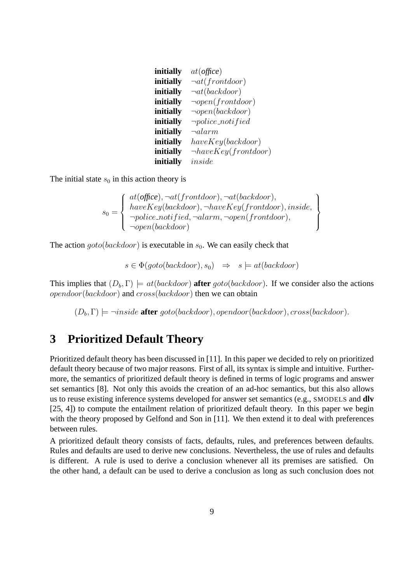| initially | at(office)                |
|-----------|---------------------------|
| initially | $\neg at (frontdoor)$     |
| initially | $\neg at (backdoor)$      |
| initially | $\neg open(fromtdoor)$    |
| initially | $\neg open(backdoor)$     |
| initially | $\neg police\_notified$   |
| initially | $\neg alarm$              |
| initially | have Key (backdoor)       |
| initially | $\neg haveKey(frontdoor)$ |
| initially | inside                    |

The initial state  $s_0$  in this action theory is

$$
s_0 = \left\{\begin{array}{l} \mathit{at(offset)}, \neg \mathit{at(frontdoor)}, \neg \mathit{at(backdoor)}, \\ \mathit{haveKey(backdoor)}, \neg \mathit{haveKey(frontdoor)}, \mathit{inside}, \\ \neg \mathit{policy\_notified}, \neg \mathit{alarm}, \neg \mathit{open(frontdoor)}, \\ \neg \mathit{open(backdoor)} \end{array}\right\}
$$

The action  $\text{goto}(backdoor)$  is executable in  $s_0$ . We can easily check that

$$
s \in \Phi(goto(backdoor), s_0) \Rightarrow s \models \text{at}(backdoor)
$$

This implies that  $(D_b, \Gamma) \models \text{at}(\text{backdoor})$  **after** goto(backdoor). If we consider also the actions opendoor(backdoor) and cross(backdoor) then we can obtain

 $(D_b, \Gamma) \models \neg inside$  **after** goto(backdoor), opendoor(backdoor), cross(backdoor).

## **3 Prioritized Default Theory**

Prioritized default theory has been discussed in [11]. In this paper we decided to rely on prioritized default theory because of two major reasons. First of all, its syntax is simple and intuitive. Furthermore, the semantics of prioritized default theory is defined in terms of logic programs and answer set semantics [8]. Not only this avoids the creation of an ad-hoc semantics, but this also allows us to reuse existing inference systems developed for answer set semantics (e.g., SMODELS and **dlv** [25, 4]) to compute the entailment relation of prioritized default theory. In this paper we begin with the theory proposed by Gelfond and Son in [11]. We then extend it to deal with preferences between rules.

A prioritized default theory consists of facts, defaults, rules, and preferences between defaults. Rules and defaults are used to derive new conclusions. Nevertheless, the use of rules and defaults is different. A rule is used to derive a conclusion whenever all its premises are satisfied. On the other hand, a default can be used to derive a conclusion as long as such conclusion does not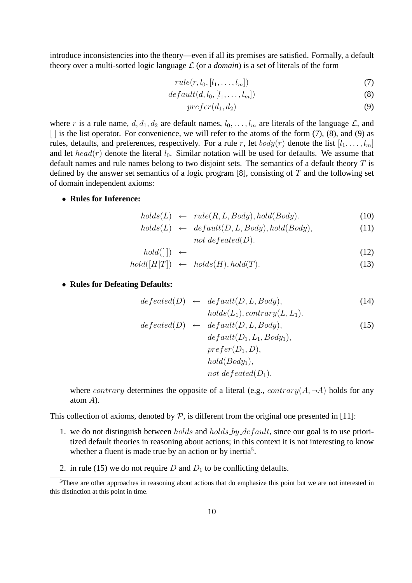introduce inconsistencies into the theory—even if all its premises are satisfied. Formally, a default theory over a multi-sorted logic language  $\mathcal L$  (or a *domain*) is a set of literals of the form

$$
rule(r, l_0, [l_1, \ldots, l_m]) \tag{7}
$$

$$
default(d, l_0, [l_1, \ldots, l_m]) \tag{8}
$$

$$
prefer(d_1, d_2) \tag{9}
$$

where r is a rule name,  $d, d_1, d_2$  are default names,  $l_0, \ldots, l_m$  are literals of the language  $\mathcal{L}$ , and  $\lceil \cdot \rceil$  is the list operator. For convenience, we will refer to the atoms of the form (7), (8), and (9) as rules, defaults, and preferences, respectively. For a rule r, let  $body(r)$  denote the list  $[l_1, \ldots, l_m]$ and let  $head(r)$  denote the literal  $l_0$ . Similar notation will be used for defaults. We assume that default names and rule names belong to two disjoint sets. The semantics of a default theory  $T$  is defined by the answer set semantics of a logic program [8], consisting of  $T$  and the following set of domain independent axioms:

### • **Rules for Inference:**

$$
holds(L) \leftarrow rule(R, L, Body), hold(Body). \tag{10}
$$

$$
holds(L) \leftarrow default(D, L, Body), hold(Body), \tag{11}
$$
\n
$$
not \, detected(D)
$$

$$
hold(\lceil \rceil) \leftarrow \tag{12}
$$

$$
hold([H|T]) \leftarrow holds(H), hold(T). \tag{13}
$$

#### • **Rules for Defeating Defaults:**

$$
defeated(D) \leftarrow default(D, L, Body), \qquad (14)
$$

$$
holds(L_1), contrary(L, L_1).
$$
\n
$$
defated(D) \leftarrow default(D, L, Body),
$$
\n
$$
default(D_1, L_1, Body_1),
$$
\n
$$
prefer(D_1, D),
$$
\n
$$
hold(Body_1),
$$
\n
$$
not \, defated(D_1).
$$
\n(15)

where *contrary* determines the opposite of a literal (e.g., *contrary*( $A$ ,  $\neg A$ ) holds for any atom A).

This collection of axioms, denoted by  $P$ , is different from the original one presented in [11]:

- 1. we do not distinguish between  $holds$  and  $holds$ - $by$ - $default$ , since our goal is to use prioritized default theories in reasoning about actions; in this context it is not interesting to know whether a fluent is made true by an action or by inertia<sup>5</sup>.
- 2. in rule (15) we do not require D and  $D_1$  to be conflicting defaults.

<sup>&</sup>lt;sup>5</sup>There are other approaches in reasoning about actions that do emphasize this point but we are not interested in this distinction at this point in time.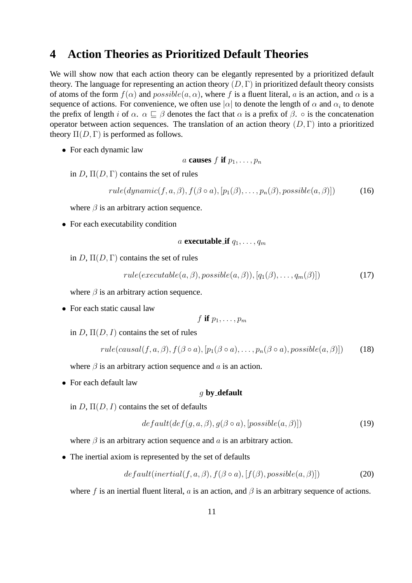## **4 Action Theories as Prioritized Default Theories**

We will show now that each action theory can be elegantly represented by a prioritized default theory. The language for representing an action theory  $(D, \Gamma)$  in prioritized default theory consists of atoms of the form  $f(\alpha)$  and  $possible(a, \alpha)$ , where f is a fluent literal, a is an action, and  $\alpha$  is a sequence of actions. For convenience, we often use  $|\alpha|$  to denote the length of  $\alpha$  and  $\alpha_i$  to denote the prefix of length i of  $\alpha$ .  $\alpha \sqsubseteq \beta$  denotes the fact that  $\alpha$  is a prefix of  $\beta$ .  $\circ$  is the concatenation operator between action sequences. The translation of an action theory  $(D, \Gamma)$  into a prioritized theory  $\Pi(D, \Gamma)$  is performed as follows.

• For each dynamic law

a causes 
$$
f
$$
 if  $p_1, \ldots, p_n$ 

in  $D, \Pi(D, \Gamma)$  contains the set of rules

$$
rule(dynamic(f, a, \beta), f(\beta \circ a), [p_1(\beta), \dots, p_n(\beta), possible(a, \beta)]) \qquad (16)
$$

where  $\beta$  is an arbitrary action sequence.

• For each executability condition

### a **executable** if  $q_1, \ldots, q_m$

in  $D$ ,  $\Pi(D, \Gamma)$  contains the set of rules

$$
rule(executable(a, \beta), possible(a, \beta)), [q_1(\beta), \ldots, q_m(\beta)]) \qquad (17)
$$

where  $\beta$  is an arbitrary action sequence.

• For each static causal law

$$
f \text{ if } p_1, \ldots, p_m
$$

in  $D$ ,  $\Pi(D, I)$  contains the set of rules

$$
rule(causal(f, a, \beta), f(\beta \circ a), [p_1(\beta \circ a), \ldots, p_n(\beta \circ a), possible(a, \beta)]) \tag{18}
$$

where  $\beta$  is an arbitrary action sequence and a is an action.

• For each default law

#### g **by default**

in  $D, \Pi(D, I)$  contains the set of defaults

$$
default(def(g, a, \beta), g(\beta \circ a), [possible(a, \beta)])
$$
\n(19)

where  $\beta$  is an arbitrary action sequence and a is an arbitrary action.

• The inertial axiom is represented by the set of defaults

$$
default(inertial(f, a, \beta), f(\beta \circ a), [f(\beta), possible(a, \beta)])
$$
\n(20)

where f is an inertial fluent literal,  $\alpha$  is an action, and  $\beta$  is an arbitrary sequence of actions.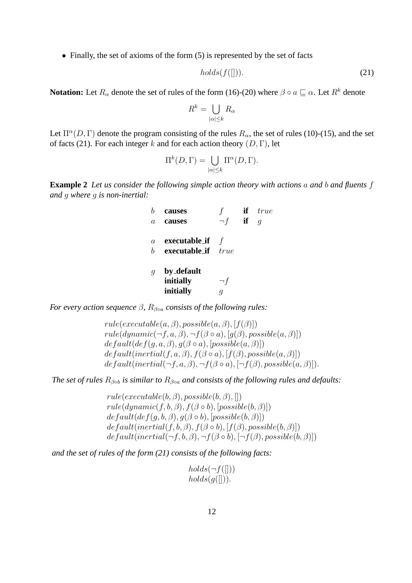• Finally, the set of axioms of the form (5) is represented by the set of facts

$$
holds(f(||))\tag{21}
$$

**Notation:** Let  $R_{\alpha}$  denote the set of rules of the form (16)-(20) where  $\beta \circ a \sqsubseteq \alpha$ . Let  $R^k$  denote

$$
R^k = \bigcup_{|\alpha| \le k} R_\alpha
$$

Let  $\Pi^{\alpha}(D, \Gamma)$  denote the program consisting of the rules  $R_{\alpha}$ , the set of rules (10)-(15), and the set of facts (21). For each integer k and for each action theory  $(D, \Gamma)$ , let

$$
\Pi^k(D,\Gamma)=\bigcup_{|\alpha|\leq k}\Pi^{\alpha}(D,\Gamma).
$$

**Example 2** *Let us consider the following simple action theory with actions* a *and* b *and fluents* f *and* g *where* g *is non-inertial:*

| h                | causes             |          |    | $if$ $true$      |
|------------------|--------------------|----------|----|------------------|
| $\alpha$         | causes             | $\neg f$ | if | $\boldsymbol{q}$ |
|                  | executable_if      |          |    |                  |
| $\alpha$         |                    |          |    |                  |
| $\boldsymbol{h}$ | executable if true |          |    |                  |
|                  | by_default         |          |    |                  |
| $\boldsymbol{q}$ |                    |          |    |                  |
|                  | initially          | $\neg f$ |    |                  |
|                  | initially          |          |    |                  |

*For every action sequence*  $\beta$ *,*  $R_{\beta \circ a}$  *consists of the following rules:* 

 $rule(executable(a, \beta), possible(a, \beta), [f(\beta)])$  $rule(dynamic(\neg f, a, \beta), \neg f(\beta \circ a), [g(\beta), possible(a, \beta)])$  $default(def(g, a, \beta), g(\beta \circ a), [possible(a, \beta)])$  $default( inertial(f, a, \beta), f(\beta \circ a), [f(\beta), possible(a, \beta)])$  $default(inertial(\neg f, a, \beta), \neg f(\beta \circ a), [\neg f(\beta), possible(a, \beta)]).$ 

*The set of rules*  $R_{β₀b}$  *is similar to*  $R_{β₀a}$  *and consists of the following rules and defaults:* 

 $rule(executable(b, \beta), possible(b, \beta),$  $rule(dynamic(f, b, \beta), f(\beta \circ b), [possible(b, \beta)])$  $default(def(g, b, \beta), g(\beta \circ b), [possible(b, \beta)])$  $default( inertial(f, b, \beta), f(\beta \circ b), [f(\beta), possible(b, \beta)])$  $default(inertial(\neg f, b, \beta), \neg f(\beta \circ b), [\neg f(\beta), possible(b, \beta)])$ 

*and the set of rules of the form (21) consists of the following facts:*

 $holds(\neg f(||))$  $holds(g(||))$ .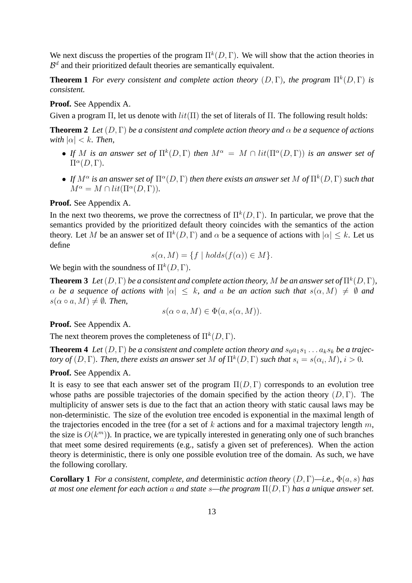We next discuss the properties of the program  $\Pi^k(D, \Gamma)$ . We will show that the action theories in  $\mathcal{B}^d$  and their prioritized default theories are semantically equivalent.

**Theorem 1** *For every consistent and complete action theory*  $(D, \Gamma)$ *, the program*  $\Pi^k(D, \Gamma)$  *is consistent.*

**Proof.** See Appendix A.

Given a program  $\Pi$ , let us denote with  $lit(\Pi)$  the set of literals of  $\Pi$ . The following result holds:

**Theorem 2** *Let*  $(D, \Gamma)$  *be a consistent and complete action theory and*  $\alpha$  *be a sequence of actions with*  $|\alpha| < k$ *. Then,* 

- If M is an answer set of  $\Pi^k(D,\Gamma)$  then  $M^{\alpha} = M \cap lit(\Pi^{\alpha}(D,\Gamma))$  is an answer set of  $\Pi^{\alpha}(D, Γ)$ .
- If  $M^{\alpha}$  is an answer set of  $\Pi^{\alpha}(D,\Gamma)$  then there exists an answer set M of  $\Pi^{k}(D,\Gamma)$  such that  $M^{\alpha} = M \cap lit(\Pi^{\alpha}(D,\Gamma)).$

**Proof.** See Appendix A.

In the next two theorems, we prove the correctness of  $\Pi^k(D,\Gamma)$ . In particular, we prove that the semantics provided by the prioritized default theory coincides with the semantics of the action theory. Let M be an answer set of  $\Pi^k(D,\Gamma)$  and  $\alpha$  be a sequence of actions with  $|\alpha| \leq k$ . Let us define

$$
s(\alpha, M) = \{ f \mid holds(f(\alpha)) \in M \}.
$$

We begin with the soundness of  $\Pi^k(D,\Gamma)$ .

**Theorem 3** Let  $(D, \Gamma)$  be a consistent and complete action theory, M be an answer set of  $\Pi^k(D, \Gamma)$ ,  $\alpha$  *be a sequence of actions with*  $|\alpha| \leq k$ , and a *be an action such that*  $s(\alpha, M) \neq \emptyset$  and  $s(\alpha \circ a, M) \neq \emptyset$ . Then,

$$
s(\alpha \circ a, M) \in \Phi(a, s(\alpha, M)).
$$

**Proof.** See Appendix A.

The next theorem proves the completeness of  $\Pi^k(D,\Gamma)$ .

**Theorem 4** *Let*  $(D, \Gamma)$  *be a consistent and complete action theory and*  $s_0a_1s_1 \ldots a_ks_k$  *be a trajectory of*  $(D, \Gamma)$ *. Then, there exists an answer set* M *of*  $\Pi^k(D, \Gamma)$  *such that*  $s_i = s(\alpha_i, M)$ *, i* > 0*.* 

**Proof.** See Appendix A.

It is easy to see that each answer set of the program  $\Pi(D, \Gamma)$  corresponds to an evolution tree whose paths are possible trajectories of the domain specified by the action theory  $(D, \Gamma)$ . The multiplicity of answer sets is due to the fact that an action theory with static causal laws may be non-deterministic. The size of the evolution tree encoded is exponential in the maximal length of the trajectories encoded in the tree (for a set of  $k$  actions and for a maximal trajectory length  $m$ , the size is  $O(k^m)$ ). In practice, we are typically interested in generating only one of such branches that meet some desired requirements (e.g., satisfy a given set of preferences). When the action theory is deterministic, there is only one possible evolution tree of the domain. As such, we have the following corollary.

**Corollary 1** *For a consistent, complete, and* deterministic *action theory* (D, Γ)*—i.e.,* Φ(a, s) *has at most one element for each action* a *and state* s*—the program* Π(D, Γ) *has a unique answer set.*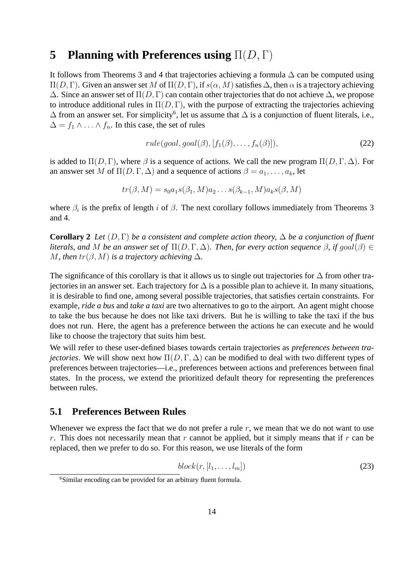## **5 Planning with Preferences using** Π(D, Γ)

It follows from Theorems 3 and 4 that trajectories achieving a formula  $\Delta$  can be computed using  $\Pi(D, \Gamma)$ . Given an answer set M of  $\Pi(D, \Gamma)$ , if  $s(\alpha, M)$  satisfies  $\Delta$ , then  $\alpha$  is a trajectory achieving  $\Delta$ . Since an answer set of  $\Pi(D, \Gamma)$  can contain other trajectories that do not achieve  $\Delta$ , we propose to introduce additional rules in  $\Pi(D, \Gamma)$ , with the purpose of extracting the trajectories achieving  $\Delta$  from an answer set. For simplicity<sup>6</sup>, let us assume that  $\Delta$  is a conjunction of fluent literals, i.e.,  $\Delta = f_1 \wedge \ldots \wedge f_n$ . In this case, the set of rules

$$
rule(goal,goal(\beta), [f_1(\beta),...,f_n(\beta)]), \qquad (22)
$$

is added to  $\Pi(D, \Gamma)$ , where  $\beta$  is a sequence of actions. We call the new program  $\Pi(D, \Gamma, \Delta)$ . For an answer set M of  $\Pi(D, \Gamma, \Delta)$  and a sequence of actions  $\beta = a_1, \ldots, a_k$ , let

$$
tr(\beta, M) = s_0 a_1 s(\beta_1, M) a_2 \dots s(\beta_{k-1}, M) a_k s(\beta, M)
$$

where  $\beta_i$  is the prefix of length i of  $\beta$ . The next corollary follows immediately from Theorems 3 and 4.

**Corollary 2** *Let*  $(D, \Gamma)$  *be a consistent and complete action theory,*  $\Delta$  *be a conjunction of fluent literals, and* M *be an answer set of*  $\Pi(D, \Gamma, \Delta)$ *. Then, for every action sequence*  $\beta$ *, if goal*( $\beta$ )  $\in$ M, then  $tr(\beta, M)$  *is a trajectory achieving*  $\Delta$ *.* 

The significance of this corollary is that it allows us to single out trajectories for  $\Delta$  from other trajectories in an answer set. Each trajectory for  $\Delta$  is a possible plan to achieve it. In many situations, it is desirable to find one, among several possible trajectories, that satisfies certain constraints. For example, *ride a bus* and *take a taxi* are two alternatives to go to the airport. An agent might choose to take the bus because he does not like taxi drivers. But he is willing to take the taxi if the bus does not run. Here, the agent has a preference between the actions he can execute and he would like to choose the trajectory that suits him best.

We will refer to these user-defined biases towards certain trajectories as *preferences between trajectories*. We will show next how  $\Pi(D, \Gamma, \Delta)$  can be modified to deal with two different types of preferences between trajectories—i.e., preferences between actions and preferences between final states. In the process, we extend the prioritized default theory for representing the preferences between rules.

## **5.1 Preferences Between Rules**

Whenever we express the fact that we do not prefer a rule  $r$ , we mean that we do not want to use r. This does not necessarily mean that r cannot be applied, but it simply means that if r can be replaced, then we prefer to do so. For this reason, we use literals of the form

$$
block(r, [l_1, \ldots, l_m]) \tag{23}
$$

<sup>&</sup>lt;sup>6</sup>Similar encoding can be provided for an arbitrary fluent formula.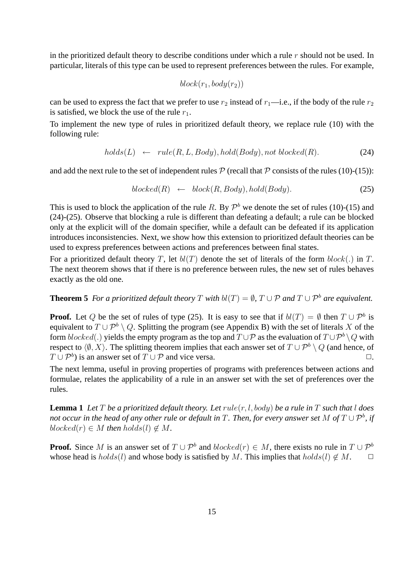in the prioritized default theory to describe conditions under which a rule  $r$  should not be used. In particular, literals of this type can be used to represent preferences between the rules. For example,

$$
block(r_1, body(r_2))
$$

can be used to express the fact that we prefer to use  $r_2$  instead of  $r_1$ —i.e., if the body of the rule  $r_2$ is satisfied, we block the use of the rule  $r_1$ .

To implement the new type of rules in prioritized default theory, we replace rule (10) with the following rule:

$$
holds(L) \leftarrow rule(R, L, Body), hold(Body), not blocked(R). \tag{24}
$$

and add the next rule to the set of independent rules  $P$  (recall that  $P$  consists of the rules (10)-(15)):

$$
blocked(R) \leftarrow block(R, Body), hold(Body). \tag{25}
$$

This is used to block the application of the rule R. By  $\mathcal{P}^b$  we denote the set of rules (10)-(15) and (24)-(25). Observe that blocking a rule is different than defeating a default; a rule can be blocked only at the explicit will of the domain specifier, while a default can be defeated if its application introduces inconsistencies. Next, we show how this extension to prioritized default theories can be used to express preferences between actions and preferences between final states.

For a prioritized default theory T, let  $bl(T)$  denote the set of literals of the form  $block(.)$  in T. The next theorem shows that if there is no preference between rules, the new set of rules behaves exactly as the old one.

**Theorem 5** *For a prioritized default theory T with*  $bl(T) = \emptyset$ ,  $T \cup P$  *and*  $T \cup P<sup>b</sup>$  *are equivalent.* 

**Proof.** Let Q be the set of rules of type (25). It is easy to see that if  $bl(T) = \emptyset$  then  $T \cup \mathcal{P}^b$  is equivalent to  $T \cup \mathcal{P}^b \setminus Q$ . Splitting the program (see Appendix B) with the set of literals X of the form blocked(.) yields the empty program as the top and  $T \cup \mathcal{P}$  as the evaluation of  $T \cup \mathcal{P}^b \setminus Q$  with respect to  $\langle \emptyset, X \rangle$ . The splitting theorem implies that each answer set of  $T \cup \mathcal{P}^b \setminus Q$  (and hence, of  $T \cup \mathcal{P}^b$ ) is an answer set of  $T \cup \mathcal{P}$  and vice versa.  $\Box$ .

The next lemma, useful in proving properties of programs with preferences between actions and formulae, relates the applicability of a rule in an answer set with the set of preferences over the rules.

**Lemma 1** *Let* T *be a prioritized default theory. Let*  $rule(r, l, body)$  *be a rule in* T *such that* l *does*  $n$ ot occur in the head of any other rule or default in  $T.$  Then, for every answer set  $M$  of  $T\cup\mathcal{P}^b$ , if  $blocked(r) \in M$  *then*  $holds(l) \notin M$ .

**Proof.** Since M is an answer set of  $T \cup \mathcal{P}^b$  and  $blocked(r) \in M$ , there exists no rule in  $T \cup \mathcal{P}^b$ whose head is  $holds(l)$  and whose body is satisfied by M. This implies that  $holds(l) \notin M$ .  $\Box$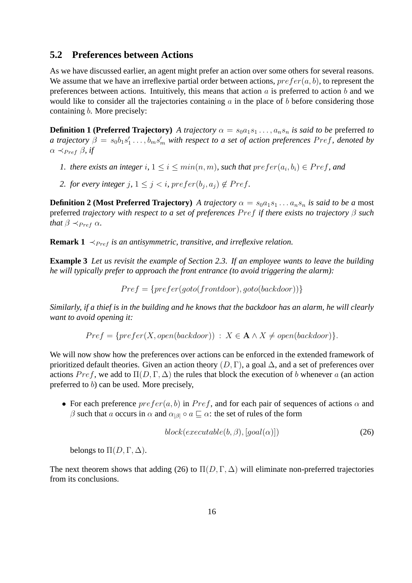### **5.2 Preferences between Actions**

As we have discussed earlier, an agent might prefer an action over some others for several reasons. We assume that we have an irreflexive partial order between actions,  $prefer(a, b)$ , to represent the preferences between actions. Intuitively, this means that action a is preferred to action b and we would like to consider all the trajectories containing  $\alpha$  in the place of b before considering those containing b. More precisely:

**Definition 1 (Preferred Trajectory)** *A trajectory*  $\alpha = s_0 a_1 s_1 \dots, a_n s_n$  *is said to be* preferred *to a trajectory*  $\beta = s_0b_1s'_1\dots, b_ms'_m$  with respect to a set of action preferences  $Pref$ , denoted by  $\alpha \prec_{Pref} \beta$ , if

- *1. there exists an integer*  $i, 1 \leq i \leq min(n, m)$ , such that  $\text{pref}er(a_i, b_i) \in \text{Pref}$ , and
- 2. for every integer  $j, 1 \leq j < i$ ,  $\text{prefer}(b_j, a_j) \notin \text{Pref}$ .

**Definition 2 (Most Preferred Trajectory)** *A trajectory*  $\alpha = s_0 a_1 s_1 \dots a_n s_n$  *is said to be a* most preferred *trajectory with respect to a set of preferences* P ref *if there exists no trajectory* β *such that*  $\beta \prec_{Pref} \alpha$ *.* 

**Remark 1**  $\prec_{Pref}$  *is an antisymmetric, transitive, and irreflexive relation.* 

**Example 3** *Let us revisit the example of Section 2.3. If an employee wants to leave the building he will typically prefer to approach the front entrance (to avoid triggering the alarm):*

$$
Pref = \{prefer(goto(frontdoor), goto(backdoor))\}
$$

*Similarly, if a thief is in the building and he knows that the backdoor has an alarm, he will clearly want to avoid opening it:*

$$
Pref = \{prefer(X, open(backdoor)) : X \in \mathbf{A} \wedge X \neq open(backdoor)\}.
$$

We will now show how the preferences over actions can be enforced in the extended framework of prioritized default theories. Given an action theory  $(D, \Gamma)$ , a goal  $\Delta$ , and a set of preferences over actions  $Pref$ , we add to  $\Pi(D, \Gamma, \Delta)$  the rules that block the execution of b whenever a (an action preferred to b) can be used. More precisely,

• For each preference  $prefer(a, b)$  in  $Pref$ , and for each pair of sequences of actions  $\alpha$  and β such that a occurs in  $\alpha$  and  $\alpha_{|\beta|} \circ a \sqsubset \alpha$ : the set of rules of the form

$$
block(executable(b, \beta), [goal(\alpha)]) \tag{26}
$$

belongs to  $\Pi(D, \Gamma, \Delta)$ .

The next theorem shows that adding (26) to  $\Pi(D, \Gamma, \Delta)$  will eliminate non-preferred trajectories from its conclusions.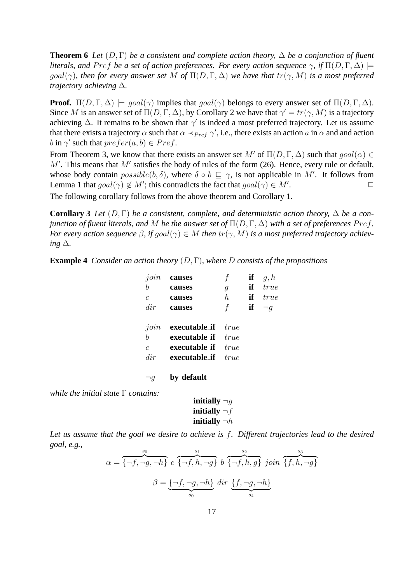**Theorem 6** *Let*  $(D, \Gamma)$  *be a consistent and complete action theory,*  $\Delta$  *be a conjunction of fluent literals, and Pref be a set of action preferences. For every action sequence*  $\gamma$ , *if*  $\Pi(D, \Gamma, \Delta)$   $\models$  $qoal(\gamma)$ , then for every answer set M of  $\Pi(D, \Gamma, \Delta)$  we have that  $tr(\gamma, M)$  is a most preferred *trajectory achieving* ∆*.*

**Proof.**  $\Pi(D, \Gamma, \Delta) \models \text{goal}(\gamma)$  implies that  $\text{goal}(\gamma)$  belongs to every answer set of  $\Pi(D, \Gamma, \Delta)$ . Since M is an answer set of  $\Pi(D, \Gamma, \Delta)$ , by Corollary 2 we have that  $\gamma' = tr(\gamma, M)$  is a trajectory achieving  $\Delta$ . It remains to be shown that  $\gamma'$  is indeed a most preferred trajectory. Let us assume that there exists a trajectory  $\alpha$  such that  $\alpha \prec_{Pref} \gamma'$ , i.e., there exists an action  $a$  in  $\alpha$  and and action b in  $\gamma'$  such that  $prefer(a, b) \in Pref$ .

From Theorem 3, we know that there exists an answer set M' of  $\Pi(D, \Gamma, \Delta)$  such that  $qoa l(\alpha) \in$  $M'$ . This means that  $M'$  satisfies the body of rules of the form (26). Hence, every rule or default, whose body contain  $possible(b, \delta)$ , where  $\delta \circ b \subseteq \gamma$ , is not applicable in M'. It follows from Lemma 1 that  $goal(\gamma) \notin M'$ ; this contradicts the fact that  $goal(\gamma) \in M'$ .  $\Box$ 

The following corollary follows from the above theorem and Corollary 1.

**Corollary 3** *Let*  $(D, \Gamma)$  *be a consistent, complete, and deterministic action theory,*  $\Delta$  *be a conjunction of fluent literals, and* M *be the answer set of*  $\Pi(D, \Gamma, \Delta)$  *with a set of preferences Pref. For every action sequence*  $\beta$ , *if*  $\text{goal}(\gamma) \in M$  *then*  $\text{tr}(\gamma, M)$  *is a most preferred trajectory achieving* ∆*.*

**Example 4** *Consider an action theory* (D, Γ)*, where* D *consists of the propositions*

| 10 <sup>10</sup> | causes        |                | if | q, h |
|------------------|---------------|----------------|----|------|
| b                | causes        | $\mathfrak{g}$ | if | true |
| $\overline{c}$   | causes        | $\hbar$        | if | true |
| dir              | causes        | f              | if | ٦q   |
| $\gamma$         | executable_if | true           |    |      |
| h                | executable if | true           |    |      |
| $\overline{c}$   | executable_if | true           |    |      |
| dir              | executable_if | true           |    |      |
|                  | by_default    |                |    |      |

*while the initial state* Γ *contains:*

| initially $\neg q$ |  |
|--------------------|--|
| initially $\neg f$ |  |
| initially $\neg h$ |  |

*Let us assume that the goal we desire to achieve is* f*. Different trajectories lead to the desired goal, e.g.,*

$$
\alpha = \overbrace{\{\neg f, \neg g, \neg h\}}^{s_0} c \overbrace{\{\neg f, h, \neg g\}}^{s_1} b \overbrace{\{\neg f, h, g\}}^{s_2} \overbrace{\text{join } \{f, h, \neg g\}}^{s_3}
$$

$$
\beta = \underbrace{\{\neg f, \neg g, \neg h\}}_{s_0} \overbrace{\text{dir } \{f, \neg g, \neg h\}}^{s_2}
$$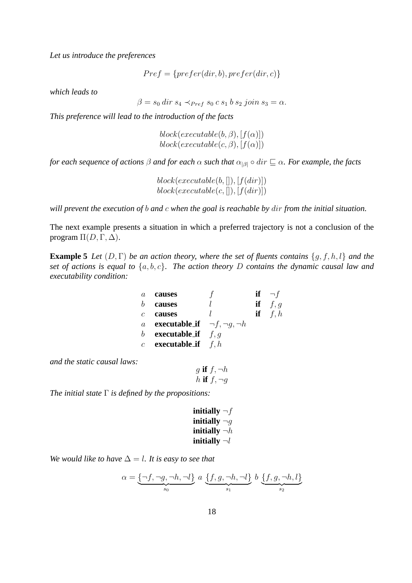*Let us introduce the preferences*

$$
Pref = \{ prefer(dir, b), prefer(dir, c)\}
$$

*which leads to*

 $\beta = s_0 \, dir \, s_4 \prec_{Pref} s_0 \, cs_1 \, b \, s_2 \, join \, s_3 = \alpha.$ 

*This preference will lead to the introduction of the facts*

block(executable(b,  $\beta$ ),  $[f(\alpha)]$ )  $block(executable(c, \beta), [f(\alpha)])$ 

*for each sequence of actions*  $\beta$  *and for each*  $\alpha$  *such that*  $\alpha_{|\beta|} \circ dir \sqsubseteq \alpha$ *. For example, the facts* 

 $block(executable(b, []), [f(dir)])$  $block(executable(c, ||), [f(dr)]]$ 

*will prevent the execution of* b *and* c *when the goal is reachable by* dir *from the initial situation.*

The next example presents a situation in which a preferred trajectory is not a conclusion of the program  $\Pi(D, Γ, Δ)$ .

**Example 5** *Let*  $(D, \Gamma)$  *be an action theory, where the set of fluents contains*  $\{g, f, h, l\}$  *and the set of actions is equal to* {a, b, c}*. The action theory* D *contains the dynamic causal law and executability condition:*

| $\alpha$      | causes                                   |    | if $\neg f$ |
|---------------|------------------------------------------|----|-------------|
| h             | causes                                   | if | f,g         |
| $\mathcal{C}$ | causes                                   |    | if $f, h$   |
|               | a executable if $\neg f, \neg q, \neg h$ |    |             |
|               | b executable if $f, q$                   |    |             |
|               | c executable if $f, h$                   |    |             |

*and the static causal laws:*

$$
\begin{array}{c}\ng \text{ if } f, \neg h \\
h \text{ if } f, \neg g\n\end{array}
$$

*The initial state* Γ *is defined by the propositions:*

| initially<br>$\neg f$ |
|-----------------------|
| initially<br>$\neg g$ |
| initially $\neg h$    |
| initially $\neg l$    |

*We would like to have*  $\Delta = l$ *. It is easy to see that* 

$$
\alpha = \underbrace{\{\neg f, \neg g, \neg h, \neg l\}}_{s_0} \ a \underbrace{\{f, g, \neg h, \neg l\}}_{s_1} \ b \underbrace{\{f, g, \neg h, l\}}_{s_2}
$$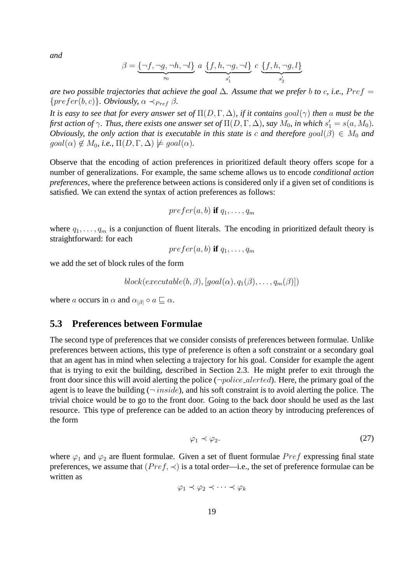*and*

$$
\beta = \underbrace{\{-f, \neg g, \neg h, \neg l\}}_{s_0} \ a \underbrace{\{f, h, \neg g, \neg l\}}_{s'_1} \ c \underbrace{\{f, h, \neg g, l\}}_{s'_2}
$$

*are two possible trajectories that achieve the goal*  $\Delta$ *. Assume that we prefer b to c, i.e., Pref* =  ${prefer(b, c)}$ *. Obviously,*  $\alpha \prec_{Pref} \beta$ *.* 

*It is easy to see that for every answer set of*  $\Pi(D, \Gamma, \Delta)$ *, if it contains goal*( $\gamma$ ) *then* a *must be the first action of*  $\gamma$ *. Thus, there exists one answer set of*  $\Pi(D, \Gamma, \Delta)$ *, say*  $M_0$ *, in which*  $s'_1 = s(a, M_0)$ *. Obviously, the only action that is executable in this state is c and therefore*  $goal(\beta) \in M_0$  *and*  $goal(\alpha) \notin M_0$ , i.e.,  $\Pi(D, \Gamma, \Delta) \not\models goal(\alpha)$ .

Observe that the encoding of action preferences in prioritized default theory offers scope for a number of generalizations. For example, the same scheme allows us to encode *conditional action preferences*, where the preference between actions is considered only if a given set of conditions is satisfied. We can extend the syntax of action preferences as follows:

$$
prefer(a,b)\text{ if }q_1,\ldots,q_m
$$

where  $q_1, \ldots, q_m$  is a conjunction of fluent literals. The encoding in prioritized default theory is straightforward: for each

$$
prefer(a,b)\text{ if }q_1,\ldots,q_m
$$

we add the set of block rules of the form

$$
block(executable(b, \beta), [goal(\alpha), q_1(\beta), \ldots, q_m(\beta)])
$$

where a occurs in  $\alpha$  and  $\alpha_{|\beta|} \circ a \sqsubseteq \alpha$ .

## **5.3 Preferences between Formulae**

The second type of preferences that we consider consists of preferences between formulae. Unlike preferences between actions, this type of preference is often a soft constraint or a secondary goal that an agent has in mind when selecting a trajectory for his goal. Consider for example the agent that is trying to exit the building, described in Section 2.3. He might prefer to exit through the front door since this will avoid alerting the police  $(\neg police\_alerted)$ . Here, the primary goal of the agent is to leave the building  $(\neg inside)$ , and his soft constraint is to avoid alerting the police. The trivial choice would be to go to the front door. Going to the back door should be used as the last resource. This type of preference can be added to an action theory by introducing preferences of the form

$$
\varphi_1 \prec \varphi_2. \tag{27}
$$

where  $\varphi_1$  and  $\varphi_2$  are fluent formulae. Given a set of fluent formulae Pref expressing final state preferences, we assume that  $(Pref, \prec)$  is a total order—i.e., the set of preference formulae can be written as

$$
\varphi_1 \prec \varphi_2 \prec \cdots \prec \varphi_k
$$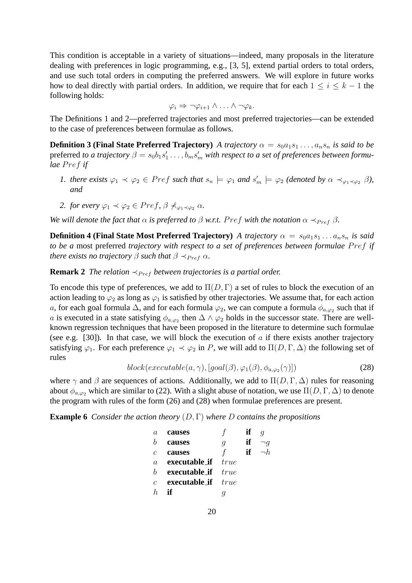This condition is acceptable in a variety of situations—indeed, many proposals in the literature dealing with preferences in logic programming, e.g., [3, 5], extend partial orders to total orders, and use such total orders in computing the preferred answers. We will explore in future works how to deal directly with partial orders. In addition, we require that for each  $1 \le i \le k - 1$  the following holds:

$$
\varphi_i \Rightarrow \neg \varphi_{i+1} \wedge \ldots \wedge \neg \varphi_k.
$$

The Definitions 1 and 2—preferred trajectories and most preferred trajectories—can be extended to the case of preferences between formulae as follows.

**Definition 3 (Final State Preferred Trajectory)** *A trajectory*  $\alpha = s_0a_1s_1 \ldots, a_ns_n$  *is said to be* preferred *to a trajectory*  $\beta = s_0b_1s'_1\dots, b_ms'_m$  with respect to a set of preferences between formu*lae* Pref *if* 

- *1. there exists*  $\varphi_1 \prec \varphi_2 \in Pref$  *such that*  $s_n \models \varphi_1$  *and*  $s'_m \models \varphi_2$  *(denoted by*  $\alpha \prec_{\varphi_1 \prec \varphi_2} \beta$ ), *and*
- *2. for every*  $\varphi_1 \prec \varphi_2 \in Pref$ ,  $\beta \nprec_{\varphi_1 \prec \varphi_2} \alpha$ .

*We will denote the fact that*  $\alpha$  *is preferred to*  $\beta$  *w.r.t.* Pref *with the notation*  $\alpha \prec_{Pref} \beta$ *.* 

**Definition 4 (Final State Most Preferred Trajectory)** *A trajectory*  $\alpha = s_0 a_1 s_1 \dots a_n s_n$  *is said to be a* most preferred *trajectory with respect to a set of preferences between formulae Pref if there exists no trajectory*  $\beta$  *such that*  $\beta \prec_{Pref} \alpha$ *.* 

**Remark 2** *The relation*  $\prec_{Pref}$  *between trajectories is a partial order.* 

To encode this type of preferences, we add to  $\Pi(D, \Gamma)$  a set of rules to block the execution of an action leading to  $\varphi_2$  as long as  $\varphi_1$  is satisfied by other trajectories. We assume that, for each action a, for each goal formula  $\Delta$ , and for each formula  $\varphi_2$ , we can compute a formula  $\phi_{a,\varphi_2}$  such that if a is executed in a state satisfying  $\phi_{a,\varphi_2}$  then  $\Delta \wedge \varphi_2$  holds in the successor state. There are wellknown regression techniques that have been proposed in the literature to determine such formulae (see e.g. [30]). In that case, we will block the execution of  $\alpha$  if there exists another trajectory satisfying  $\varphi_1$ . For each preference  $\varphi_1 \prec \varphi_2$  in P, we will add to  $\Pi(D, \Gamma, \Delta)$  the following set of rules

$$
block(executable(a, \gamma), [goal(\beta), \varphi_1(\beta), \phi_{a, \varphi_2}(\gamma)]) \tag{28}
$$

where  $\gamma$  and  $\beta$  are sequences of actions. Additionally, we add to  $\Pi(D, \Gamma, \Delta)$  rules for reasoning about  $\phi_{a,\varphi}$ , which are similar to (22). With a slight abuse of notation, we use  $\Pi(D,\Gamma,\Delta)$  to denote the program with rules of the form (26) and (28) when formulae preferences are present.

**Example 6** *Consider the action theory* (D, Γ) *where* D *contains the propositions*

| Ω.       | causes        |                  | iť |  |
|----------|---------------|------------------|----|--|
| h        | causes        | $\boldsymbol{q}$ | if |  |
| C        | causes        | $^{+}$           | if |  |
| $\alpha$ | executable_if | true             |    |  |
| h.       | executable_if | true             |    |  |
| C        | executable_if | true             |    |  |
|          |               |                  |    |  |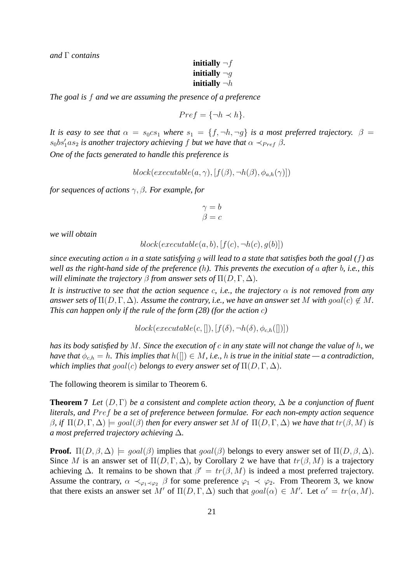*and* Γ *contains*

```
initially \neg finitially ¬g
initially ¬h
```
*The goal is* f *and we are assuming the presence of a preference*

$$
Pref = \{\neg h \prec h\}.
$$

*It is easy to see that*  $\alpha = s_0cs_1$  *where*  $s_1 = \{f, \neg h, \neg g\}$  *is a most preferred trajectory.*  $\beta =$  $s_0$ *bs*<sup> $\prime$ </sup><sub>1</sub> $as_2$  *is another trajectory achieving*  $f$  *but we have that*  $\alpha \prec_{Pref} \beta$ *. One of the facts generated to handle this preference is*

$$
block(executable(a, \gamma), [f(\beta), \neg h(\beta), \phi_{a,h}(\gamma)])
$$

*for sequences of actions* γ, β*. For example, for*

$$
\begin{array}{c} \gamma = b \\ \beta = c \end{array}
$$

*we will obtain*

$$
block(executable(a, b), [f(c), \neg h(c), g(b)])
$$

*since executing action* a *in a state satisfying* g *will lead to a state that satisfies both the goal (*f*) as well as the right-hand side of the preference (*h*). This prevents the execution of* a *after* b*, i.e., this will eliminate the trajectory*  $\beta$  *from answer sets of*  $\Pi(D, \Gamma, \Delta)$ *.* 

*It is instructive to see that the action sequence* c*, i.e., the trajectory* α *is not removed from any answer sets of*  $\Pi(D, \Gamma, \Delta)$ *. Assume the contrary, i.e., we have an answer set* M *with* goal(c)  $\notin M$ *. This can happen only if the rule of the form (28) (for the action* c*)*

$$
block(executable(c,[], [f(\delta), \neg h(\delta), \phi_{c,h}([])])
$$

*has its body satisfied by* M*. Since the execution of* c *in any state will not change the value of* h*, we have that*  $\phi_{c,h} = h$ . This implies that  $h(||) \in M$ , i.e., h is true in the initial state — a contradiction, *which implies that goal*(*c*) *belongs to every answer set of*  $\Pi(D, \Gamma, \Delta)$ *.* 

The following theorem is similar to Theorem 6.

**Theorem 7** *Let*  $(D, \Gamma)$  *be a consistent and complete action theory,*  $\Delta$  *be a conjunction of fluent literals, and Pref be a set of preference between formulae. For each non-empty action sequence* β*, if* Π(D, Γ, ∆) |= goal(β) *then for every answer set* M *of* Π(D, Γ, ∆) *we have that* tr(β, M) *is a most preferred trajectory achieving* ∆*.*

**Proof.**  $\Pi(D, \beta, \Delta) \models \text{goal}(\beta)$  implies that  $\text{goal}(\beta)$  belongs to every answer set of  $\Pi(D, \beta, \Delta)$ . Since M is an answer set of  $\Pi(D, \Gamma, \Delta)$ , by Corollary 2 we have that  $tr(\beta, M)$  is a trajectory achieving  $\Delta$ . It remains to be shown that  $\beta' = tr(\beta, M)$  is indeed a most preferred trajectory. Assume the contrary,  $\alpha \prec_{\varphi_1 \prec \varphi_2} \beta$  for some preference  $\varphi_1 \prec \varphi_2$ . From Theorem 3, we know that there exists an answer set M' of  $\Pi(D, \Gamma, \Delta)$  such that  $goal(\alpha) \in M'$ . Let  $\alpha' = tr(\alpha, M)$ .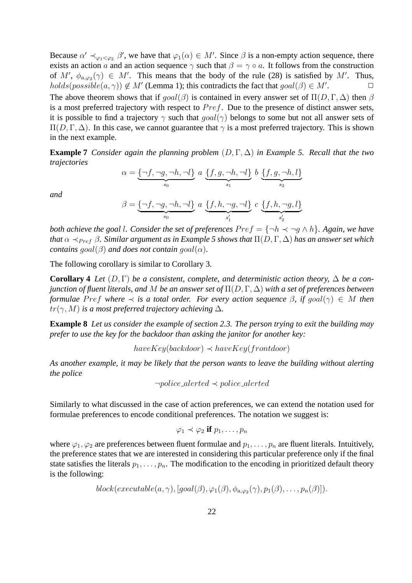Because  $\alpha' \prec_{\varphi_1 \prec \varphi_2} \beta'$ , we have that  $\varphi_1(\alpha) \in M'$ . Since  $\beta$  is a non-empty action sequence, there exists an action a and an action sequence  $\gamma$  such that  $\beta = \gamma \circ a$ . It follows from the construction of M',  $\phi_{a,\varphi_2}(\gamma) \in M'$ . This means that the body of the rule (28) is satisfied by M'. Thus,  $holds(possible(a, \gamma)) \notin M'$  (Lemma 1); this contradicts the fact that  $goal(\beta) \in M'$ .  $\Box$ 

The above theorem shows that if  $goal(\beta)$  is contained in every answer set of  $\Pi(D, \Gamma, \Delta)$  then  $\beta$ is a most preferred trajectory with respect to  $Pref$ . Due to the presence of distinct answer sets, it is possible to find a trajectory  $\gamma$  such that  $qoal(\gamma)$  belongs to some but not all answer sets of  $\Pi(D, Γ, Δ)$ . In this case, we cannot guarantee that  $γ$  is a most preferred trajectory. This is shown in the next example.

**Example 7** *Consider again the planning problem* (D, Γ, ∆) *in Example 5. Recall that the two trajectories*

$$
\overline{a} \overline{b} \overline{d}
$$

$$
\alpha = \underbrace{\{-f, \neg g, \neg h, \neg l\}}_{s_0} \ a \underbrace{\{f, g, \neg h, \neg l\}}_{s_1} \ b \underbrace{\{f, g, \neg h, l\}}_{s_2}
$$

$$
\beta = \underbrace{\{-f, \neg g, \neg h, \neg l\}}_{s_0} \ a \underbrace{\{f, h, \neg g, \neg l\}}_{s'_1} \ c \underbrace{\{f, h, \neg g, l\}}_{s'_2}
$$

*both achieve the goal l. Consider the set of preferences*  $Pref = \{\neg h \prec \neg g \land h\}$ *. Again, we have that*  $\alpha \prec_{Pref} \beta$ . Similar argument as in Example 5 shows that  $\Pi(D, \Gamma, \Delta)$  has an answer set which *contains*  $qoal(\beta)$  *and does not contain*  $qoal(\alpha)$ *.* 

The following corollary is similar to Corollary 3.

**Corollary 4** *Let*  $(D, \Gamma)$  *be a consistent, complete, and deterministic action theory,*  $\Delta$  *be a conjunction of fluent literals, and* M *be an answer set of* Π(D, Γ, ∆) *with a set of preferences between formulae* Pref where  $\prec$  *is a total order. For every action sequence*  $\beta$ *, if goal* $(\gamma) \in M$  *then*  $tr(\gamma, M)$  *is a most preferred trajectory achieving*  $\Delta$ *.* 

**Example 8** *Let us consider the example of section 2.3. The person trying to exit the building may prefer to use the key for the backdoor than asking the janitor for another key:*

 $haveKey(backdoor) \prec haveKey(frontdoor)$ 

*As another example, it may be likely that the person wants to leave the building without alerting the police*

$$
\neg police\_alerted \prec police\_alerted
$$

Similarly to what discussed in the case of action preferences, we can extend the notation used for formulae preferences to encode conditional preferences. The notation we suggest is:

$$
\varphi_1 \prec \varphi_2 \text{ if } p_1, \ldots, p_n
$$

where  $\varphi_1, \varphi_2$  are preferences between fluent formulae and  $p_1, \ldots, p_n$  are fluent literals. Intuitively, the preference states that we are interested in considering this particular preference only if the final state satisfies the literals  $p_1, \ldots, p_n$ . The modification to the encoding in prioritized default theory is the following:

 $block(executable(a, \gamma), [goal(\beta), \varphi_{1}(\beta), \phi_{a, \varphi_{2}}(\gamma), p_{1}(\beta), \ldots, p_{n}(\beta)]).$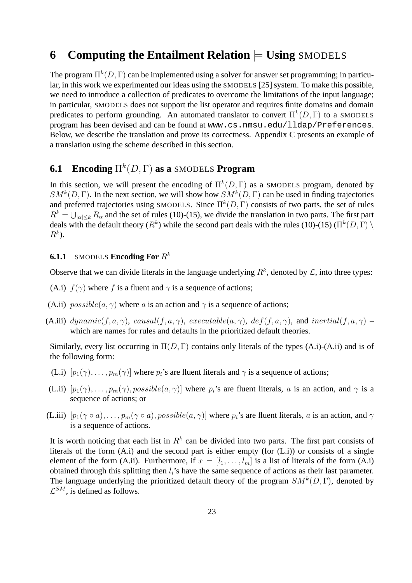## **6 Computing the Entailment Relation**  $\models$  Using SMODELS

The program  $\Pi^k(D,\Gamma)$  can be implemented using a solver for answer set programming; in particular, in this work we experimented our ideas using the SMODELS [25] system. To make this possible, we need to introduce a collection of predicates to overcome the limitations of the input language; in particular, SMODELS does not support the list operator and requires finite domains and domain predicates to perform grounding. An automated translator to convert  $\Pi^k(D,\Gamma)$  to a SMODELS program has been devised and can be found at www.cs.nmsu.edu/lldap/Preferences. Below, we describe the translation and prove its correctness. Appendix C presents an example of a translation using the scheme described in this section.

## **6.1** Encoding  $\Pi^k(D,\Gamma)$  as a SMODELS Program

In this section, we will present the encoding of  $\Pi^k(D,\Gamma)$  as a SMODELS program, denoted by  $SM^k(D,\Gamma)$ . In the next section, we will show how  $SM^k(D,\Gamma)$  can be used in finding trajectories and preferred trajectories using SMODELS. Since  $\Pi^k(D, \Gamma)$  consists of two parts, the set of rules  $R^k = \bigcup_{|\alpha| \leq k} R_\alpha$  and the set of rules (10)-(15), we divide the translation in two parts. The first part deals with the default theory  $(R^k)$  while the second part deals with the rules (10)-(15) ( $\Pi^k(D,\Gamma) \setminus$  $R^k$ ).

### **6.1.1** SMODELS **Encoding For** R<sup>k</sup>

Observe that we can divide literals in the language underlying  $R^k$ , denoted by  $\mathcal{L}$ , into three types:

- (A.i)  $f(\gamma)$  where f is a fluent and  $\gamma$  is a sequence of actions;
- (A.ii)  $possible(a, \gamma)$  where a is an action and  $\gamma$  is a sequence of actions;
- (A.iii) dynamic(f, a,  $\gamma$ ), causal(f, a,  $\gamma$ ), executable(a,  $\gamma$ ), def(f, a,  $\gamma$ ), and inertial(f, a,  $\gamma$ ) which are names for rules and defaults in the prioritized default theories.

Similarly, every list occurring in  $\Pi(D, \Gamma)$  contains only literals of the types (A.i)-(A.ii) and is of the following form:

- (L.i)  $[p_1(\gamma), \ldots, p_m(\gamma)]$  where  $p_i$ 's are fluent literals and  $\gamma$  is a sequence of actions;
- (L.ii)  $[p_1(\gamma), \ldots, p_m(\gamma), possible(a, \gamma)]$  where  $p_i$ 's are fluent literals, a is an action, and  $\gamma$  is a sequence of actions; or
- (L.iii)  $[p_1(\gamma \circ a), \ldots, p_m(\gamma \circ a), possible(a, \gamma)]$  where  $p_i$ 's are fluent literals, a is an action, and  $\gamma$ is a sequence of actions.

It is worth noticing that each list in  $R<sup>k</sup>$  can be divided into two parts. The first part consists of literals of the form (A.i) and the second part is either empty (for (L.i)) or consists of a single element of the form (A.ii). Furthermore, if  $x = [l_1, \ldots, l_m]$  is a list of literals of the form (A.i) obtained through this splitting then  $l_i$ 's have the same sequence of actions as their last parameter. The language underlying the prioritized default theory of the program  $SM^k(D, \Gamma)$ , denoted by  $\mathcal{L}^{SM}$ , is defined as follows.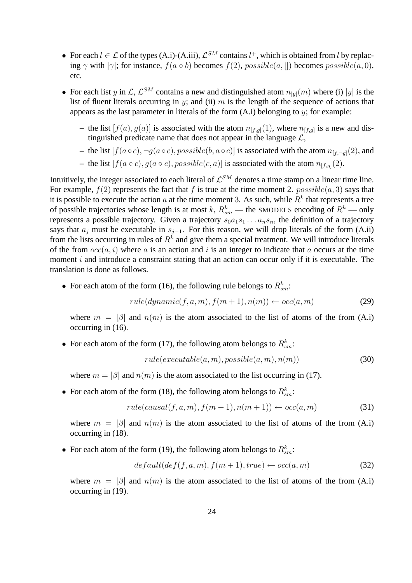- For each  $l \in \mathcal{L}$  of the types (A.i)-(A.iii),  $\mathcal{L}^{SM}$  contains  $l^+$ , which is obtained from l by replacing  $\gamma$  with  $|\gamma|$ ; for instance,  $f(a \circ b)$  becomes  $f(2)$ ,  $possible(a, \lbrack)$  becomes  $possible(a, 0)$ , etc.
- For each list y in L,  $\mathcal{L}^{SM}$  contains a new and distinguished atom  $n_{|y|}(m)$  where (i) |y| is the list of fluent literals occurring in y; and (ii)  $m$  is the length of the sequence of actions that appears as the last parameter in literals of the form  $(A,i)$  belonging to y; for example:
	- the list  $[f(a), g(a)]$  is associated with the atom  $n_{[f,g]}(1)$ , where  $n_{[f,g]}$  is a new and distinguished predicate name that does not appear in the language  $\mathcal{L}$ ,
	- **–** the list  $[f(a \circ c), \neg g(a \circ c), \text{possible}(b, a \circ c)]$  is associated with the atom  $n_{[f, \neg g]}(2)$ , and
	- **−** the list  $[f(a \circ c), g(a \circ c), \text{possible}(c, a)]$  is associated with the atom  $n_{[f,a]}(2)$ .

Intuitively, the integer associated to each literal of  $\mathcal{L}^{SM}$  denotes a time stamp on a linear time line. For example,  $f(2)$  represents the fact that f is true at the time moment 2.  $possible(a, 3)$  says that it is possible to execute the action a at the time moment 3. As such, while  $R^k$  that represents a tree of possible trajectories whose length is at most k,  $R_{sm}^k$  — the SMODELS encoding of  $R^k$  — only represents a possible trajectory. Given a trajectory  $s_0a_1s_1 \ldots a_ns_n$ , the definition of a trajectory says that  $a_j$  must be executable in  $s_{j-1}$ . For this reason, we will drop literals of the form (A.ii) from the lists occurring in rules of  $R^k$  and give them a special treatment. We will introduce literals of the from  $occ(a, i)$  where a is an action and i is an integer to indicate that a occurs at the time moment  $i$  and introduce a constraint stating that an action can occur only if it is executable. The translation is done as follows.

• For each atom of the form (16), the following rule belongs to  $R_{sm}^k$ :

$$
rule(dynamic(f, a, m), f(m + 1), n(m)) \leftarrow occ(a, m)
$$
\n(29)

where  $m = |\beta|$  and  $n(m)$  is the atom associated to the list of atoms of the from (A.i) occurring in (16).

• For each atom of the form (17), the following atom belongs to  $R_{sm}^k$ :

$$
rule(executable(a, m), possible(a, m), n(m)) \tag{30}
$$

where  $m = |\beta|$  and  $n(m)$  is the atom associated to the list occurring in (17).

• For each atom of the form (18), the following atom belongs to  $R_{sm}^k$ :

$$
rule(causal(f, a, m), f(m+1), n(m+1)) \leftarrow occ(a, m)
$$
\n(31)

where  $m = |\beta|$  and  $n(m)$  is the atom associated to the list of atoms of the from (A.i) occurring in (18).

• For each atom of the form (19), the following atom belongs to  $R_{sm}^k$ :

$$
default(def(f, a, m), f(m + 1), true) \leftarrow occ(a, m)
$$
\n(32)

where  $m = |\beta|$  and  $n(m)$  is the atom associated to the list of atoms of the from (A.i) occurring in (19).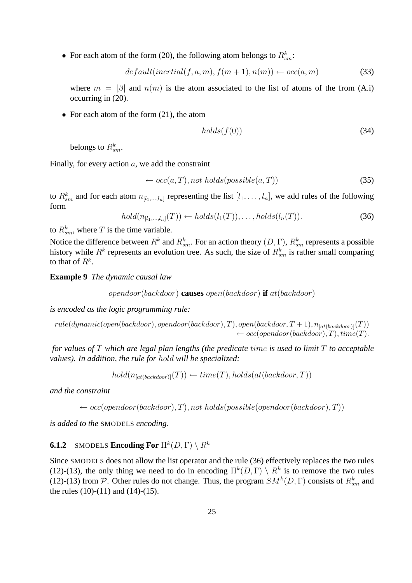• For each atom of the form (20), the following atom belongs to  $R_{sm}^k$ :

$$
default(inertial(f, a, m), f(m+1), n(m)) \leftarrow occ(a, m)
$$
\n(33)

where  $m = |\beta|$  and  $n(m)$  is the atom associated to the list of atoms of the from (A.i) occurring in (20).

• For each atom of the form  $(21)$ , the atom

$$
holds(f(0))\tag{34}
$$

belongs to  $R_{sm}^k$ .

Finally, for every action  $a$ , we add the constraint

$$
\leftarrow occ(a, T), not holds (possible(a, T)) \tag{35}
$$

to  $R_{sm}^k$  and for each atom  $n_{[l_1,...,l_n]}$  representing the list  $[l_1,...,l_n]$ , we add rules of the following form

$$
hold(n_{[l_1,\ldots,l_n]}(T)) \leftarrow holds(l_1(T)),\ldots, holds(l_n(T)).
$$
\n(36)

to  $R_{sm}^k$ , where T is the time variable.

Notice the difference between  $R^k$  and  $R_{sm}^k$ . For an action theory  $(D, \Gamma)$ ,  $R_{sm}^k$  represents a possible history while  $R^k$  represents an evolution tree. As such, the size of  $R_{sm}^k$  is rather small comparing to that of  $R^k$ .

**Example 9** *The dynamic causal law*

$$
opendoor(backdoor)
$$
 causes open(backdoor) if  $at(backdoor)$ 

*is encoded as the logic programming rule:*

 $rule(dynamic(open (backdoor), open door (backdoor), T), open (backdoor, T + 1), n_{[at (backdoor)]}(T))$  $\leftarrow occ(opendoor(backdoor), T), time(T).$ 

*for values of* T *which are legal plan lengths (the predicate* time *is used to limit* T *to acceptable values). In addition, the rule for* hold *will be specialized:*

 $hold(n_{[at(backdoor)]}(T)) \leftarrow time(T), holds(at(backdoor, T))$ 

*and the constraint*

 $\leftarrow occ(opendoor(backdoor), T), not holds(possible(opendoor(backdoor), T))$ 

*is added to the* SMODELS *encoding.*

## **6.1.2** SMODELS **Encoding For**  $\Pi^k(D, \Gamma) \setminus R^k$

Since SMODELS does not allow the list operator and the rule (36) effectively replaces the two rules (12)-(13), the only thing we need to do in encoding  $\Pi^k(D,\Gamma) \setminus \mathbb{R}^k$  is to remove the two rules (12)-(13) from P. Other rules do not change. Thus, the program  $SM^k(D,\Gamma)$  consists of  $R_{sm}^k$  and the rules (10)-(11) and (14)-(15).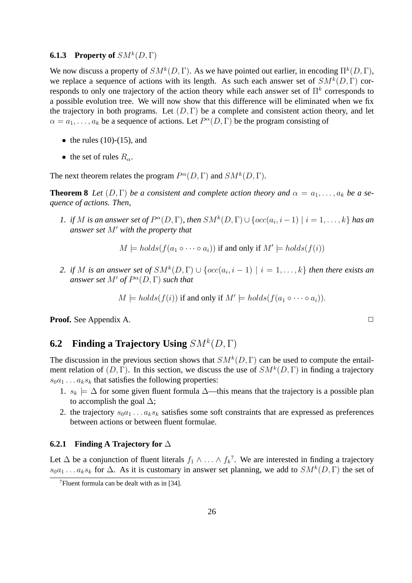## **6.1.3** Property of  $SM^k(D, \Gamma)$

We now discuss a property of  $SM^k(D, \Gamma)$ . As we have pointed out earlier, in encoding  $\Pi^k(D, \Gamma)$ , we replace a sequence of actions with its length. As such each answer set of  $SM^k(D, \Gamma)$  corresponds to only one trajectory of the action theory while each answer set of  $\Pi^k$  corresponds to a possible evolution tree. We will now show that this difference will be eliminated when we fix the trajectory in both programs. Let  $(D, \Gamma)$  be a complete and consistent action theory, and let  $\alpha = a_1, \dots, a_k$  be a sequence of actions. Let  $P^{\alpha}(D, \Gamma)$  be the program consisting of

- $\bullet$  the rules (10)-(15), and
- the set of rules  $R_{\alpha}$ .

The next theorem relates the program  $P^{\alpha}(D,\Gamma)$  and  $SM^{k}(D,\Gamma)$ .

**Theorem 8** *Let*  $(D, \Gamma)$  *be a consistent and complete action theory and*  $\alpha = a_1, \ldots, a_k$  *be a sequence of actions. Then,*

*1. if* M *is an answer set of*  $P^{\alpha}(D, \Gamma)$ *, then*  $SM^k(D, \Gamma) \cup \{occ(a_i, i-1) \mid i = 1, ..., k\}$  *has an answer set*  $M'$  *with the property that* 

$$
M \models holds(f(a_1 \circ \cdots \circ a_i)) \text{ if and only if } M' \models holds(f(i))
$$

2. *if* M is an answer set of  $SM^k(D, \Gamma) \cup \{ occ(a_i, i-1) \mid i = 1, ..., k \}$  then there exists an  $a$ nswer set  $M'$  of  $P^{\alpha}(D,\Gamma)$  such that

$$
M \models holds(f(i))
$$
 if and only if  $M' \models holds(f(a_1 \circ \cdots \circ a_i)).$ 

**Proof.** See Appendix A. ◯

## **6.2** Finding a Trajectory Using  $SM^k(D, \Gamma)$

The discussion in the previous section shows that  $SM^k(D, \Gamma)$  can be used to compute the entailment relation of  $(D, \Gamma)$ . In this section, we discuss the use of  $SM^k(D, \Gamma)$  in finding a trajectory  $s_0a_1 \ldots a_ks_k$  that satisfies the following properties:

- 1.  $s_k \models \Delta$  for some given fluent formula  $\Delta$ —this means that the trajectory is a possible plan to accomplish the goal  $\Delta$ ;
- 2. the trajectory  $s_0a_1 \ldots a_ks_k$  satisfies some soft constraints that are expressed as preferences between actions or between fluent formulae.

### **6.2.1 Finding A Trajectory for** ∆

Let  $\Delta$  be a conjunction of fluent literals  $f_1 \wedge \ldots \wedge f_k$ <sup>7</sup>. We are interested in finding a trajectory  $s_0a_1 \ldots a_ks_k$  for  $\Delta$ . As it is customary in answer set planning, we add to  $SM^k(D, \Gamma)$  the set of

<sup>7</sup>Fluent formula can be dealt with as in [34].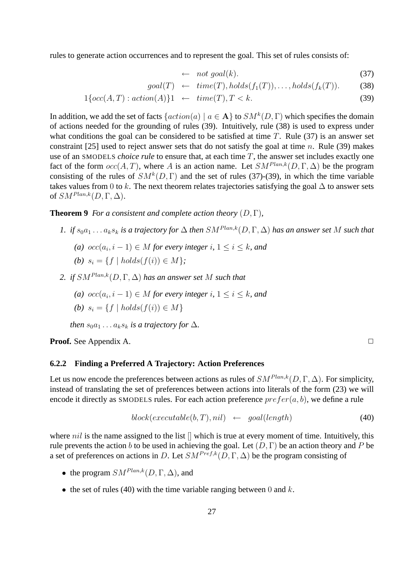rules to generate action occurrences and to represent the goal. This set of rules consists of:

$$
\leftarrow \quad not \; goal(k). \tag{37}
$$

$$
goal(T) \leftarrow time(T), holds(f_1(T)), \dots, holds(f_k(T)). \tag{38}
$$

$$
1\{\mathit{occ}(A, T) : \mathit{action}(A)\}1 \leftarrow \mathit{time}(T), T < k. \tag{39}
$$

In addition, we add the set of facts  $\{action(a) | a \in A\}$  to  $SM^k(D, \Gamma)$  which specifies the domain of actions needed for the grounding of rules (39). Intuitively, rule (38) is used to express under what conditions the goal can be considered to be satisfied at time  $T$ . Rule (37) is an answer set constraint [25] used to reject answer sets that do not satisfy the goal at time  $n$ . Rule (39) makes use of an SMODELS *choice rule* to ensure that, at each time T, the answer set includes exactly one fact of the form  $occ(A, T)$ , where A is an action name. Let  $SM^{Plan,k}(D, \Gamma, \Delta)$  be the program consisting of the rules of  $SM^k(D, \Gamma)$  and the set of rules (37)-(39), in which the time variable takes values from 0 to k. The next theorem relates trajectories satisfying the goal  $\Delta$  to answer sets of  $SM^{Plan,k}(D, \Gamma, \Delta)$ .

**Theorem 9** *For a consistent and complete action theory* (D, Γ)*,*

- *1. if*  $s_0a_1 \ldots a_ks_k$  *is a trajectory for*  $\Delta$  *then*  $SM^{Plan,k}(D, \Gamma, \Delta)$  *has an answer set* M *such that* 
	- *(a)*  $occ(a_i, i-1)$  ∈ *M for every integer i*,  $1 ≤ i ≤ k$ *, and*
	- *(b)*  $s_i = \{f | holds(f(i)) \in M\}$ *;*
- 2. *if*  $SM^{Plan,k}(D, \Gamma, \Delta)$  *has an answer set* M *such that* 
	- *(a)*  $occ(a_i, i-1)$  ∈ *M for every integer i*,  $1 ≤ i ≤ k$ *, and*
	- *(b)*  $s_i = \{f \mid holds(f(i)) \in M\}$

*then*  $s_0a_1 \ldots a_ks_k$  *is a trajectory for*  $\Delta$ *.* 

**Proof.** See Appendix A. ◯

#### **6.2.2 Finding a Preferred A Trajectory: Action Preferences**

Let us now encode the preferences between actions as rules of  $SM^{Plan,k}(D, \Gamma, \Delta)$ . For simplicity, instead of translating the set of preferences between actions into literals of the form (23) we will encode it directly as SMODELS rules. For each action preference  $prefer(a, b)$ , we define a rule

$$
block(executable(b, T), nil) \leftarrow goal(length) \tag{40}
$$

where  $nil$  is the name assigned to the list  $[]$  which is true at every moment of time. Intuitively, this rule prevents the action b to be used in achieving the goal. Let  $(D, \Gamma)$  be an action theory and P be a set of preferences on actions in D. Let  $SM^{Pref,k}(D,\Gamma,\Delta)$  be the program consisting of

- the program  $SM^{Plan,k}(D, \Gamma, \Delta)$ , and
- the set of rules (40) with the time variable ranging between 0 and  $k$ .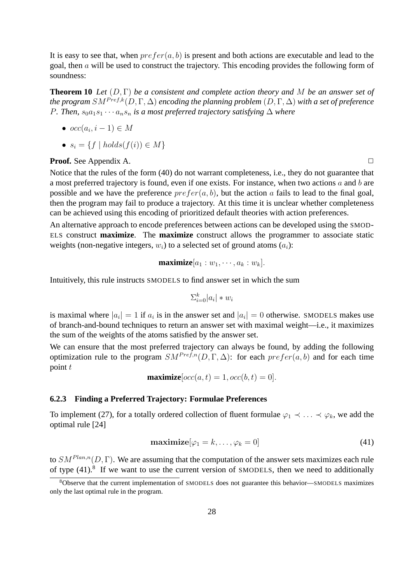It is easy to see that, when  $prefer(a, b)$  is present and both actions are executable and lead to the goal, then  $\alpha$  will be used to construct the trajectory. This encoding provides the following form of soundness:

**Theorem 10** *Let* (D, Γ) *be a consistent and complete action theory and* M *be an answer set of the program*  $SM^{Pref,k}(D, \Gamma, \Delta)$  *encoding the planning problem*  $(D, \Gamma, \Delta)$  *with a set of preference P. Then,*  $s_0a_1s_1 \cdots a_ns_n$  *is a most preferred trajectory satisfying*  $\Delta$  *where* 

- $occ(a_i, i-1) \in M$
- $s_i = \{f \mid holds(f(i)) \in M\}$

**Proof.** See Appendix A. ◯

Notice that the rules of the form (40) do not warrant completeness, i.e., they do not guarantee that a most preferred trajectory is found, even if one exists. For instance, when two actions  $a$  and  $b$  are possible and we have the preference  $prefer(a, b)$ , but the action a fails to lead to the final goal, then the program may fail to produce a trajectory. At this time it is unclear whether completeness can be achieved using this encoding of prioritized default theories with action preferences.

An alternative approach to encode preferences between actions can be developed using the SMOD-ELS construct **maximize**. The **maximize** construct allows the programmer to associate static weights (non-negative integers,  $w_i$ ) to a selected set of ground atoms  $(a_i)$ :

$$
\mathbf{maximize}[a_1:w_1,\cdots,a_k:w_k].
$$

Intuitively, this rule instructs SMODELS to find answer set in which the sum

$$
\sum_{i=0}^{k} |a_i| * w_i
$$

is maximal where  $|a_i| = 1$  if  $a_i$  is in the answer set and  $|a_i| = 0$  otherwise. SMODELS makes use of branch-and-bound techniques to return an answer set with maximal weight—i.e., it maximizes the sum of the weights of the atoms satisfied by the answer set.

We can ensure that the most preferred trajectory can always be found, by adding the following optimization rule to the program  $SM^{Pref,n}(D,\Gamma,\Delta)$ : for each  $prefer(a, b)$  and for each time point  $t$ 

$$
\text{maximize}[occ(a, t) = 1, occ(b, t) = 0].
$$

#### **6.2.3 Finding a Preferred Trajectory: Formulae Preferences**

To implement (27), for a totally ordered collection of fluent formulae  $\varphi_1 \prec \ldots \prec \varphi_k$ , we add the optimal rule [24]

$$
\mathbf{maximize} [\varphi_1 = k, \dots, \varphi_k = 0] \tag{41}
$$

to  $SM^{Plan,n}(D, \Gamma)$ . We are assuming that the computation of the answer sets maximizes each rule of type  $(41)$ .<sup>8</sup> If we want to use the current version of SMODELS, then we need to additionally

<sup>8</sup>Observe that the current implementation of SMODELS does not guarantee this behavior—SMODELS maximizes only the last optimal rule in the program.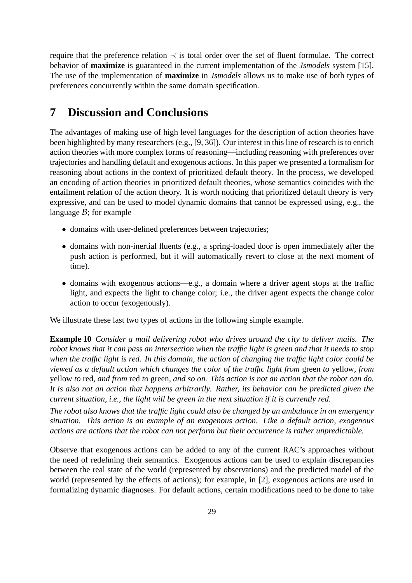require that the preference relation ≺ is total order over the set of fluent formulae. The correct behavior of **maximize** is guaranteed in the current implementation of the *Jsmodels* system [15]. The use of the implementation of **maximize** in *Jsmodels* allows us to make use of both types of preferences concurrently within the same domain specification.

## **7 Discussion and Conclusions**

The advantages of making use of high level languages for the description of action theories have been highlighted by many researchers (e.g., [9, 36]). Our interest in this line of research is to enrich action theories with more complex forms of reasoning—including reasoning with preferences over trajectories and handling default and exogenous actions. In this paper we presented a formalism for reasoning about actions in the context of prioritized default theory. In the process, we developed an encoding of action theories in prioritized default theories, whose semantics coincides with the entailment relation of the action theory. It is worth noticing that prioritized default theory is very expressive, and can be used to model dynamic domains that cannot be expressed using, e.g., the language  $\mathcal{B}$ ; for example

- domains with user-defined preferences between trajectories;
- domains with non-inertial fluents (e.g., a spring-loaded door is open immediately after the push action is performed, but it will automatically revert to close at the next moment of time).
- domains with exogenous actions—e.g., a domain where a driver agent stops at the traffic light, and expects the light to change color; i.e., the driver agent expects the change color action to occur (exogenously).

We illustrate these last two types of actions in the following simple example.

**Example 10** *Consider a mail delivering robot who drives around the city to deliver mails. The robot knows that it can pass an intersection when the traffic light is green and that it needs to stop when the traffic light is red. In this domain, the action of changing the traffic light color could be viewed as a default action which changes the color of the traffic light from* green *to* yellow*, from* yellow *to* red*, and from* red *to* green*, and so on. This action is not an action that the robot can do. It is also not an action that happens arbitrarily. Rather, its behavior can be predicted given the current situation, i.e., the light will be green in the next situation if it is currently red.*

*The robot also knows that the traffic light could also be changed by an ambulance in an emergency situation. This action is an example of an exogenous action. Like a default action, exogenous actions are actions that the robot can not perform but their occurrence is rather unpredictable.*

Observe that exogenous actions can be added to any of the current RAC's approaches without the need of redefining their semantics. Exogenous actions can be used to explain discrepancies between the real state of the world (represented by observations) and the predicted model of the world (represented by the effects of actions); for example, in [2], exogenous actions are used in formalizing dynamic diagnoses. For default actions, certain modifications need to be done to take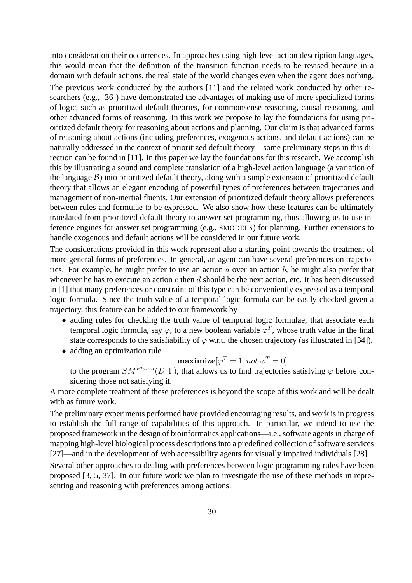into consideration their occurrences. In approaches using high-level action description languages, this would mean that the definition of the transition function needs to be revised because in a domain with default actions, the real state of the world changes even when the agent does nothing.

The previous work conducted by the authors [11] and the related work conducted by other researchers (e.g., [36]) have demonstrated the advantages of making use of more specialized forms of logic, such as prioritized default theories, for commonsense reasoning, causal reasoning, and other advanced forms of reasoning. In this work we propose to lay the foundations for using prioritized default theory for reasoning about actions and planning. Our claim is that advanced forms of reasoning about actions (including preferences, exogenous actions, and default actions) can be naturally addressed in the context of prioritized default theory—some preliminary steps in this direction can be found in [11]. In this paper we lay the foundations for this research. We accomplish this by illustrating a sound and complete translation of a high-level action language (a variation of the language  $B$ ) into prioritized default theory, along with a simple extension of prioritized default theory that allows an elegant encoding of powerful types of preferences between trajectories and management of non-inertial fluents. Our extension of prioritized default theory allows preferences between rules and formulae to be expressed. We also show how these features can be ultimately translated from prioritized default theory to answer set programming, thus allowing us to use inference engines for answer set programming (e.g., SMODELS) for planning. Further extensions to handle exogenous and default actions will be considered in our future work.

The considerations provided in this work represent also a starting point towards the treatment of more general forms of preferences. In general, an agent can have several preferences on trajectories. For example, he might prefer to use an action  $a$  over an action  $b$ , he might also prefer that whenever he has to execute an action  $c$  then  $d$  should be the next action, etc. It has been discussed in [1] that many preferences or constraint of this type can be conveniently expressed as a temporal logic formula. Since the truth value of a temporal logic formula can be easily checked given a trajectory, this feature can be added to our framework by

- adding rules for checking the truth value of temporal logic formulae, that associate each temporal logic formula, say  $\varphi$ , to a new boolean variable  $\varphi^T$ , whose truth value in the final state corresponds to the satisfiability of  $\varphi$  w.r.t. the chosen trajectory (as illustrated in [34]),
- adding an optimization rule

$$
\mathbf{maximize}[\varphi^T = 1, not \ \varphi^T = 0]
$$

to the program  $SM^{Plan,n}(D, \Gamma)$ , that allows us to find trajectories satisfying  $\varphi$  before considering those not satisfying it.

A more complete treatment of these preferences is beyond the scope of this work and will be dealt with as future work.

The preliminary experiments performed have provided encouraging results, and work is in progress to establish the full range of capabilities of this approach. In particular, we intend to use the proposed framework in the design of bioinformatics applications—i.e., software agents in charge of mapping high-level biological process descriptions into a predefined collection of software services [27]—and in the development of Web accessibility agents for visually impaired individuals [28].

Several other approaches to dealing with preferences between logic programming rules have been proposed [3, 5, 37]. In our future work we plan to investigate the use of these methods in representing and reasoning with preferences among actions.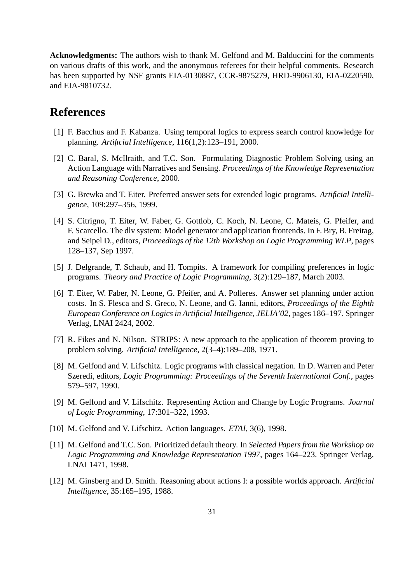**Acknowledgments:** The authors wish to thank M. Gelfond and M. Balduccini for the comments on various drafts of this work, and the anonymous referees for their helpful comments. Research has been supported by NSF grants EIA-0130887, CCR-9875279, HRD-9906130, EIA-0220590, and EIA-9810732.

## **References**

- [1] F. Bacchus and F. Kabanza. Using temporal logics to express search control knowledge for planning. *Artificial Intelligence*, 116(1,2):123–191, 2000.
- [2] C. Baral, S. McIlraith, and T.C. Son. Formulating Diagnostic Problem Solving using an Action Language with Narratives and Sensing. *Proceedings of the Knowledge Representation and Reasoning Conference*, 2000.
- [3] G. Brewka and T. Eiter. Preferred answer sets for extended logic programs. *Artificial Intelligence*, 109:297–356, 1999.
- [4] S. Citrigno, T. Eiter, W. Faber, G. Gottlob, C. Koch, N. Leone, C. Mateis, G. Pfeifer, and F. Scarcello. The dlv system: Model generator and application frontends. In F. Bry, B. Freitag, and Seipel D., editors, *Proceedings of the 12th Workshop on Logic Programming WLP*, pages 128–137, Sep 1997.
- [5] J. Delgrande, T. Schaub, and H. Tompits. A framework for compiling preferences in logic programs. *Theory and Practice of Logic Programming*, 3(2):129–187, March 2003.
- [6] T. Eiter, W. Faber, N. Leone, G. Pfeifer, and A. Polleres. Answer set planning under action costs. In S. Flesca and S. Greco, N. Leone, and G. Ianni, editors, *Proceedings of the Eighth European Conference on Logics in Artificial Intelligence, JELIA'02*, pages 186–197. Springer Verlag, LNAI 2424, 2002.
- [7] R. Fikes and N. Nilson. STRIPS: A new approach to the application of theorem proving to problem solving. *Artificial Intelligence*, 2(3–4):189–208, 1971.
- [8] M. Gelfond and V. Lifschitz. Logic programs with classical negation. In D. Warren and Peter Szeredi, editors, *Logic Programming: Proceedings of the Seventh International Conf.*, pages 579–597, 1990.
- [9] M. Gelfond and V. Lifschitz. Representing Action and Change by Logic Programs. *Journal of Logic Programming*, 17:301–322, 1993.
- [10] M. Gelfond and V. Lifschitz. Action languages. *ETAI*, 3(6), 1998.
- [11] M. Gelfond and T.C. Son. Prioritized default theory. In *Selected Papers from the Workshop on Logic Programming and Knowledge Representation 1997*, pages 164–223. Springer Verlag, LNAI 1471, 1998.
- [12] M. Ginsberg and D. Smith. Reasoning about actions I: a possible worlds approach. *Artificial Intelligence*, 35:165–195, 1988.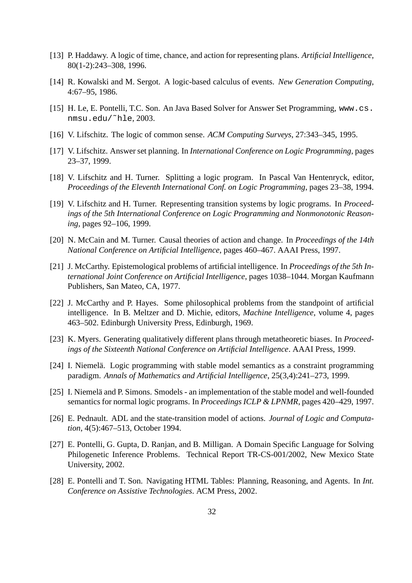- [13] P. Haddawy. A logic of time, chance, and action for representing plans. *Artificial Intelligence*, 80(1-2):243–308, 1996.
- [14] R. Kowalski and M. Sergot. A logic-based calculus of events. *New Generation Computing*, 4:67–95, 1986.
- [15] H. Le, E. Pontelli, T.C. Son. An Java Based Solver for Answer Set Programming, www.cs. nmsu.edu/˜hle, 2003.
- [16] V. Lifschitz. The logic of common sense. *ACM Computing Surveys*, 27:343–345, 1995.
- [17] V. Lifschitz. Answer set planning. In *International Conference on Logic Programming*, pages 23–37, 1999.
- [18] V. Lifschitz and H. Turner. Splitting a logic program. In Pascal Van Hentenryck, editor, *Proceedings of the Eleventh International Conf. on Logic Programming*, pages 23–38, 1994.
- [19] V. Lifschitz and H. Turner. Representing transition systems by logic programs. In *Proceedings of the 5th International Conference on Logic Programming and Nonmonotonic Reasoning*, pages 92–106, 1999.
- [20] N. McCain and M. Turner. Causal theories of action and change. In *Proceedings of the 14th National Conference on Artificial Intelligence*, pages 460–467. AAAI Press, 1997.
- [21] J. McCarthy. Epistemological problems of artificial intelligence. In *Proceedings of the 5th International Joint Conference on Artificial Intelligence*, pages 1038–1044. Morgan Kaufmann Publishers, San Mateo, CA, 1977.
- [22] J. McCarthy and P. Hayes. Some philosophical problems from the standpoint of artificial intelligence. In B. Meltzer and D. Michie, editors, *Machine Intelligence*, volume 4, pages 463–502. Edinburgh University Press, Edinburgh, 1969.
- [23] K. Myers. Generating qualitatively different plans through metatheoretic biases. In *Proceedings of the Sixteenth National Conference on Artificial Intelligence*. AAAI Press, 1999.
- [24] I. Niemelä. Logic programming with stable model semantics as a constraint programming paradigm. *Annals of Mathematics and Artificial Intelligence*, 25(3,4):241–273, 1999.
- [25] I. Niemelä and P. Simons. Smodels an implementation of the stable model and well-founded semantics for normal logic programs. In *Proceedings ICLP & LPNMR*, pages 420–429, 1997.
- [26] E. Pednault. ADL and the state-transition model of actions. *Journal of Logic and Computation*, 4(5):467–513, October 1994.
- [27] E. Pontelli, G. Gupta, D. Ranjan, and B. Milligan. A Domain Specific Language for Solving Philogenetic Inference Problems. Technical Report TR-CS-001/2002, New Mexico State University, 2002.
- [28] E. Pontelli and T. Son. Navigating HTML Tables: Planning, Reasoning, and Agents. In *Int. Conference on Assistive Technologies*. ACM Press, 2002.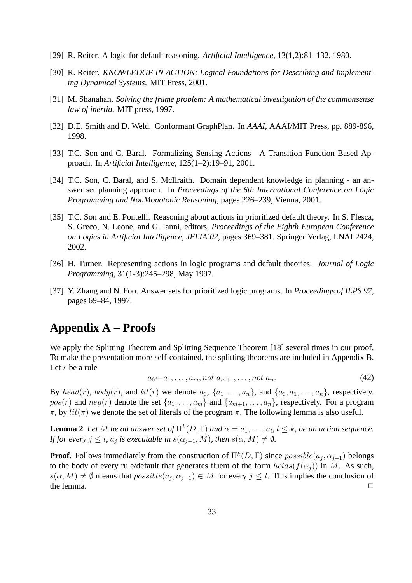- [29] R. Reiter. A logic for default reasoning. *Artificial Intelligence*, 13(1,2):81–132, 1980.
- [30] R. Reiter. *KNOWLEDGE IN ACTION: Logical Foundations for Describing and Implementing Dynamical Systems*. MIT Press, 2001.
- [31] M. Shanahan. *Solving the frame problem: A mathematical investigation of the commonsense law of inertia*. MIT press, 1997.
- [32] D.E. Smith and D. Weld. Conformant GraphPlan. In *AAAI*, AAAI/MIT Press, pp. 889-896, 1998.
- [33] T.C. Son and C. Baral. Formalizing Sensing Actions—A Transition Function Based Approach. In *Artificial Intelligence*, 125(1–2):19–91, 2001.
- [34] T.C. Son, C. Baral, and S. McIlraith. Domain dependent knowledge in planning an answer set planning approach. In *Proceedings of the 6th International Conference on Logic Programming and NonMonotonic Reasoning*, pages 226–239, Vienna, 2001.
- [35] T.C. Son and E. Pontelli. Reasoning about actions in prioritized default theory. In S. Flesca, S. Greco, N. Leone, and G. Ianni, editors, *Proceedings of the Eighth European Conference on Logics in Artificial Intelligence, JELIA'02*, pages 369–381. Springer Verlag, LNAI 2424, 2002.
- [36] H. Turner. Representing actions in logic programs and default theories. *Journal of Logic Programming*, 31(1-3):245–298, May 1997.
- [37] Y. Zhang and N. Foo. Answer sets for prioritized logic programs. In *Proceedings of ILPS 97*, pages 69–84, 1997.

## **Appendix A – Proofs**

We apply the Splitting Theorem and Splitting Sequence Theorem [18] several times in our proof. To make the presentation more self-contained, the splitting theorems are included in Appendix B. Let  $r$  be a rule

$$
a_0 \leftarrow a_1, \dots, a_m, \text{not } a_{m+1}, \dots, \text{not } a_n. \tag{42}
$$

By  $head(r)$ ,  $body(r)$ , and  $lit(r)$  we denote  $a_0$ ,  $\{a_1, \ldots, a_n\}$ , and  $\{a_0, a_1, \ldots, a_n\}$ , respectively.  $pos(r)$  and  $neg(r)$  denote the set  $\{a_1, \ldots, a_m\}$  and  $\{a_{m+1}, \ldots, a_n\}$ , respectively. For a program  $π$ , by  $lit(π)$  we denote the set of literals of the program π. The following lemma is also useful.

**Lemma 2** Let M be an answer set of  $\Pi^k(D,\Gamma)$  and  $\alpha = a_1, \ldots, a_l$ ,  $l \leq k$ , be an action sequence. *If for every*  $j \leq l$ ,  $a_j$  *is executable in*  $s(\alpha_{j-1}, M)$ *, then*  $s(\alpha, M) \neq \emptyset$ *.* 

**Proof.** Follows immediately from the construction of  $\Pi^k(D, \Gamma)$  since  $possible(a_j, \alpha_{j-1})$  belongs to the body of every rule/default that generates fluent of the form  $holds(f(\alpha_i))$  in M. As such,  $s(\alpha, M) \neq \emptyset$  means that  $possible(a_j, \alpha_{j-1}) \in M$  for every  $j \leq l$ . This implies the conclusion of the lemma.  $\Box$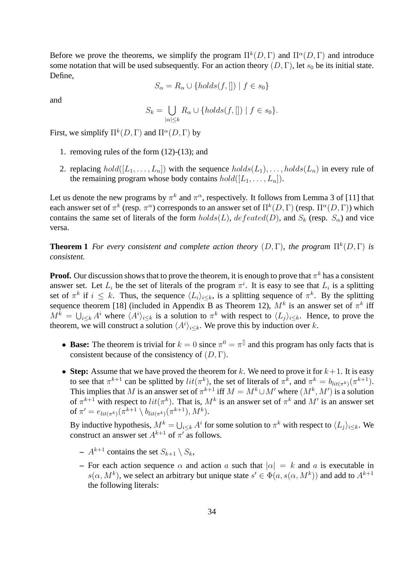Before we prove the theorems, we simplify the program  $\Pi^k(D,\Gamma)$  and  $\Pi^{\alpha}(D,\Gamma)$  and introduce some notation that will be used subsequently. For an action theory  $(D, \Gamma)$ , let  $s_0$  be its initial state. Define,

$$
S_{\alpha} = R_{\alpha} \cup \{holds(f, []) \mid f \in s_0\}
$$

and

$$
S_k = \bigcup_{|\alpha| \le k} R_\alpha \cup \{holds(f, []) \mid f \in s_0\}.
$$

First, we simplify  $\Pi^k(D,\Gamma)$  and  $\Pi^{\alpha}(D,\Gamma)$  by

- 1. removing rules of the form (12)-(13); and
- 2. replacing  $hold([L_1, \ldots, L_n])$  with the sequence  $holds(L_1), \ldots, holds(L_n)$  in every rule of the remaining program whose body contains  $hold([L_1, \ldots, L_n])$ .

Let us denote the new programs by  $\pi^k$  and  $\pi^{\alpha}$ , respectively. It follows from Lemma 3 of [11] that each answer set of  $\pi^k$  (resp.  $\pi^{\alpha}$ ) corresponds to an answer set of  $\Pi^k(D,\Gamma)$  (resp.  $\Pi^{\alpha}(D,\Gamma)$ ) which contains the same set of literals of the form  $holds(L)$ ,  $defeated(D)$ , and  $S_k$  (resp.  $S_{\alpha}$ ) and vice versa.

**Theorem 1** *For every consistent and complete action theory*  $(D, \Gamma)$ *, the program*  $\Pi^k(D, \Gamma)$  *is consistent.*

**Proof.** Our discussion shows that to prove the theorem, it is enough to prove that  $\pi^k$  has a consistent answer set. Let  $L_i$  be the set of literals of the program  $\pi^i$ . It is easy to see that  $L_i$  is a splitting set of  $\pi^k$  if  $i \leq k$ . Thus, the sequence  $\langle L_i \rangle_{i \leq k}$ , is a splitting sequence of  $\pi^k$ . By the splitting sequence theorem [18] (included in Appendix B as Theorem 12),  $M^k$  is an answer set of  $\pi^k$  iff  $M^k = \bigcup_{i \leq k} A^i$  where  $\langle A^i \rangle_{i \leq k}$  is a solution to  $\pi^k$  with respect to  $\langle L_j \rangle_{i \leq k}$ . Hence, to prove the theorem, we will construct a solution  $\langle A^i \rangle_{i \leq k}$ . We prove this by induction over k.

- Base: The theorem is trivial for  $k = 0$  since  $\pi^0 = \pi^0$  and this program has only facts that is consistent because of the consistency of  $(D, \Gamma)$ .
- **Step:** Assume that we have proved the theorem for k. We need to prove it for  $k+1$ . It is easy to see that  $\pi^{k+1}$  can be splitted by  $lit(\pi^k)$ , the set of literals of  $\pi^k$ , and  $\pi^k = b_{lit(\pi^k)}(\pi^{k+1})$ . This implies that M is an answer set of  $\pi^{k+1}$  iff  $M = M^k \cup M'$  where  $(M^k, M')$  is a solution of  $\pi^{k+1}$  with respect to  $lit(\pi^k)$ . That is,  $M^k$  is an answer set of  $\pi^k$  and  $M'$  is an answer set of  $\pi' = e_{lit(\pi^k)}(\pi^{k+1} \setminus b_{lit(\pi^k)}(\pi^{k+1}), M^k)$ .

By inductive hypothesis,  $M^k = \bigcup_{i \leq k} A^i$  for some solution to  $\pi^k$  with respect to  $\langle L_j \rangle_{i \leq k}$ . We construct an answer set  $A^{k+1}$  of  $\pi'$  as follows.

- $A^{k+1}$  contains the set  $S_{k+1} \setminus S_k$ ,
- **–** For each action sequence  $\alpha$  and action  $\alpha$  such that  $|\alpha| = k$  and  $\alpha$  is executable in  $s(\alpha, M^k)$ , we select an arbitrary but unique state  $s' \in \Phi(a, s(\alpha, M^k))$  and add to  $A^{k+1}$ the following literals: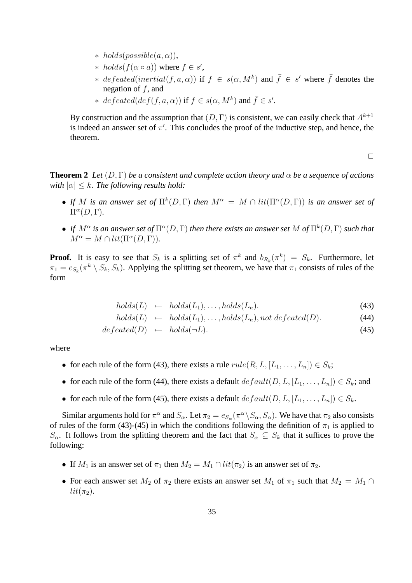- $\ast \; holds(possible(a, \alpha)),$
- \*  $holds(f(\alpha \circ a))$  where  $f \in s'$ ,
- \* defeated(inertial(f, a,  $\alpha$ )) if  $f \in s(\alpha, M^k)$  and  $\overline{f} \in s'$  where  $\overline{f}$  denotes the negation of f, and
- \* defeated(def(f, a,  $\alpha$ )) if  $f \in s(\alpha, M^k)$  and  $\overline{f} \in s'$ .

By construction and the assumption that  $(D, \Gamma)$  is consistent, we can easily check that  $A^{k+1}$ is indeed an answer set of  $\pi'$ . This concludes the proof of the inductive step, and hence, the theorem.

 $\Box$ 

**Theorem 2** *Let* (D, Γ) *be a consistent and complete action theory and* α *be a sequence of actions with*  $|\alpha| \leq k$ *. The following results hold:* 

- If M is an answer set of  $\Pi^k(D,\Gamma)$  then  $M^{\alpha} = M \cap lit(\Pi^{\alpha}(D,\Gamma))$  is an answer set of  $\Pi^{\alpha}(D, Γ)$ .
- If  $M^{\alpha}$  is an answer set of  $\Pi^{\alpha}(D,\Gamma)$  then there exists an answer set M of  $\Pi^{k}(D,\Gamma)$  such that  $M^{\alpha} = M \cap lit(\Pi^{\alpha}(D,\Gamma)).$

**Proof.** It is easy to see that  $S_k$  is a splitting set of  $\pi^k$  and  $b_{R_k}(\pi^k) = S_k$ . Furthermore, let  $\pi_1 = e_{S_k}(\pi^k \setminus S_k, S_k)$ . Applying the splitting set theorem, we have that  $\pi_1$  consists of rules of the form

$$
holds(L) \leftarrow holds(L_1), \dots, holds(L_n). \tag{43}
$$

$$
holds(L) \leftarrow holds(L_1), \dots, holds(L_n), not \, defeated(D). \tag{44}
$$

$$
defeated(D) \leftarrow holds(\neg L). \tag{45}
$$

where

- for each rule of the form (43), there exists a rule  $rule(R, L, [L_1, \ldots, L_n]) \in S_k$ ;
- for each rule of the form (44), there exists a default  $default(D, L, [L_1, \ldots, L_n]) \in S_k$ ; and
- for each rule of the form (45), there exists a default  $default(D, L, [L_1, \ldots, L_n]) \in S_k$ .

Similar arguments hold for  $\pi^{\alpha}$  and  $S_{\alpha}$ . Let  $\pi_2 = e_{S_{\alpha}}(\pi^{\alpha} \setminus S_{\alpha}, S_{\alpha})$ . We have that  $\pi_2$  also consists of rules of the form (43)-(45) in which the conditions following the definition of  $\pi_1$  is applied to  $S_{\alpha}$ . It follows from the splitting theorem and the fact that  $S_{\alpha} \subseteq S_k$  that it suffices to prove the following:

- If  $M_1$  is an answer set of  $\pi_1$  then  $M_2 = M_1 \cap lit(\pi_2)$  is an answer set of  $\pi_2$ .
- For each answer set  $M_2$  of  $\pi_2$  there exists an answer set  $M_1$  of  $\pi_1$  such that  $M_2 = M_1 \cap$  $lit(\pi_2)$ .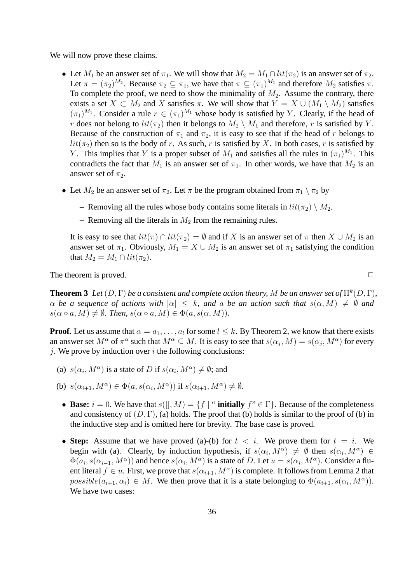We will now prove these claims.

- Let  $M_1$  be an answer set of  $\pi_1$ . We will show that  $M_2 = M_1 \cap lit(\pi_2)$  is an answer set of  $\pi_2$ . Let  $\pi = (\pi_2)^{M_2}$ . Because  $\pi_2 \subseteq \pi_1$ , we have that  $\pi \subseteq (\pi_1)^{M_1}$  and therefore  $M_2$  satisfies  $\pi$ . To complete the proof, we need to show the minimality of  $M_2$ . Assume the contrary, there exists a set  $X \subset M_2$  and X satisfies  $\pi$ . We will show that  $Y = X \cup (M_1 \setminus M_2)$  satisfies  $(\pi_1)^{M_1}$ . Consider a rule  $r \in (\pi_1)^{M_1}$  whose body is satisfied by Y. Clearly, if the head of r does not belong to  $lit(\pi_2)$  then it belongs to  $M_2 \setminus M_1$  and therefore, r is satisfied by Y. Because of the construction of  $\pi_1$  and  $\pi_2$ , it is easy to see that if the head of r belongs to  $lit(\pi_2)$  then so is the body of r. As such, r is satisfied by X. In both cases, r is satisfied by Y. This implies that Y is a proper subset of  $M_1$  and satisfies all the rules in  $(\pi_1)^{M_1}$ . This contradicts the fact that  $M_1$  is an answer set of  $\pi_1$ . In other words, we have that  $M_2$  is an answer set of  $\pi_2$ .
- Let  $M_2$  be an answer set of  $\pi_2$ . Let  $\pi$  be the program obtained from  $\pi_1 \setminus \pi_2$  by
	- **–** Removing all the rules whose body contains some literals in  $lit(\pi_2) \setminus M_2$ .
	- $-$  Removing all the literals in  $M_2$  from the remaining rules.

It is easy to see that  $lit(\pi) \cap lit(\pi_2) = \emptyset$  and if X is an answer set of  $\pi$  then  $X \cup M_2$  is an answer set of  $\pi_1$ . Obviously,  $M_1 = X \cup M_2$  is an answer set of  $\pi_1$  satisfying the condition that  $M_2 = M_1 \cap lit(\pi_2)$ .

The theorem is proved.  $\Box$ 

**Theorem 3** Let  $(D, \Gamma)$  be a consistent and complete action theory, M be an answer set of  $\Pi^k(D, \Gamma)$ ,  $\alpha$  *be a sequence of actions with*  $|\alpha| \leq k$ , and a *be an action such that*  $s(\alpha, M) \neq \emptyset$  and  $s(\alpha \circ a, M) \neq \emptyset$ . Then,  $s(\alpha \circ a, M) \in \Phi(a, s(\alpha, M))$ .

**Proof.** Let us assume that  $\alpha = a_1, \ldots, a_l$  for some  $l \leq k$ . By Theorem 2, we know that there exists an answer set  $M^{\alpha}$  of  $\pi^{\alpha}$  such that  $M^{\alpha} \subseteq M$ . It is easy to see that  $s(\alpha_j, M) = s(\alpha_j, M^{\alpha})$  for every  $j$ . We prove by induction over  $i$  the following conclusions:

- (a)  $s(\alpha_i, M^{\alpha})$  is a state of D if  $s(\alpha_i, M^{\alpha}) \neq \emptyset$ ; and
- (b)  $s(\alpha_{i+1}, M^{\alpha}) \in \Phi(a, s(\alpha_i, M^{\alpha}))$  if  $s(\alpha_{i+1}, M^{\alpha}) \neq \emptyset$ .
	- **Base:**  $i = 0$ . We have that  $s(0, M) = \{f |$  "**initially**  $f'' \in \Gamma\}$ . Because of the completeness and consistency of  $(D, \Gamma)$ , (a) holds. The proof that (b) holds is similar to the proof of (b) in the inductive step and is omitted here for brevity. The base case is proved.
	- **Step:** Assume that we have proved (a)-(b) for  $t < i$ . We prove them for  $t = i$ . We begin with (a). Clearly, by induction hypothesis, if  $s(\alpha_i, M^{\alpha}) \neq \emptyset$  then  $s(\alpha_i, M^{\alpha}) \in$  $\Phi(a_i, s(\alpha_{i-1}, M^{\alpha}))$  and hence  $s(\alpha_i, M^{\alpha})$  is a state of D. Let  $u = s(\alpha_i, M^{\alpha})$ . Consider a fluent literal  $f \in u$ . First, we prove that  $s(\alpha_{i+1}, M^{\alpha})$  is complete. It follows from Lemma 2 that  $possible(a_{i+1}, \alpha_i) \in M$ . We then prove that it is a state belonging to  $\Phi(a_{i+1}, s(\alpha_i, M^{\alpha}))$ . We have two cases: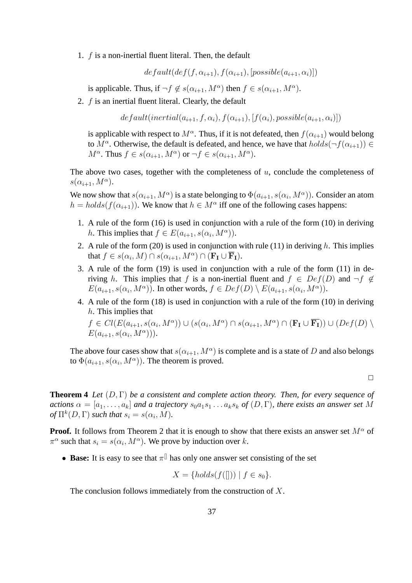1. f is a non-inertial fluent literal. Then, the default

 $default(def(f, \alpha_{i+1}), f(\alpha_{i+1}), [possible(a_{i+1}, \alpha_i)])$ 

is applicable. Thus, if  $\neg f \notin s(\alpha_{i+1}, M^\alpha)$  then  $f \in s(\alpha_{i+1}, M^\alpha)$ .

2. f is an inertial fluent literal. Clearly, the default

 $default(inertial(a_{i+1}, f, \alpha_i), f(\alpha_{i+1}), [f(\alpha_i), possible(a_{i+1}, \alpha_i)])$ 

is applicable with respect to  $M^{\alpha}$ . Thus, if it is not defeated, then  $f(\alpha_{i+1})$  would belong to  $M^{\alpha}$ . Otherwise, the default is defeated, and hence, we have that  $holds(\neg f(\alpha_{i+1})) \in$  $M^{\alpha}$ . Thus  $f \in s(\alpha_{i+1}, M^{\alpha})$  or  $\neg f \in s(\alpha_{i+1}, M^{\alpha})$ .

The above two cases, together with the completeness of  $u$ , conclude the completeness of  $s(\alpha_{i+1}, M^{\alpha}).$ 

We now show that  $s(\alpha_{i+1}, M^{\alpha})$  is a state belonging to  $\Phi(a_{i+1}, s(\alpha_i, M^{\alpha}))$ . Consider an atom  $h = holds(f(\alpha_{i+1}))$ . We know that  $h \in M^{\alpha}$  iff one of the following cases happens:

- 1. A rule of the form (16) is used in conjunction with a rule of the form (10) in deriving *h*. This implies that  $f \in E(a_{i+1}, s(\alpha_i, M^{\alpha}))$ .
- 2. A rule of the form (20) is used in conjunction with rule (11) in deriving  $h$ . This implies that  $f \in s(\alpha_i, M) \cap s(\alpha_{i+1}, M^{\alpha}) \cap (\mathbf{F}_{\mathbf{I}} \cup \overline{\mathbf{F}}_{\mathbf{I}}).$
- 3. A rule of the form (19) is used in conjunction with a rule of the form (11) in deriving h. This implies that f is a non-inertial fluent and  $f \in Def(D)$  and  $\neg f \notin$  $E(a_{i+1}, s(\alpha_i, M^{\alpha}))$ . In other words,  $f \in Def(D) \setminus E(a_{i+1}, s(\alpha_i, M^{\alpha}))$ .
- 4. A rule of the form (18) is used in conjunction with a rule of the form (10) in deriving h. This implies that

 $f \in Cl(E(a_{i+1}, s(\alpha_i, M^{\alpha})) \cup (s(\alpha_i, M^{\alpha}) \cap s(\alpha_{i+1}, M^{\alpha}) \cap (\mathbf{F}_{\mathbf{I}} \cup \overline{\mathbf{F}_{\mathbf{I}}})) \cup (Def(D) \setminus$  $E(a_{i+1}, s(\alpha_i, M^{\alpha}))).$ 

The above four cases show that  $s(\alpha_{i+1}, M^{\alpha})$  is complete and is a state of D and also belongs to  $\Phi(a_{i+1}, s(\alpha_i, M^{\alpha}))$ . The theorem is proved.

 $\Box$ 

**Theorem 4** *Let* (D, Γ) *be a consistent and complete action theory. Then, for every sequence of actions*  $\alpha = [a_1, \ldots, a_k]$  *and a trajectory*  $s_0a_1s_1 \ldots a_ks_k$  *of*  $(D, \Gamma)$ *, there exists an answer set* M *of*  $\Pi^k(D, \Gamma)$  *such that*  $s_i = s(\alpha_i, M)$ *.* 

**Proof.** It follows from Theorem 2 that it is enough to show that there exists an answer set  $M^{\alpha}$  of  $\pi^{\alpha}$  such that  $s_i = s(\alpha_i, M^{\alpha})$ . We prove by induction over k.

• Base: It is easy to see that  $\pi^{\parallel}$  has only one answer set consisting of the set

$$
X = \{holds(f(\texttt{)})) \mid f \in s_0\}.
$$

The conclusion follows immediately from the construction of  $X$ .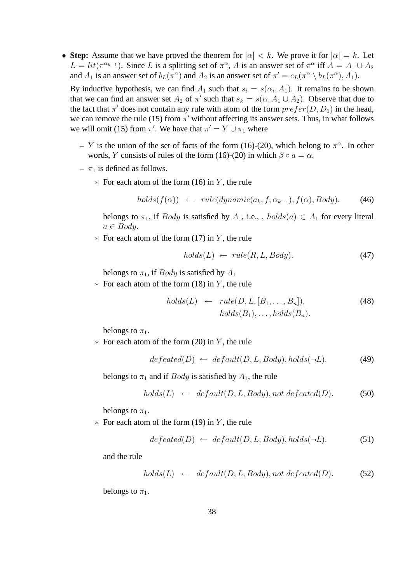• **Step:** Assume that we have proved the theorem for  $|\alpha| < k$ . We prove it for  $|\alpha| = k$ . Let  $L = lit(\pi^{\alpha_{k-1}})$ . Since L is a splitting set of  $\pi^{\alpha}$ , A is an answer set of  $\pi^{\alpha}$  iff  $A = A_1 \cup A_2$ and  $A_1$  is an answer set of  $b_L(\pi^{\alpha})$  and  $A_2$  is an answer set of  $\pi' = e_L(\pi^{\alpha} \setminus b_L(\pi^{\alpha}), A_1)$ .

By inductive hypothesis, we can find  $A_1$  such that  $s_i = s(\alpha_i, A_1)$ . It remains to be shown that we can find an answer set  $A_2$  of  $\pi'$  such that  $s_k = s(\alpha, A_1 \cup A_2)$ . Observe that due to the fact that  $\pi'$  does not contain any rule with atom of the form  $\text{pref}(\mathcal{D}, \mathcal{D}_1)$  in the head, we can remove the rule (15) from  $\pi'$  without affecting its answer sets. Thus, in what follows we will omit (15) from  $\pi'$ . We have that  $\pi' = Y \cup \pi_1$  where

- $-$  Y is the union of the set of facts of the form (16)-(20), which belong to  $\pi^{\alpha}$ . In other words, Y consists of rules of the form (16)-(20) in which  $\beta \circ a = \alpha$ .
- $\pi_1$  is defined as follows.
	- $\ast$  For each atom of the form (16) in Y, the rule

$$
holds(f(\alpha)) \leftarrow rule(dynamic(a_k, f, \alpha_{k-1}), f(\alpha), Body). \tag{46}
$$

belongs to  $\pi_1$ , if Body is satisfied by  $A_1$ , i.e., ,  $holds(a) \in A_1$  for every literal  $a \in Body.$ 

 $\ast$  For each atom of the form (17) in Y, the rule

$$
holds(L) \leftarrow rule(R, L, Body). \tag{47}
$$

belongs to  $\pi_1$ , if *Body* is satisfied by  $A_1$ 

 $\ast$  For each atom of the form (18) in Y, the rule

$$
holds(L) \leftarrow rule(D, L, [B_1, \dots, B_n]), \qquad (48)
$$

$$
holds(B_1), \dots, holds(B_n).
$$

belongs to  $\pi_1$ .

 $\ast$  For each atom of the form (20) in Y, the rule

$$
defeated(D) \leftarrow default(D, L, Body), holds(\neg L). \tag{49}
$$

belongs to  $\pi_1$  and if *Body* is satisfied by  $A_1$ , the rule

$$
holds(L) \leftarrow default(D, L, Body), not \, defeated(D). \tag{50}
$$

belongs to  $\pi_1$ .

 $\ast$  For each atom of the form (19) in Y, the rule

$$
defeated(D) \leftarrow default(D, L, Body), holds(\neg L). \tag{51}
$$

and the rule

$$
holds(L) \leftarrow default(D, L, Body), not \, defeated(D). \tag{52}
$$

belongs to  $\pi_1$ .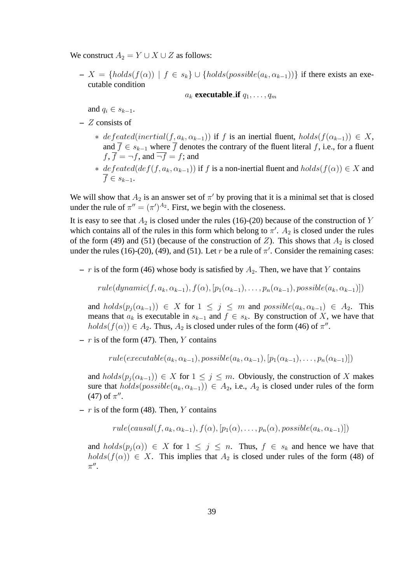We construct  $A_2 = Y \cup X \cup Z$  as follows:

**–**  $X = \{holds(f(\alpha)) | f \in s_k\} ∪ \{holds(possible(a_k, \alpha_{k-1}))\}$  if there exists an executable condition

 $a_k$  **executable if**  $q_1, \ldots, q_m$ 

and  $q_i \in s_{k-1}$ .

**–** Z consists of

- $\ast$  defeated(inertial(f,  $a_k, \alpha_{k-1}$ )) if f is an inertial fluent, holds(f( $\alpha_{k-1}$ )) ∈ X, and  $\overline{f} \in s_{k-1}$  where  $\overline{f}$  denotes the contrary of the fluent literal f, i.e., for a fluent  $f, \overline{f} = \neg f$ , and  $\overline{\neg f} = f$ ; and
- $∗ \def {e}{\det}$  *defeated*( $def(f, a_k, \alpha_{k-1})$ ) if f is a non-inertial fluent and  $holds(f(\alpha)) ∈ X$  and  $\overline{f} \in s_{k-1}$ .

We will show that  $A_2$  is an answer set of  $\pi'$  by proving that it is a minimal set that is closed under the rule of  $\pi'' = (\pi')^{A_2}$ . First, we begin with the closeness.

It is easy to see that  $A_2$  is closed under the rules (16)-(20) because of the construction of Y which contains all of the rules in this form which belong to  $\pi'$ .  $A_2$  is closed under the rules of the form (49) and (51) (because of the construction of Z). This shows that  $A_2$  is closed under the rules (16)-(20), (49), and (51). Let r be a rule of  $\pi'$ . Consider the remaining cases:

 $- r$  is of the form (46) whose body is satisfied by  $A_2$ . Then, we have that Y contains

 $rule(dynamic(f, a_k, \alpha_{k-1}), f(\alpha), [p_1(\alpha_{k-1}), \ldots, p_n(\alpha_{k-1}), possible(a_k, \alpha_{k-1})])$ 

and  $holds(p_j(\alpha_{k-1})) \in X$  for  $1 \leq j \leq m$  and  $possible(a_k, \alpha_{k-1}) \in A_2$ . This means that  $a_k$  is executable in  $s_{k-1}$  and  $f \in s_k$ . By construction of X, we have that  $holds(f(\alpha)) \in A_2$ . Thus,  $A_2$  is closed under rules of the form (46) of  $\pi''$ .

**–** r is of the form (47). Then, Y contains

 $rule(executable(a_k, \alpha_{k-1}), possible(a_k, \alpha_{k-1}), [p_1(\alpha_{k-1}), \ldots, p_n(\alpha_{k-1})])$ 

and  $holds(p_i(\alpha_{k-1})) \in X$  for  $1 \leq j \leq m$ . Obviously, the construction of X makes sure that  $holds(possible(a_k, \alpha_{k-1})) \in A_2$ , i.e.,  $A_2$  is closed under rules of the form  $(47)$  of  $\pi''$ .

**–** r is of the form (48). Then, Y contains

 $rule(causal(f, a_k, \alpha_{k-1}), f(\alpha), [p_1(\alpha), \ldots, p_n(\alpha), possible(a_k, \alpha_{k-1})])$ 

and  $holds(p_i(\alpha)) \in X$  for  $1 \leq j \leq n$ . Thus,  $f \in s_k$  and hence we have that  $holds(f(\alpha)) \in X$ . This implies that  $A_2$  is closed under rules of the form (48) of  $\pi''$ .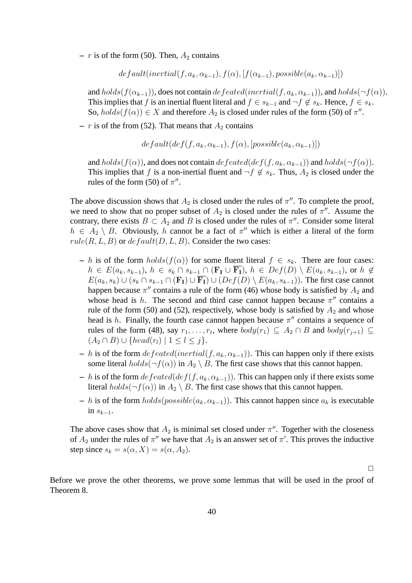$- r$  is of the form (50). Then,  $A_2$  contains

 $default( inertial(f, a_k, \alpha_{k-1}), f(\alpha), [f(\alpha_{k-1}), possible(a_k, \alpha_{k-1})])$ 

and  $holds(f(\alpha_{k-1}))$ , does not contain  $defeated(inertial(f, a_k, \alpha_{k-1}))$ , and  $holds(\neg f(\alpha))$ . This implies that f is an inertial fluent literal and  $f \in s_{k-1}$  and  $\neg f \notin s_k$ . Hence,  $f \in s_k$ . So,  $holds(f(\alpha)) \in X$  and therefore  $A_2$  is closed under rules of the form (50) of  $\pi$ ".

 $- r$  is of the from (52). That means that  $A_2$  contains

$$
default(def(f, a_k, \alpha_{k-1}), f(\alpha), [possible(a_k, \alpha_{k-1})])
$$

and  $holds(f(\alpha))$ , and does not contain  $defeated(def(f, a_k, \alpha_{k-1}))$  and  $holds(\neg f(\alpha))$ . This implies that f is a non-inertial fluent and  $\neg f \notin s_k$ . Thus,  $A_2$  is closed under the rules of the form (50) of  $\pi''$ .

The above discussion shows that  $A_2$  is closed under the rules of  $\pi''$ . To complete the proof, we need to show that no proper subset of  $A_2$  is closed under the rules of  $\pi''$ . Assume the contrary, there exists  $B \subset A_2$  and B is closed under the rules of  $\pi''$ . Consider some literal  $h \in A_2 \setminus B$ . Obviously, h cannot be a fact of  $\pi''$  which is either a literal of the form  $rule(R, L, B)$  or  $default(D, L, B)$ . Consider the two cases:

- $− h$  is of the form  $holds(f(α))$  for some fluent literal  $f ∈ s_k$ . There are four cases:  $h \in E(a_k, s_{k-1}), h \in s_k \cap s_{k-1} \cap (\mathbf{F}_{\mathbf{I}} \cup \overline{\mathbf{F}_{\mathbf{I}}}), h \in Def(D) \setminus E(a_k, s_{k-1}),$  or  $h \notin$  $E(a_k, s_k) \cup (s_k \cap s_{k-1} \cap (\mathbf{F}_\mathbf{I}) \cup \overline{\mathbf{F}_\mathbf{I}}) \cup (Def(D) \setminus E(a_k, s_{k-1}))$ . The first case cannot happen because  $\pi''$  contains a rule of the form (46) whose body is satisfied by  $A_2$  and whose head is h. The second and third case cannot happen because  $\pi''$  contains a rule of the form (50) and (52), respectively, whose body is satisfied by  $A_2$  and whose head is h. Finally, the fourth case cannot happen because  $\pi''$  contains a sequence of rules of the form (48), say  $r_1, \ldots, r_t$ , where  $body(r_1) \subseteq A_2 \cap B$  and  $body(r_{j+1}) \subseteq$  $(A_2 \cap B) \cup \{head(r_l) \mid 1 \leq l \leq j\}.$
- $h$  is of the form  $defected(inertial(f, a_k, \alpha_{k-1}))$ . This can happen only if there exists some literal  $holds(\neg f(\alpha))$  in  $A_2 \setminus B$ . The first case shows that this cannot happen.
- $h$  is of the form  $defected(def(f, a_k, \alpha_{k-1}))$ . This can happen only if there exists some literal  $holds(\neg f(\alpha))$  in  $A_2 \setminus B$ . The first case shows that this cannot happen.
- $h$  is of the form  $holds(possible(a_k, \alpha_{k-1}))$ . This cannot happen since  $a_k$  is executable in  $s_{k-1}$ .

The above cases show that  $A_2$  is minimal set closed under  $\pi''$ . Together with the closeness of  $A_2$  under the rules of  $\pi''$  we have that  $A_2$  is an answer set of  $\pi'$ . This proves the inductive step since  $s_k = s(\alpha, X) = s(\alpha, A_2)$ .

 $\Box$ 

Before we prove the other theorems, we prove some lemmas that will be used in the proof of Theorem 8.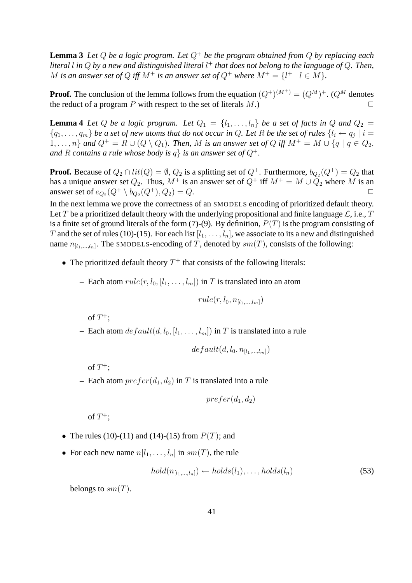**Lemma 3** *Let* Q *be a logic program. Let* Q<sup>+</sup> *be the program obtained from* Q *by replacing each literal* l *in* Q *by a new and distinguished literal* l <sup>+</sup> *that does not belong to the language of* Q*. Then,* M is an answer set of Q iff  $M^+$  is an answer set of  $Q^+$  where  $M^+ = \{l^+ \mid l \in M\}$ .

**Proof.** The conclusion of the lemma follows from the equation  $(Q^+)^{(M^+)} = (Q^M)^+$ .  $(Q^M$  denotes the reduct of a program P with respect to the set of literals  $M$ .)

**Lemma 4** Let Q be a logic program. Let  $Q_1 = \{l_1, \ldots, l_n\}$  be a set of facts in Q and  $Q_2$  =  $\{q_1, \ldots, q_m\}$  be a set of new atoms that do not occur in Q. Let R be the set of rules  $\{l_i \leftarrow q_j \mid i = 1\}$ 1, ..., n} and  $Q^+ = R \cup (Q \setminus Q_1)$ . Then, M is an answer set of Q iff  $M^+ = M \cup \{q \mid q \in Q_2,$ *and* R *contains a rule whose body is*  $q$  *is an answer set of*  $Q^+$ *.* 

**Proof.** Because of  $Q_2 \cap lit(Q) = \emptyset$ ,  $Q_2$  is a splitting set of  $Q^+$ . Furthermore,  $b_{Q_2}(Q^+) = Q_2$  that has a unique answer set  $Q_2$ . Thus,  $M^+$  is an answer set of  $Q^+$  iff  $M^+ = M \cup Q_2$  where M is an answer set of  $e_{Q_2}(Q^+ \setminus b_{Q_2}(Q^+), Q_2) = Q$ .

In the next lemma we prove the correctness of an SMODELS encoding of prioritized default theory. Let T be a prioritized default theory with the underlying propositional and finite language  $\mathcal{L}$ , i.e., T is a finite set of ground literals of the form (7)-(9). By definition,  $P(T)$  is the program consisting of T and the set of rules (10)-(15). For each list  $[l_1, \ldots, l_n]$ , we associate to its a new and distinguished name  $n_{[l_1,...,l_n]}$ . The SMODELS-encoding of T, denoted by  $sm(T)$ , consists of the following:

- The prioritized default theory  $T^+$  that consists of the following literals:
	- **–** Each atom  $rule(r, l_0, [l_1, \ldots, l_m])$  in T is translated into an atom

$$
rule(r, l_0, n_{[l_1, \ldots, l_m]})
$$

of  $T^+$ ;

**–** Each atom  $default(d, l_0, [l_1, \ldots, l_m])$  in T is translated into a rule

$$
default(d, l_0, n_{[l_1, \ldots, l_m]})
$$

of  $T^+$ ;

**–** Each atom  $prefer(d_1, d_2)$  in T is translated into a rule

$$
prefer(d_1,d_2)
$$

of  $T^+$ ;

- The rules (10)-(11) and (14)-(15) from  $P(T)$ ; and
- For each new name  $n[l_1, \ldots, l_n]$  in  $sm(T)$ , the rule

$$
hold(n_{[l_1,\ldots,l_n]}) \leftarrow holds(l_1),\ldots, holds(l_n)
$$
\n(53)

belongs to  $sm(T)$ .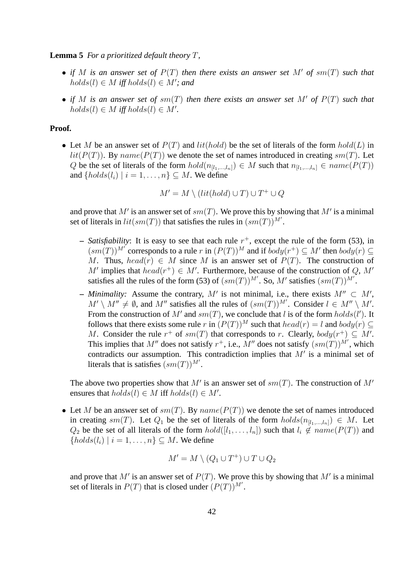**Lemma 5** *For a prioritized default theory* T*,*

- *if* M is an answer set of  $P(T)$  then there exists an answer set M' of  $sm(T)$  such that  $holds(l) \in M$  *iff*  $holds(l) \in M'$ ; and
- *if* M is an answer set of  $sm(T)$  then there exists an answer set M' of  $P(T)$  such that  $holds(l) \in M$  *iff*  $holds(l) \in M'$ *.*

#### **Proof.**

• Let M be an answer set of  $P(T)$  and  $lit(hold)$  be the set of literals of the form  $hold(L)$  in  $lit(P(T))$ . By  $name(P(T))$  we denote the set of names introduced in creating  $sm(T)$ . Let Q be the set of literals of the form  $hold(n_{[l_1,...,l_n]}) \in M$  such that  $n_{[l_1,...,l_n]} \in name(P(T))$ and  $\{holds(l_i) | i = 1, \ldots, n\} \subseteq M$ . We define

$$
M' = M \setminus (lit(hold) \cup T) \cup T^+ \cup Q
$$

and prove that M' is an answer set of  $sm(T)$ . We prove this by showing that M' is a minimal set of literals in  $lit(sm(T))$  that satisfies the rules in  $(sm(T))^{M'}$ .

- $-$  *Satisfiability*: It is easy to see that each rule  $r^+$ , except the rule of the form (53), in  $(sm(T))^{M'}$  corresponds to a rule r in  $(P(T))^{M}$  and if  $body(r^{+}) \subseteq M'$  then  $body(r) \subseteq$ M. Thus, head(r)  $\in M$  since M is an answer set of  $P(T)$ . The construction of M' implies that  $head(r^+) \in M'$ . Furthermore, because of the construction of Q, M' satisfies all the rules of the form (53) of  $(sm(T))^{M'}$ . So, M' satisfies  $(sm(T))^{M'}$ .
- **–** *Minimality:* Assume the contrary, M' is not minimal, i.e., there exists  $M'' \subset M'$ ,  $M' \setminus M'' \neq \emptyset$ , and  $M''$  satisfies all the rules of  $(sm(T))^{M'}$ . Consider  $l \in M'' \setminus M'$ . From the construction of M' and  $sm(T)$ , we conclude that l is of the form  $holds(l')$ . It follows that there exists some rule r in  $(P(T))^M$  such that  $head(r) = l$  and  $body(r) \subseteq$ M. Consider the rule  $r^+$  of  $sm(T)$  that corresponds to r. Clearly,  $body(r^+) \subseteq M'$ . This implies that M'' does not satisfy  $r^+$ , i.e., M'' does not satisfy  $(sm(T))^{M'}$ , which contradicts our assumption. This contradiction implies that  $M'$  is a minimal set of literals that is satisfies  $(sm(T))^{M'}$ .

The above two properties show that M' is an answer set of  $sm(T)$ . The construction of M' ensures that  $holds(l) \in M$  iff  $holds(l) \in M'.$ 

• Let M be an answer set of  $sm(T)$ . By  $name(P(T))$  we denote the set of names introduced in creating sm(T). Let  $Q_1$  be the set of literals of the form  $holds(n_{[l_1,...,l_n]}) \in M$ . Let  $Q_2$  be the set of all literals of the form  $hold([l_1, \ldots, l_n])$  such that  $l_i \notin name(P(T))$  and  ${holds(l_i) | i = 1, ..., n} \subseteq M$ . We define

$$
M' = M \setminus (Q_1 \cup T^+) \cup T \cup Q_2
$$

and prove that M' is an answer set of  $P(T)$ . We prove this by showing that M' is a minimal set of literals in  $P(T)$  that is closed under  $(P(T))^{M'}$ .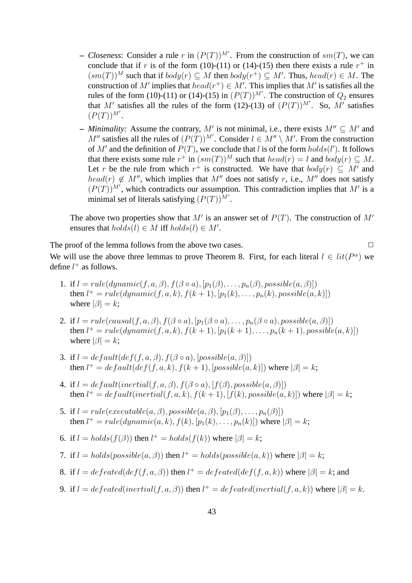- $-$  *Closeness*: Consider a rule r in  $(P(T))^{M'}$ . From the construction of sm(T), we can conclude that if r is of the form (10)-(11) or (14)-(15) then there exists a rule  $r^+$  in  $(sm(T))^M$  such that if  $body(r) \subseteq M$  then  $body(r^+) \subseteq M'$ . Thus,  $head(r) \in M$ . The construction of M' implies that  $head(r^+) \in M'$ . This implies that M' is satisfies all the rules of the form (10)-(11) or (14)-(15) in  $(P(T))^{M'}$ . The construction of  $Q_2$  ensures that M' satisfies all the rules of the form (12)-(13) of  $(P(T))^{M'}$ . So, M' satisfies  $(P(T))^{M'}$ .
- **–** *Minimality:* Assume the contrary, M' is not minimal, i.e., there exists  $M'' ⊆ M'$  and M'' satisfies all the rules of  $(P(T))^{M'}$ . Consider  $l \in M'' \setminus M'$ . From the construction of M' and the definition of  $P(T)$ , we conclude that l is of the form  $holds(l')$ . It follows that there exists some rule  $r^+$  in  $(sm(T))^M$  such that  $head(r) = l$  and  $body(r) \subseteq M$ . Let r be the rule from which  $r^+$  is constructed. We have that  $body(r) \subseteq M'$  and head(r)  $\notin M''$ , which implies that M'' does not satisfy r, i.e., M'' does not satisfy  $(P(T))^{M'}$ , which contradicts our assumption. This contradiction implies that M' is a minimal set of literals satisfying  $(P(T))^{M'}$ .

The above two properties show that M' is an answer set of  $P(T)$ . The construction of M' ensures that  $holds(l) \in M$  iff  $holds(l) \in M'.$ 

The proof of the lemma follows from the above two cases.  $\Box$ 

We will use the above three lemmas to prove Theorem 8. First, for each literal  $l \in lit(P^{\alpha})$  we define  $l^+$  as follows.

- 1. if  $l = rule(dynamic(f, a, \beta), f(\beta \circ a), [p_1(\beta), ..., p_n(\beta), possible(a, \beta)])$ then  $l^+ = rule(dynamic(f, a, k), f(k + 1), [p_1(k), ..., p_n(k), possible(a, k)])$ where  $|\beta| = k$ ;
- 2. if  $l = rule(causal(f, a, \beta), f(\beta \circ a), [p_1(\beta \circ a), ..., p_n(\beta \circ a), possible(a, \beta)])$ then  $l^+ = rule(dynamic(f, a, k), f(k + 1), [p_1(k + 1), \ldots, p_n(k + 1), possibly (a, k)])$ where  $|\beta| = k$ ;
- 3. if  $l = default(det(f, a, \beta), f(\beta \circ a), [possible(a, \beta)])$ then  $l^+ = default(det(f, a, k), f(k + 1), [possible(a, k)])$  where  $|\beta| = k$ ;
- 4. if  $l = default(inertial(f, a, \beta), f(\beta \circ a), [f(\beta), possible(a, \beta)])$ then  $l^+ = default(inertial(f, a, k), f(k + 1), [f(k), possible(a, k)])$  where  $|\beta| = k$ ;
- 5. if  $l = rule(executable(a, \beta), possible(a, \beta), [p_1(\beta), \ldots, p_n(\beta)])$ then  $l^+ = rule(dynamic(a, k), f(k), [p_1(k), \ldots, p_n(k)])$  where  $|\beta| = k$ ;
- 6. if  $l = holds(f(\beta))$  then  $l^+ = holds(f(k))$  where  $|\beta| = k$ ;
- 7. if  $l = holds(possible(a, \beta))$  then  $l^+ = holds(possible(a, k))$  where  $|\beta| = k$ ;
- 8. if  $l = defected(def(f, a, \beta))$  then  $l^+ = defected(def(f, a, k))$  where  $|\beta| = k$ ; and
- 9. if  $l = defeated(inertial(f, a, \beta))$  then  $l^+ = defeated(inertial(f, a, k))$  where  $|\beta| = k$ .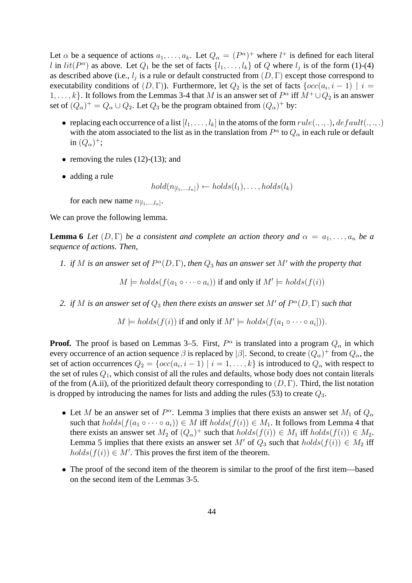Let  $\alpha$  be a sequence of actions  $a_1, \ldots, a_k$ . Let  $Q_{\alpha} = (P^{\alpha})^+$  where  $l^+$  is defined for each literal l in lit( $P^{\alpha}$ ) as above. Let  $Q_1$  be the set of facts  $\{l_1, \ldots, l_k\}$  of Q where  $l_j$  is of the form (1)-(4) as described above (i.e.,  $l_j$  is a rule or default constructed from  $(D, \Gamma)$  except those correspond to executability conditions of  $(D, \Gamma)$ ). Furthermore, let  $Q_2$  is the set of facts  $\{occ(a_i, i-1) \mid i =$ 1, . . . , k}. It follows from the Lemmas 3-4 that M is an answer set of  $P^{\alpha}$  iff  $M^{+}\cup Q_{2}$  is an answer set of  $(Q_{\alpha})^{+} = Q_{\alpha} \cup Q_2$ . Let  $Q_3$  be the program obtained from  $(Q_{\alpha})^{+}$  by:

- replacing each occurrence of a list  $[l_1, \ldots, l_k]$  in the atoms of the form  $rule(.,.,.,.)$   $default(.,.,.)$ with the atom associated to the list as in the translation from  $P^{\alpha}$  to  $Q_{\alpha}$  in each rule or default in  $(Q_\alpha)^+$ ;
- removing the rules  $(12)-(13)$ ; and
- adding a rule

$$
hold(n_{[l_1,...,l_n]}) \leftarrow holds(l_1), \dots, holds(l_k)
$$

for each new name  $n_{[l_1,...,l_n]}$ .

We can prove the following lemma.

**Lemma 6** *Let*  $(D, \Gamma)$  *be a consistent and complete an action theory and*  $\alpha = a_1, \ldots, a_n$  *be a sequence of actions. Then,*

1. *if* M is an answer set of  $P^{\alpha}(D, \Gamma)$ , then  $Q_3$  has an answer set M' with the property that

 $M \models holds(f(a_1 \circ \cdots \circ a_i))$  if and only if  $M' \models holds(f(i))$ 

2. *if* M is an answer set of  $Q_3$  then there exists an answer set  $M'$  of  $P^{\alpha}(D,\Gamma)$  such that

 $M \models holds(f(i))$  if and only if  $M' \models holds(f(a_1 \circ \cdots \circ a_i)).$ 

**Proof.** The proof is based on Lemmas 3–5. First,  $P^{\alpha}$  is translated into a program  $Q_{\alpha}$  in which every occurrence of an action sequence  $\beta$  is replaced by  $|\beta|$ . Second, to create  $(Q_\alpha)^+$  from  $Q_\alpha$ , the set of action occurrences  $Q_2 = \{occ(a_i, i-1) \mid i = 1, ..., k\}$  is introduced to  $Q_\alpha$  with respect to the set of rules  $Q_1$ , which consist of all the rules and defaults, whose body does not contain literals of the from (A.ii), of the prioritized default theory corresponding to  $(D, \Gamma)$ . Third, the list notation is dropped by introducing the names for lists and adding the rules  $(53)$  to create  $Q_3$ .

- Let M be an answer set of  $P^{\alpha}$ . Lemma 3 implies that there exists an answer set  $M_1$  of  $Q_{\alpha}$ such that  $holds(f(a_1 \circ \cdots \circ a_i)) \in M$  iff  $holds(f(i)) \in M_1$ . It follows from Lemma 4 that there exists an answer set  $M_2$  of  $(Q_\alpha)^+$  such that  $holds(f(i)) \in M_1$  iff  $holds(f(i)) \in M_2$ . Lemma 5 implies that there exists an answer set M' of  $Q_3$  such that  $holds(f(i)) \in M_2$  iff  $holds(f(i)) \in M'$ . This proves the first item of the theorem.
- The proof of the second item of the theorem is similar to the proof of the first item—based on the second item of the Lemmas 3-5.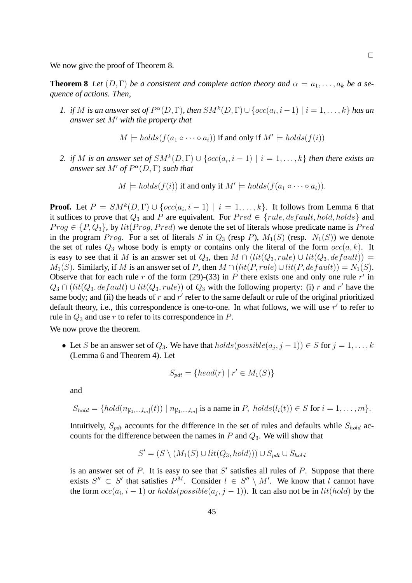We now give the proof of Theorem 8.

**Theorem 8** Let  $(D, \Gamma)$  be a consistent and complete action theory and  $\alpha = a_1, \ldots, a_k$  be a se*quence of actions. Then,*

*1. if* M *is an answer set of*  $P^{\alpha}(D, \Gamma)$ *, then*  $SM^k(D, \Gamma) \cup \{occ(a_i, i-1) \mid i = 1, ..., k\}$  *has an answer set*  $M'$  *with the property that* 

$$
M \models holds(f(a_1 \circ \cdots \circ a_i)) \text{ if and only if } M' \models holds(f(i))
$$

2. *if* M is an answer set of  $SM^k(D, \Gamma) \cup \{ occ(a_i, i-1) \mid i = 1, ..., k \}$  then there exists an *answer set*  $M'$  *of*  $P^{\alpha}(D, \Gamma)$  *such that* 

$$
M \models holds(f(i))
$$
 if and only if  $M' \models holds(f(a_1 \circ \cdots \circ a_i)).$ 

**Proof.** Let  $P = SM^k(D, \Gamma) \cup \{occ(a_i, i-1) \mid i = 1, ..., k\}$ . It follows from Lemma 6 that it suffices to prove that  $Q_3$  and P are equivalent. For  $Pred \in \{rule, default, hold, holds\}$  and  $Prog \in \{P,Q_3\}$ , by  $lit(Prog, Pred)$  we denote the set of literals whose predicate name is  $Pred$ in the program Prog. For a set of literals S in  $Q_3$  (resp P),  $M_1(S)$  (resp.  $N_1(S)$ ) we denote the set of rules  $Q_3$  whose body is empty or contains only the literal of the form  $occ(a, k)$ . It is easy to see that if M is an answer set of  $Q_3$ , then  $M \cap (lit(Q_3, rule) \cup lit(Q_3, default))$  $M_1(S)$ . Similarly, if M is an answer set of P, then  $M \cap (lit(P, rule) \cup lit(P, default)) = N_1(S)$ . Observe that for each rule r of the form (29)-(33) in P there exists one and only one rule r' in  $Q_3 \cap (lit(Q_3, default) \cup lit(Q_3, rule))$  of  $Q_3$  with the following property: (i) r and r' have the same body; and (ii) the heads of  $r$  and  $r'$  refer to the same default or rule of the original prioritized default theory, i.e., this correspondence is one-to-one. In what follows, we will use  $r'$  to refer to rule in  $Q_3$  and use r to refer to its correspondence in P.

We now prove the theorem.

• Let S be an answer set of  $Q_3$ . We have that  $holds(possible(a_j, j-1)) \in S$  for  $j = 1, ..., k$ (Lemma 6 and Theorem 4). Let

$$
S_{pdt} = \{head(r) \mid r' \in M_1(S)\}
$$

and

$$
S_{hold} = \{hold(n_{[l_1, \ldots, l_m]}(t)) \mid n_{[l_1, \ldots, l_m]} \text{ is a name in } P, \ holds(l_i(t)) \in S \text{ for } i = 1, \ldots, m \}.
$$

Intuitively,  $S_{pdt}$  accounts for the difference in the set of rules and defaults while  $S_{hold}$  accounts for the difference between the names in  $P$  and  $Q_3$ . We will show that

$$
S' = (S \setminus (M_1(S) \cup lit(Q_3, hold))) \cup S_{pdt} \cup S_{hold}
$$

is an answer set of  $P$ . It is easy to see that  $S'$  satisfies all rules of  $P$ . Suppose that there exists  $S'' \subset S'$  that satisfies  $P^M$ . Consider  $l \in S'' \setminus M'$ . We know that l cannot have the form  $occ(a_i, i-1)$  or  $holds(possible(a_j, j-1))$ . It can also not be in  $lit(hold)$  by the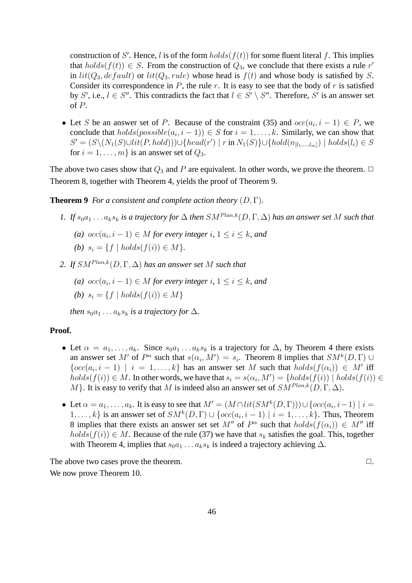construction of S'. Hence, l is of the form  $holds(f(t))$  for some fluent literal f. This implies that  $holds(f(t)) \in S$ . From the construction of  $Q_3$ , we conclude that there exists a rule r' in  $lit(Q_3, default)$  or  $lit(Q_3, rule)$  whose head is  $f(t)$  and whose body is satisfied by S. Consider its correspondence in  $P$ , the rule  $r$ . It is easy to see that the body of  $r$  is satisfied by S', i.e.,  $l \in S''$ . This contradicts the fact that  $l \in S' \setminus S''$ . Therefore, S' is an answer set of P.

• Let S be an answer set of P. Because of the constraint (35) and  $occ(a_i, i-1) \in P$ , we conclude that  $holds(possible(a_i, i-1)) \in S$  for  $i = 1, ..., k$ . Similarly, we can show that  $S' = (S \setminus (N_1(S) \cup lit(P, hold))) \cup \{head(r') \mid r \in N_1(S)\} \cup \{hold(n_{[l_1,...,l_m]}) \mid holds(l_i) \in S$ for  $i = 1, \ldots, m$  is an answer set of  $Q_3$ .

The above two cases show that  $Q_3$  and P are equivalent. In other words, we prove the theorem.  $\Box$ Theorem 8, together with Theorem 4, yields the proof of Theorem 9.

**Theorem 9** *For a consistent and complete action theory* (D, Γ)*.*

- *1. If*  $s_0a_1 \ldots a_ks_k$  *is a trajectory for*  $\Delta$  *then*  $SM^{Plan,k}(D, \Gamma, \Delta)$  *has an answer set* M *such that* 
	- *(a)*  $occ(a_i, i-1)$  ∈ *M for every integer i*,  $1 ≤ i ≤ k$ *, and (b)*  $s_i = \{f \mid holds(f(i)) \in M\}.$
- 2. If  $SM^{Plan,k}(D, \Gamma, \Delta)$  has an answer set M such that
	- *(a)*  $occ(a_i, i-1)$  ∈ *M for every integer i*,  $1 ≤ i ≤ k$ *, and*
	- *(b)*  $s_i = \{f \mid holds(f(i)) \in M\}$

*then*  $s_0a_1 \ldots a_ks_k$  *is a trajectory for*  $\Delta$ *.* 

### **Proof.**

- Let  $\alpha = a_1, \ldots, a_k$ . Since  $s_0a_1 \ldots a_ks_k$  is a trajectory for  $\Delta$ , by Theorem 4 there exists an answer set M' of  $P^{\alpha}$  such that  $s(\alpha_i, M') = s_i$ . Theorem 8 implies that  $SM^k(D, \Gamma) \cup$  $\{occ(a_i, i-1) \mid i = 1, \ldots, k\}$  has an answer set M such that  $holds(f(\alpha_i)) \in M'$  iff  $holds(f(i)) \in M$ . In other words, we have that  $s_i = s(\alpha_i, M') = \{holds(f(i)) \mid holds(f(i)) \in M\}$ M}. It is easy to verify that M is indeed also an answer set of  $SM^{Plan,k}(D, \Gamma, \Delta)$ .
- Let  $\alpha = a_1, \ldots, a_k$ . It is easy to see that  $M' = (M \cap lit(SM^k(D, \Gamma))) \cup \{occ(a_i, i-1) \mid i =$  $\{1, \ldots, k\}$  is an answer set of  $SM^k(D, \Gamma) \cup \{occ(a_i, i-1) \mid i = 1, \ldots, k\}$ . Thus, Theorem 8 implies that there exists an answer set set M'' of  $P^{\alpha}$  such that  $holds(f(\alpha_i)) \in M''$  iff  $holds(f(i)) \in M$ . Because of the rule (37) we have that  $s_k$  satisfies the goal. This, together with Theorem 4, implies that  $s_0a_1 \ldots a_ks_k$  is indeed a trajectory achieving  $\Delta$ .

The above two cases prove the theorem.  $\Box$ . We now prove Theorem 10.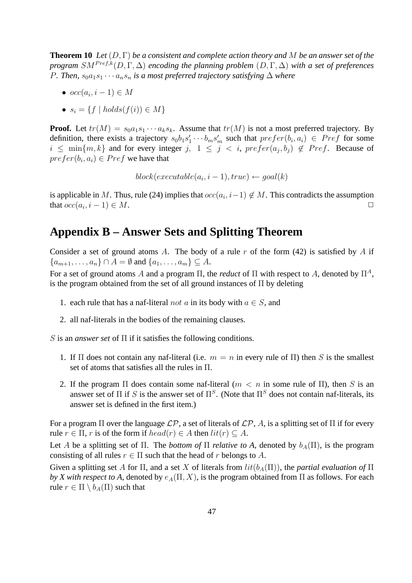**Theorem 10** *Let* (D, Γ) *be a consistent and complete action theory and* M *be an answer set of the program*  $SM^{Pref,k}(D, \Gamma, \Delta)$  *encoding the planning problem*  $(D, \Gamma, \Delta)$  *with a set of preferences P. Then,*  $s_0a_1s_1 \cdots a_ns_n$  *is a most preferred trajectory satisfying*  $\Delta$  *where* 

- $occ(a_i, i-1) \in M$
- $s_i = \{f \mid holds(f(i)) \in M\}$

**Proof.** Let  $tr(M) = s_0a_1s_1 \cdots a_ks_k$ . Assume that  $tr(M)$  is not a most preferred trajectory. By definition, there exists a trajectory  $s_0b_1s'_1 \cdots b_ms'_m$  such that  $prefer(b_i, a_i) \in Pref$  for some  $i \leq \min\{m, k\}$  and for every integer j,  $1 \leq j \leq i$ ,  $\text{prefer}(a_j, b_j) \notin \text{Pref}$ . Because of  $\mathit{prefer}(b_i,a_i) \in \mathit{Pref}$  we have that

 $block(executable(a_i, i-1), true) \leftarrow goal(k)$ 

is applicable in M. Thus, rule (24) implies that  $occ(a_i, i-1) \not\in M$  . This contradicts the assumption that  $occ(a_i, i-1) \in M$ .

## **Appendix B – Answer Sets and Splitting Theorem**

Consider a set of ground atoms A. The body of a rule r of the form  $(42)$  is satisfied by A if  ${a_{m+1}, \ldots, a_n} \cap A = \emptyset$  and  ${a_1, \ldots, a_m} \subseteq A$ .

For a set of ground atoms A and a program  $\Pi$ , the *reduct* of  $\Pi$  with respect to A, denoted by  $\Pi^A$ , is the program obtained from the set of all ground instances of Π by deleting

- 1. each rule that has a naf-literal not a in its body with  $a \in S$ , and
- 2. all naf-literals in the bodies of the remaining clauses.

S is an *answer set* of Π if it satisfies the following conditions.

- 1. If  $\Pi$  does not contain any naf-literal (i.e.  $m = n$  in every rule of  $\Pi$ ) then S is the smallest set of atoms that satisfies all the rules in Π.
- 2. If the program  $\Pi$  does contain some naf-literal ( $m < n$  in some rule of  $\Pi$ ), then S is an answer set of  $\Pi$  if S is the answer set of  $\Pi^S$ . (Note that  $\Pi^S$  does not contain naf-literals, its answer set is defined in the first item.)

For a program  $\Pi$  over the language  $\mathcal{LP}$ , a set of literals of  $\mathcal{LP}$ , A, is a splitting set of  $\Pi$  if for every rule  $r \in \Pi$ , r is of the form if  $head(r) \in A$  then  $lit(r) \subseteq A$ .

Let A be a splitting set of  $\Pi$ . The *bottom of*  $\Pi$  *relative to A*, denoted by  $b_A(\Pi)$ , is the program consisting of all rules  $r \in \Pi$  such that the head of r belongs to A.

Given a splitting set A for  $\Pi$ , and a set X of literals from  $lit(b_A(\Pi))$ , the *partial evaluation of*  $\Pi$ *by X with respect to A*, denoted by  $e_A(\Pi, X)$ , is the program obtained from  $\Pi$  as follows. For each rule  $r \in \Pi \setminus b_A(\Pi)$  such that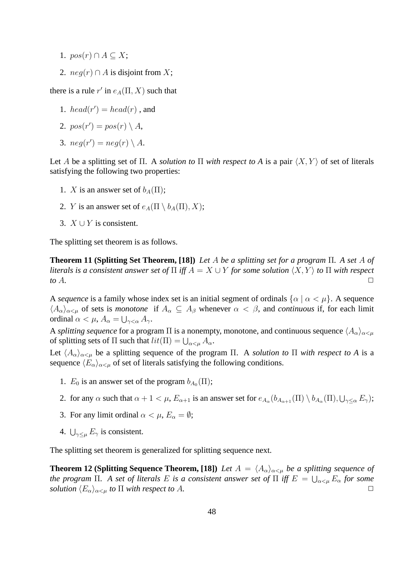- 1.  $pos(r) \cap A \subseteq X$ ;
- 2.  $neq(r) \cap A$  is disjoint from X;

there is a rule r' in  $e_A(\Pi, X)$  such that

- 1.  $head(r') = head(r)$ , and
- 2.  $pos(r') = pos(r) \setminus A$ ,
- 3.  $neg(r') = neg(r) \setminus A$ .

Let A be a splitting set of  $\Pi$ . A *solution to*  $\Pi$  *with respect to* A is a pair  $\langle X, Y \rangle$  of set of literals satisfying the following two properties:

- 1. X is an answer set of  $b_A(\Pi)$ ;
- 2. *Y* is an answer set of  $e_A(\Pi \setminus b_A(\Pi), X)$ ;
- 3.  $X \cup Y$  is consistent.

The splitting set theorem is as follows.

**Theorem 11 (Splitting Set Theorem, [18])** *Let* A *be a splitting set for a program* Π*. A set* A *of literals is a consistent answer set of*  $\Pi$  *iff*  $A = X \cup Y$  *for some solution*  $\langle X, Y \rangle$  *to*  $\Pi$  *with respect to*  $A$ .

A *sequence* is a family whose index set is an initial segment of ordinals  $\{\alpha \mid \alpha \leq \mu\}$ . A sequence  $\langle A_{\alpha}\rangle_{\alpha<\mu}$  of sets is *monotone* if  $A_{\alpha}\subseteq A_{\beta}$  whenever  $\alpha<\beta$ , and *continuous* if, for each limit ordinal  $\alpha < \mu$ ,  $A_{\alpha} = \bigcup_{\gamma < \alpha} A_{\gamma}$ .

A *splitting sequence* for a program  $\Pi$  is a nonempty, monotone, and continuous sequence  $\langle A_{\alpha}\rangle_{\alpha<\mu}$ of splitting sets of  $\Pi$  such that  $lit(\Pi) = \bigcup_{\alpha < \mu} A_{\alpha}$ .

Let  $\langle A_{\alpha}\rangle_{\alpha<\mu}$  be a splitting sequence of the program Π. A *solution to* Π *with respect to* A is a sequence  $\langle E_{\alpha} \rangle_{\alpha < \mu}$  of set of literals satisfying the following conditions.

- 1.  $E_0$  is an answer set of the program  $b_{A_0}(\Pi)$ ;
- 2. for any  $\alpha$  such that  $\alpha + 1 < \mu$ ,  $E_{\alpha+1}$  is an answer set for  $e_{A_{\alpha}}(b_{A_{\alpha+1}}(\Pi) \setminus b_{A_{\alpha}}(\Pi), \bigcup_{\gamma \leq \alpha} E_{\gamma})$ ;
- 3. For any limit ordinal  $\alpha < \mu$ ,  $E_{\alpha} = \emptyset$ ;
- 4.  $\bigcup_{\gamma \leq \mu} E_{\gamma}$  is consistent.

The splitting set theorem is generalized for splitting sequence next.

**Theorem 12 (Splitting Sequence Theorem, [18])** *Let*  $A = \langle A_{\alpha} \rangle_{\alpha \leq \mu}$  *be a splitting sequence of the program*  $\Pi$ . A set of literals  $E$  is a consistent answer set of  $\Pi$  iff  $E = \bigcup_{\alpha<\mu} E_\alpha$  for some *solution*  $\langle E_{\alpha} \rangle_{\alpha \leq \mu}$  *to*  $\Pi$  *with respect to*  $A$ *.*  $\Box$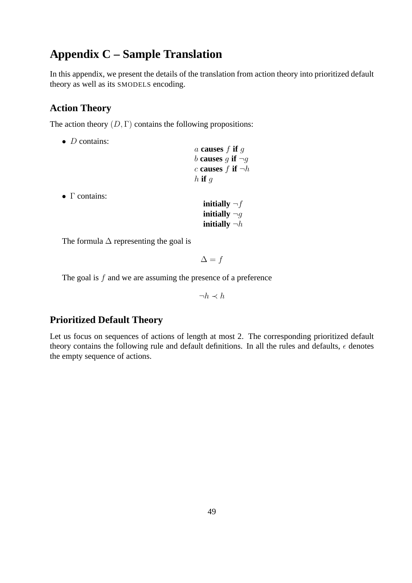## **Appendix C – Sample Translation**

In this appendix, we present the details of the translation from action theory into prioritized default theory as well as its SMODELS encoding.

## **Action Theory**

The action theory  $(D, \Gamma)$  contains the following propositions:

 $\bullet$  *D* contains:

a **causes** f **if** g **b causes**  $q$  **if**  $\neg q$ c **causes**  $f$  **if**  $\neg h$  $h$  **if**  $q$ 

• Γ contains:

```
initially \neg finitially ¬g
initially ¬h
```
The formula  $\Delta$  representing the goal is

 $\Delta = f$ 

The goal is f and we are assuming the presence of a preference

 $\neg h \prec h$ 

## **Prioritized Default Theory**

Let us focus on sequences of actions of length at most 2. The corresponding prioritized default theory contains the following rule and default definitions. In all the rules and defaults,  $\epsilon$  denotes the empty sequence of actions.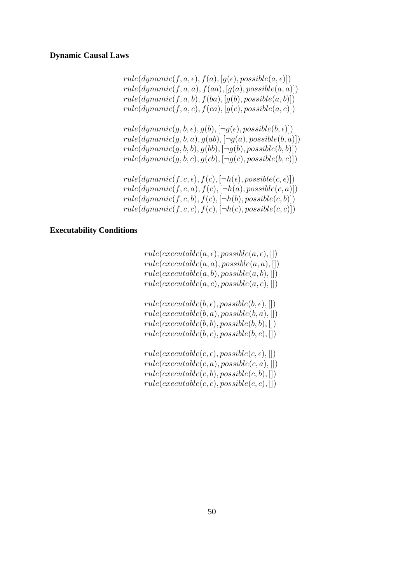#### **Dynamic Causal Laws**

 $rule(dynamic(f, a, \epsilon), f(a), [g(\epsilon), possible(a, \epsilon)])$  $rule(dynamic(f, a, a), f(aa), [q(a), possible(a, a)])$  $rule(dynamic(f, a, b), f(ba), [g(b), possible(a, b)])$  $rule(dynamic(f, a, c), f(ca), [g(c), possible(a, c)])$ 

 $rule(dynamic(g, b, \epsilon), g(b), [\neg g(\epsilon), possible(b, \epsilon)])$  $rule(dynamic(g, b, a), g(ab), [\neg g(a), possible(b, a)])$  $rule(dynamic(q, b, b), q(bb), [\neg q(b), possible(b, b)])$  $rule(dynamic(g, b, c), g(cb), [\neg g(c), possible(b, c)])$ 

 $rule(dynamic(f, c, \epsilon), f(c), [\neg h(\epsilon), possible(c, \epsilon)])$  $rule(dynamic(f, c, a), f(c), \neg h(a), possible(c, a))$  $rule(dynamic(f, c, b), f(c), [\neg h(b), possible(c, b)])$  $rule(dynamic(f, c, c), f(c), [\neg h(c), possible(c, c)])$ 

#### **Executability Conditions**

 $rule(executable(a, \epsilon), possible(a, \epsilon),$  $rule(executable(a, a), possible(a, a),$  $rule(executable(a, b), possible(a, b),$  $rule(executable(a, c), possible(a, c),$ 

 $rule(executable(b, \epsilon), possible(b, \epsilon),$  $rule(executable(b, a), possible(b, a),$  $rule(executable(b, b), possible(b, b),$  $rule(executable(b, c), possible(b, c),$ 

 $rule(executable(c, \epsilon), possible(c, \epsilon),$  $rule(executable(c, a), possible(c, a),$  $rule(executable(c, b), possible(c, b),$  $rule(executable(c, c), possible(c, c),$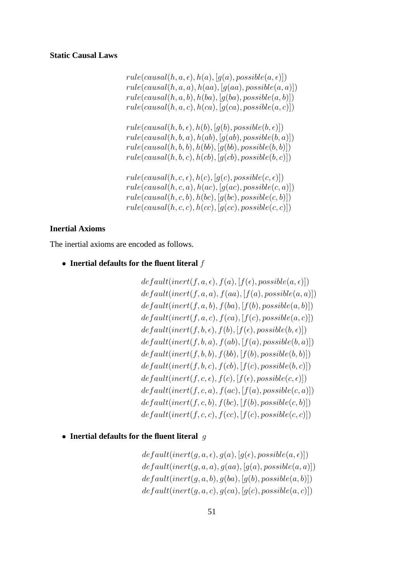#### **Static Causal Laws**

 $rule(causal(h, a, \epsilon), h(a), [g(a), possible(a, \epsilon)])$  $rule(causal(h, a, a), h(aa), [q(aa), possible(a, a)])$  $rule(causal(h, a, b), h(ba), [g(ba), possible(a, b)])$  $rule(causal(h, a, c), h(ca), [q(ca), possible(a, c)])$ 

 $rule(causal(h, b, \epsilon), h(b), [q(b), possible(b, \epsilon)])$  $rule(causal(h, b, a), h(ab), [g(ab), possible(b, a)])$  $rule(causal(h, b, b), h(bb), [q(bb), possible(b, b)])$  $rule(causal(h, b, c), h(cb), [g(cb), possible(b, c)])$ 

 $rule(causal(h, c, \epsilon), h(c), [g(c), possible(c, \epsilon)])$  $rule(causal(h, c, a), h(ac), [q(ac), possible(c, a)])$  $rule(causal(h, c, b), h(bc), [q(bc), possible(c, b)])$  $rule(causal(h, c, c), h(cc), [q(cc), possible(c, c)])$ 

#### **Inertial Axioms**

The inertial axioms are encoded as follows.

• **Inertial defaults for the fluent literal** f

 $default(inert(f, a, \epsilon), f(a), [f(\epsilon), possible(a, \epsilon)])$  $default(inert(f, a, a), f(aa), [f(a), possible(a, a)])$  $default(inert(f, a, b), f(ba), [f(b), possible(a, b)])$  $de fault(inert(f, a, c), f(ca), [f(c), possible(a, c)])$  $de fault(inert(f, b, \epsilon), f(b), [f(\epsilon), possible(b, \epsilon)])$  $default(inert(f, b, a), f(ab), [f(a), possible(b, a)])$  $default(inert(f, b, b), f(bb), [f(b), possible(b, b)])$  $de fault(inert(f, b, c), f(cb), [f(c), possible(b, c)])$  $default(inert(f, c, \epsilon), f(c), [f(\epsilon), possible(c, \epsilon)])$  $default(inert(f, c, a), f(ac), [f(a), possible(c, a)])$  $default(inert(f, c, b), f(bc), [f(b), possible(c, b)])$  $default(inert(f, c, c), f(cc), [f(c), possible(c, c)])$ 

• **Inertial defaults for the fluent literal** g

 $default(inert(g, a, \epsilon), g(a), [g(\epsilon), possible(a, \epsilon)])$  $default(inert(q, a, a), q(aa), [q(a), possible(a, a)])$  $default(inert(q, a, b), q(ba), [q(b), possible(a, b)])$  $de fault(inert(q, a, c), q(ca), [q(c), possible(a, c)])$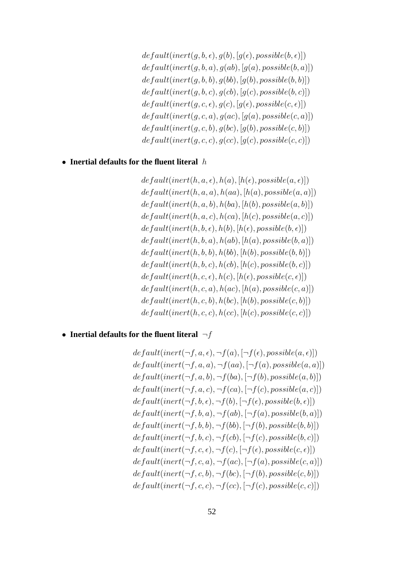$default(inert(q, b, \epsilon), q(b), [q(\epsilon), possible(b, \epsilon)])$  $default(inert(q, b, a), q(ab), [q(a), possible(b, a)])$  $default(inert(g, b, b), g(bb), [g(b), possible(b, b)])$  $default(inert(q, b, c), q(cb), [q(c), possible(b, c)])$  $default(inert(q, c, \epsilon), q(c), [q(\epsilon), possible(c, \epsilon)])$  $default(inert(g, c, a), g(ac), [g(a), possible(c, a)])$  $default(inert(g, c, b), g(bc), [g(b), possible(c, b)])$  $default(inert(g, c, c), g(cc), [g(c), possible(c, c)])$ 

### • **Inertial defaults for the fluent literal** h

 $de fault(inert(h, a, \epsilon), h(a), [h(\epsilon), possible(a, \epsilon)])$  $de fault(inert(h, a, a), h(aa), [h(a), possible(a, a)])$  $default(inert(h, a, b), h(ba), [h(b), possible(a, b)])$  $default(inert(h, a, c), h(ca), [h(c), possible(a, c)])$  $default(inert(h, b, \epsilon), h(b), [h(\epsilon), possible(b, \epsilon)])$  $de fault(inert(h, b, a), h(ab), [h(a), possible(b, a)])$  $default(inert(h, b, b), h(bb), [h(b), possible(b, b)])$  $default(inert(h, b, c), h(cb), [h(c), possible(b, c)])$  $default(inert(h, c, \epsilon), h(c), [h(\epsilon), possible(c, \epsilon)])$  $de fault(inert(h, c, a), h(ac), [h(a), possible(c, a)])$  $de fault(inert(h, c, b), h(bc), [h(b), possible(c, b)])$  $default(inert(h, c, c), h(cc), [h(c), possible(c, c)])$ 

• **Inertial defaults for the fluent literal** ¬f

 $de fault(inert(\neg f, a, \epsilon), \neg f(a), [\neg f(\epsilon), possible(a, \epsilon)])$  $default(inert(\neg f, a, a), \neg f(aa), [\neg f(a), possible(a, a)])$  $default(inert(\neg f, a, b), \neg f(ba), [\neg f(b), possible(a, b)])$  $default(inert(\neg f, a, c), \neg f(ca), [\neg f(c), possible(a, c)])$  $default(inert(\neg f, b, \epsilon), \neg f(b), [\neg f(\epsilon), possible(b, \epsilon)])$  $default(inert(\neg f, b, a), \neg f(ab), [\neg f(a), possible(b, a)])$  $default(inert(\neg f, b, b), \neg f(bb), [\neg f(b), possible(b, b)])$  $default(inert(\neg f, b, c), \neg f(cb), [\neg f(c), possible(b, c)])$  $default(inert(\neg f, c, \epsilon), \neg f(c), [\neg f(\epsilon), possible(c, \epsilon)])$  $default(inert(\neg f, c, a), \neg f(ac), [\neg f(a), possible(c, a)])$  $de fault(inert(\neg f, c, b), \neg f(bc), [\neg f(b), possible(c, b)])$  $default(inert(\neg f, c, c), \neg f(cc), [\neg f(c), possible(c, c)])$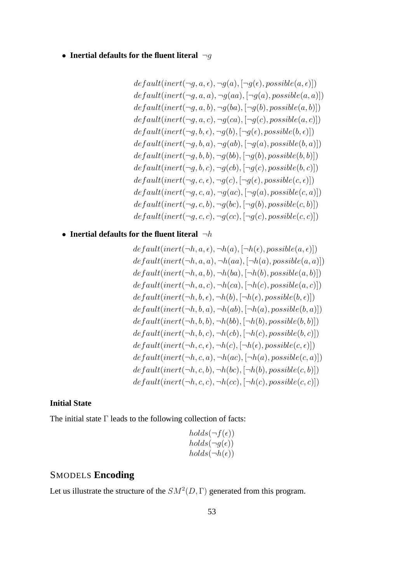## • **Inertial defaults for the fluent literal** ¬g

 $default(inert(\neg g, a, \epsilon), \neg g(a), [\neg g(\epsilon), possible(a, \epsilon)])$  $default(inert(\neg q, a, a), \neg q(aa), [\neg q(a), possible(a, a)])$  $default(inert(\neg q, a, b), \neg g(ba), [\neg g(b), possible(a, b)])$  $default(inert(\neg q, a, c), \neg g(ca), [\neg g(c), possible(a, c)])$  $default(inert(\neg g, b, \epsilon), \neg g(b), [\neg g(\epsilon), possible(b, \epsilon)])$  $default(inert(\neg g, b, a), \neg g(ab), [\neg g(a), possible(b, a)])$  $default(inert(\neg g, b, b), \neg g(bb), [\neg g(b), possible(b, b)])$  $default(inert(\neg g, b, c), \neg g(cb), [\neg g(c), possible(b, c)])$  $default(inert(\neg g, c, \epsilon), \neg g(c), [\neg g(\epsilon), possible(c, \epsilon)])$  $default(inert(\neg g, c, a), \neg g(ac), [\neg g(a), possible(c, a)])$  $default(inert(\neg g, c, b), \neg g(bc), [\neg g(b), possible(c, b)])$  $default(inert(\neg g, c, c), \neg g(cc), [\neg g(c), possible(c, c)])$ 

## • **Inertial defaults for the fluent literal** ¬h

$$
default(inert(\neg h, a, \epsilon), \neg h(a), [\neg h(\epsilon), possible(a, \epsilon)])
$$
\n
$$
default(inert(\neg h, a, a), \neg h(aa), [\neg h(a), possible(a, a)])
$$
\n
$$
default(inert(\neg h, a, b), \neg h(ba), [\neg h(b), possible(a, b)])
$$
\n
$$
default(inert(\neg h, a, c), \neg h(ca), [\neg h(c), possible(a, c)])
$$
\n
$$
default(inert(\neg h, b, \epsilon), \neg h(b), [\neg h(\epsilon), possible(b, \epsilon)])
$$
\n
$$
default(inert(\neg h, b, a), \neg h(ab), [\neg h(a), possible(b, a)])
$$
\n
$$
default(inert(\neg h, b, b), \neg h(bb), [\neg h(b), possible(b, b)])
$$
\n
$$
default(inert(\neg h, b, c), \neg h(cb), [\neg h(c), possible(b, c)])
$$
\n
$$
default(inert(\neg h, c, \epsilon), \neg h(c), [\neg h(\epsilon), possible(c, \epsilon)])
$$
\n
$$
default(inert(\neg h, c, a), \neg h(ac), [\neg h(a), possible(c, a)])
$$
\n
$$
default(inert(\neg h, c, b), \neg h(bc), [\neg h(b), possible(c, b)])
$$
\n
$$
default(inert(\neg h, c, c), \neg h(cc), [\neg h(c), possible(c, c)])
$$

### **Initial State**

The initial state  $\Gamma$  leads to the following collection of facts:

$$
holds(\neg f(\epsilon))
$$
  

$$
holds(\neg g(\epsilon))
$$
  

$$
holds(\neg h(\epsilon))
$$

## SMODELS **Encoding**

Let us illustrate the structure of the  $SM^2(D, \Gamma)$  generated from this program.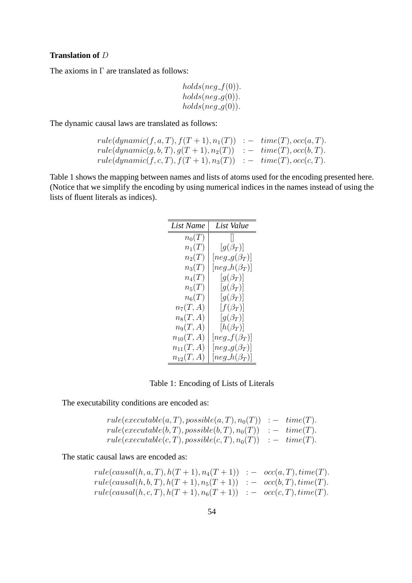### **Translation of** D

The axioms in  $\Gamma$  are translated as follows:

$$
holds(neg_f(0)).
$$
  
holds(neg\_g(0)).  

$$
holds(neg_g(0)).
$$

The dynamic causal laws are translated as follows:

$$
rule(dynamic(f, a, T), f(T + 1), n_1(T)) := time(T), occ(a, T).
$$
  
\n
$$
rule(dynamic(g, b, T), g(T + 1), n_2(T)) := time(T), occ(b, T).
$$
  
\n
$$
rule(dynamic(f, c, T), f(T + 1), n_3(T)) := time(T), occ(c, T).
$$

Table 1 shows the mapping between names and lists of atoms used for the encoding presented here. (Notice that we simplify the encoding by using numerical indices in the names instead of using the lists of fluent literals as indices).

| List Name     | List Value              |
|---------------|-------------------------|
| $n_0(T)$      | II                      |
| $n_1(T)$      | $[g(\beta_T)]$          |
| $n_2(T)$      | $[neg_{-}g(\beta_{T})]$ |
| $n_3(T)$      | $ neg_h(\beta_T) $      |
| $n_4(T)$      | $ g(\beta_T) $          |
| $n_5(T)$      | $[g(\beta_T)]$          |
| $n_6(T)$      | $[g(\beta_T)]$          |
| $n_7(T,A)$    | $[f(\beta_T)]$          |
| $n_8(T, A)$   | $[g(\beta_T)]$          |
| $n_9(T, A)$   | $[h(\beta_T)]$          |
| $n_{10}(T,A)$ | $[neg_{-}f(\beta_{T})]$ |
| $n_{11}(T,A)$ | $[neg_g(\beta_T)]$      |
| $n_{12}(T,A)$ | $[neg_h(\beta_T)]$      |

Table 1: Encoding of Lists of Literals

The executability conditions are encoded as:

$$
rule(executable(a, T), possible(a, T), n_0(T)) := time(T).
$$
  
\n
$$
rule(executable(b, T), possible(b, T), n_0(T)) := time(T).
$$
  
\n
$$
rule(executable(c, T), possible(c, T), n_0(T)) := time(T).
$$

The static causal laws are encoded as:

$$
rule(causal(h, a, T), h(T + 1), n_4(T + 1)) : - occ(a, T), time(T).\nrule(causal(h, b, T), h(T + 1), n_5(T + 1)) : - occ(b, T), time(T).\nrule(causal(h, c, T), h(T + 1), n_6(T + 1)) : - occ(c, T), time(T).
$$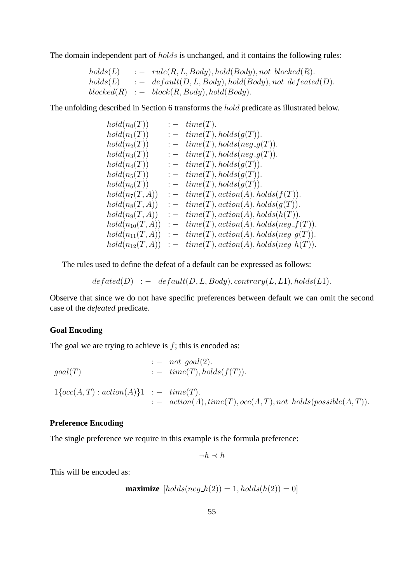The domain independent part of *holds* is unchanged, and it contains the following rules:

$$
holds(L) \quad : - \quad rule(R, L, Body), hold(Body), not \, blocked(R). \quad holds(L) \quad : - \quad default(D, L, Body), hold(Body), not \, defeated(D). \quad blocks(dR) \quad : - \quad block(R, Body), hold(Body).
$$

The unfolding described in Section 6 transforms the hold predicate as illustrated below.

$$
hold(n_0(T)) := time(T).
$$
\n
$$
hold(n_1(T)) := time(T), holds(g(T)).
$$
\n
$$
hold(n_2(T)) := time(T), holds(neg.g(T)).
$$
\n
$$
hold(n_3(T)) := time(T), holds(neg.g(T)).
$$
\n
$$
hold(n_4(T)) := time(T), holds(g(T)).
$$
\n
$$
hold(n_5(T)) := time(T), holds(g(T)).
$$
\n
$$
hold(n_6(T)) := time(T), holds(g(T)).
$$
\n
$$
hold(n_7(T, A)) := time(T), holds(g(T)).
$$
\n
$$
hold(n_8(T, A)) := time(T), action(A), holds(g(T)).
$$
\n
$$
hold(n_9(T, A)) := time(T), action(A), holds(n(f)).
$$
\n
$$
hold(n_{10}(T, A)) := time(T), action(A), holds(neg.f(T)).
$$
\n
$$
hold(n_{11}(T, A)) := time(T), action(A), holds(neg.g(T)).
$$
\n
$$
hold(n_{12}(T, A)) := time(T), action(A), holds(neg.g(T)).
$$
\n
$$
hold(n_{12}(T, A)) := time(T), action(A), holds(neg.g(T)).
$$

The rules used to define the defeat of a default can be expressed as follows:

 $defated(D) :- default(D, L, Body), contrary(L, L1), holds(L1).$ 

Observe that since we do not have specific preferences between default we can omit the second case of the *defeated* predicate.

### **Goal Encoding**

The goal we are trying to achieve is  $f$ ; this is encoded as:

$$
goal(T)
$$
  
\n
$$
= not \ goal(2).
$$
  
\n
$$
goal(T)
$$
  
\n
$$
= time(T), holds(f(T)).
$$
  
\n
$$
1{occ(A, T) : action(A)}1 := time(T).
$$
  
\n
$$
= action(A), time(T), occ(A, T), not \ holds(possible(A, T)).
$$

### **Preference Encoding**

The single preference we require in this example is the formula preference:

 $\neg h \prec h$ 

This will be encoded as:

**maximize**  $[holds(neq.h(2)) = 1, holds(h(2)) = 0]$